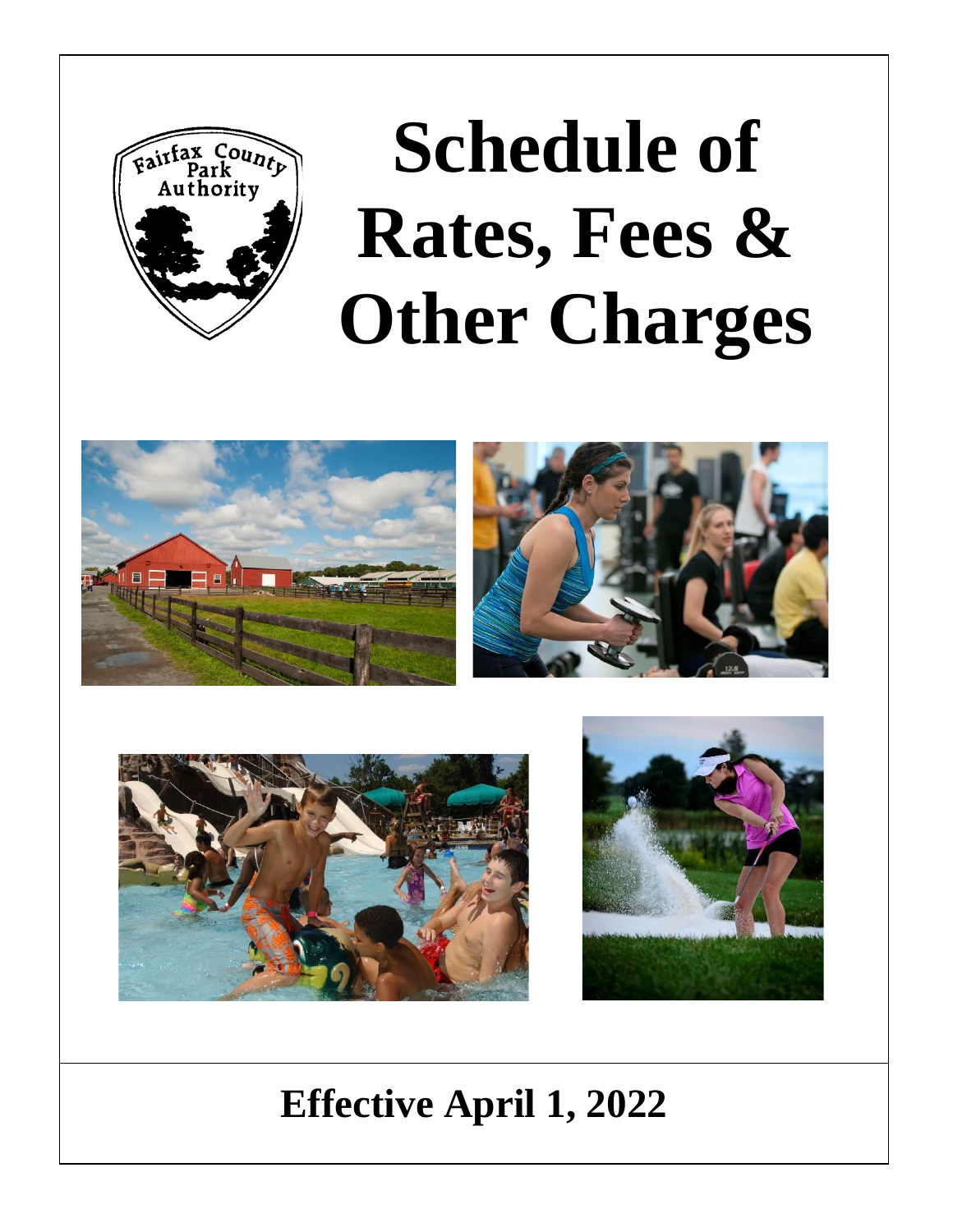

# **Schedule of Rates, Fees & Other Charges**







## **Effective April 1, 2022**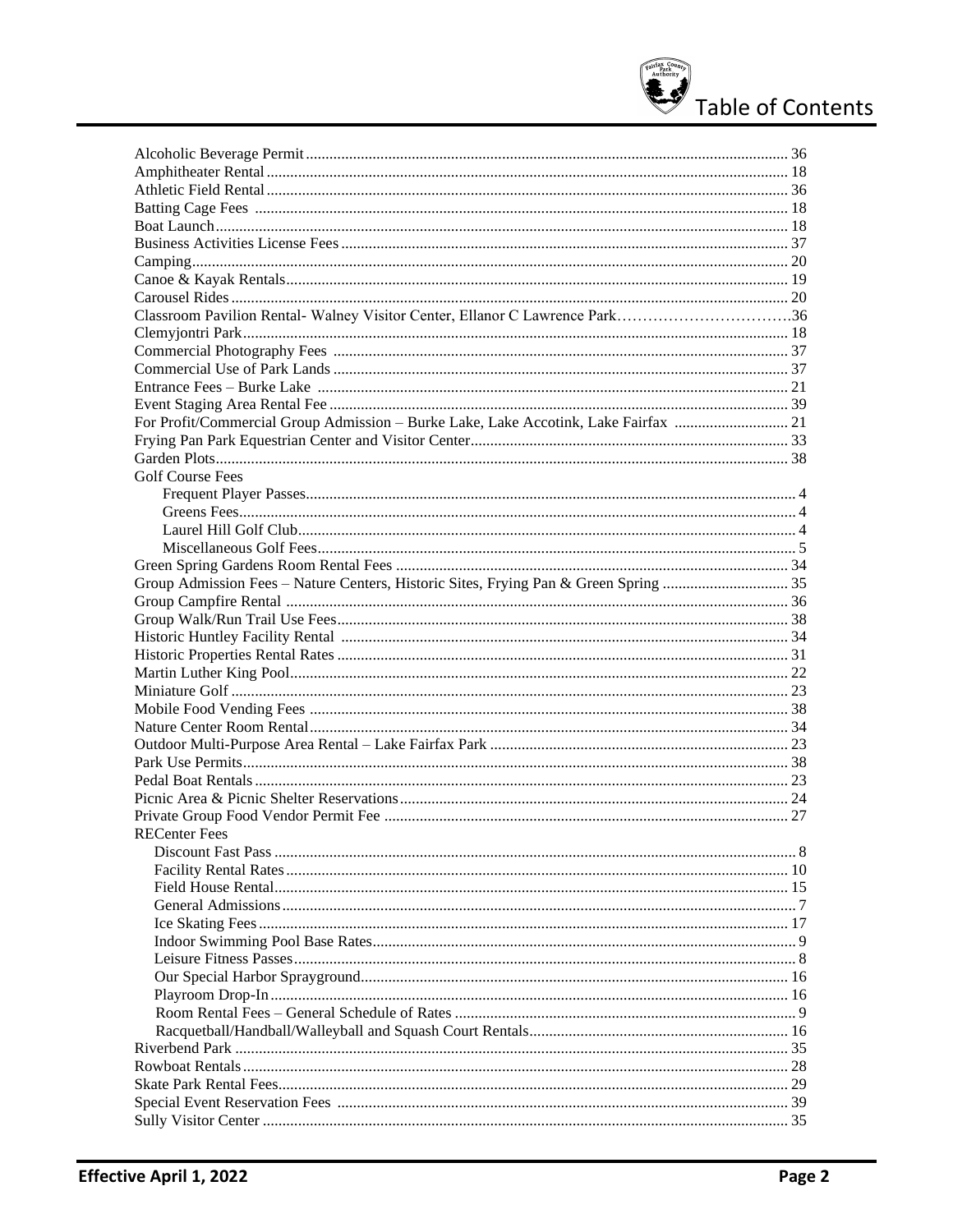

| Classroom Pavilion Rental-Walney Visitor Center, Ellanor C Lawrence Park36          |  |
|-------------------------------------------------------------------------------------|--|
|                                                                                     |  |
|                                                                                     |  |
|                                                                                     |  |
|                                                                                     |  |
|                                                                                     |  |
| For Profit/Commercial Group Admission - Burke Lake, Lake Accotink, Lake Fairfax  21 |  |
|                                                                                     |  |
|                                                                                     |  |
|                                                                                     |  |
| <b>Golf Course Fees</b>                                                             |  |
|                                                                                     |  |
|                                                                                     |  |
|                                                                                     |  |
|                                                                                     |  |
|                                                                                     |  |
|                                                                                     |  |
|                                                                                     |  |
|                                                                                     |  |
|                                                                                     |  |
|                                                                                     |  |
|                                                                                     |  |
|                                                                                     |  |
|                                                                                     |  |
|                                                                                     |  |
|                                                                                     |  |
|                                                                                     |  |
|                                                                                     |  |
|                                                                                     |  |
|                                                                                     |  |
| <b>RECenter Fees</b>                                                                |  |
|                                                                                     |  |
|                                                                                     |  |
|                                                                                     |  |
|                                                                                     |  |
|                                                                                     |  |
|                                                                                     |  |
|                                                                                     |  |
|                                                                                     |  |
|                                                                                     |  |
|                                                                                     |  |
|                                                                                     |  |
|                                                                                     |  |
|                                                                                     |  |
|                                                                                     |  |
|                                                                                     |  |
|                                                                                     |  |
|                                                                                     |  |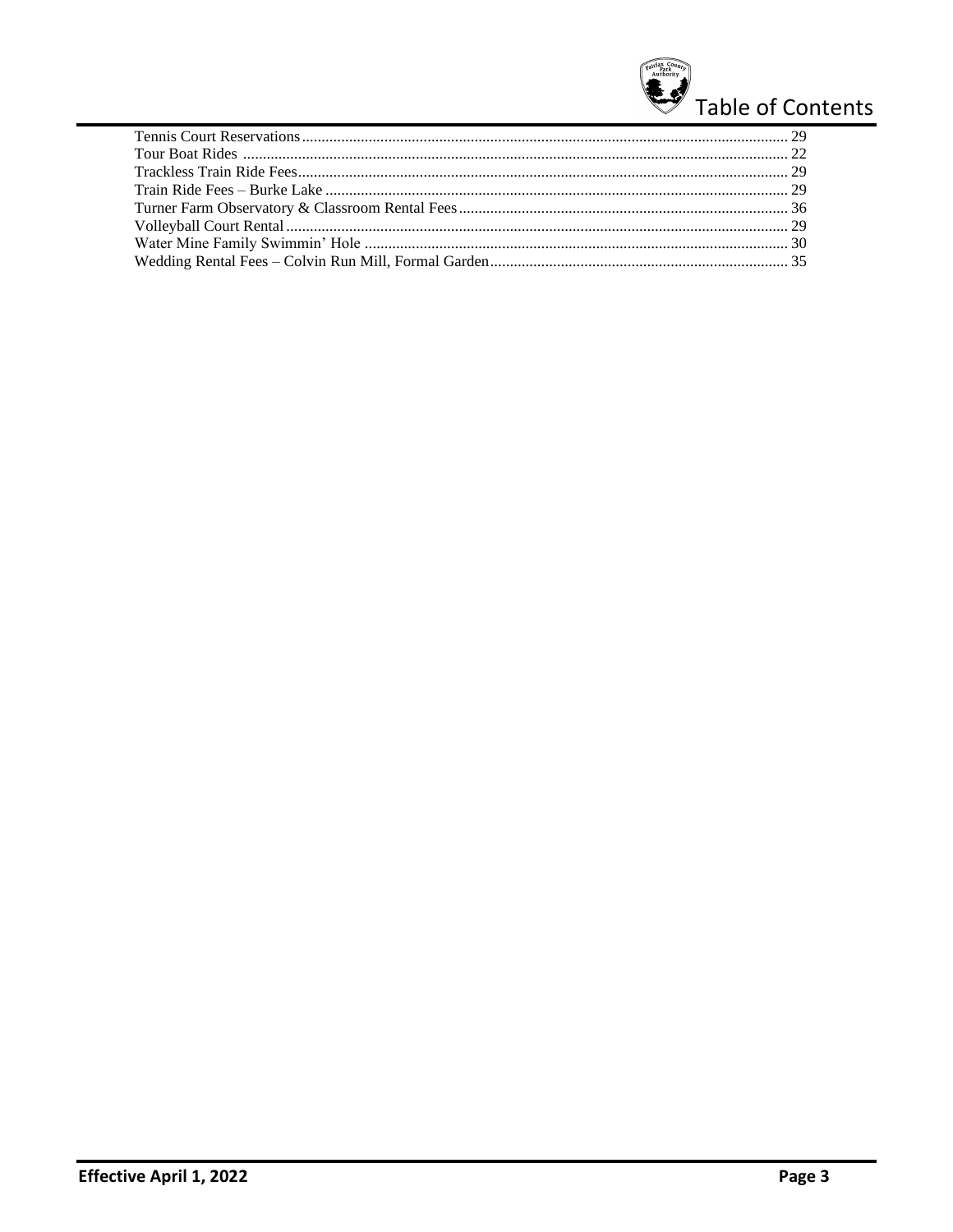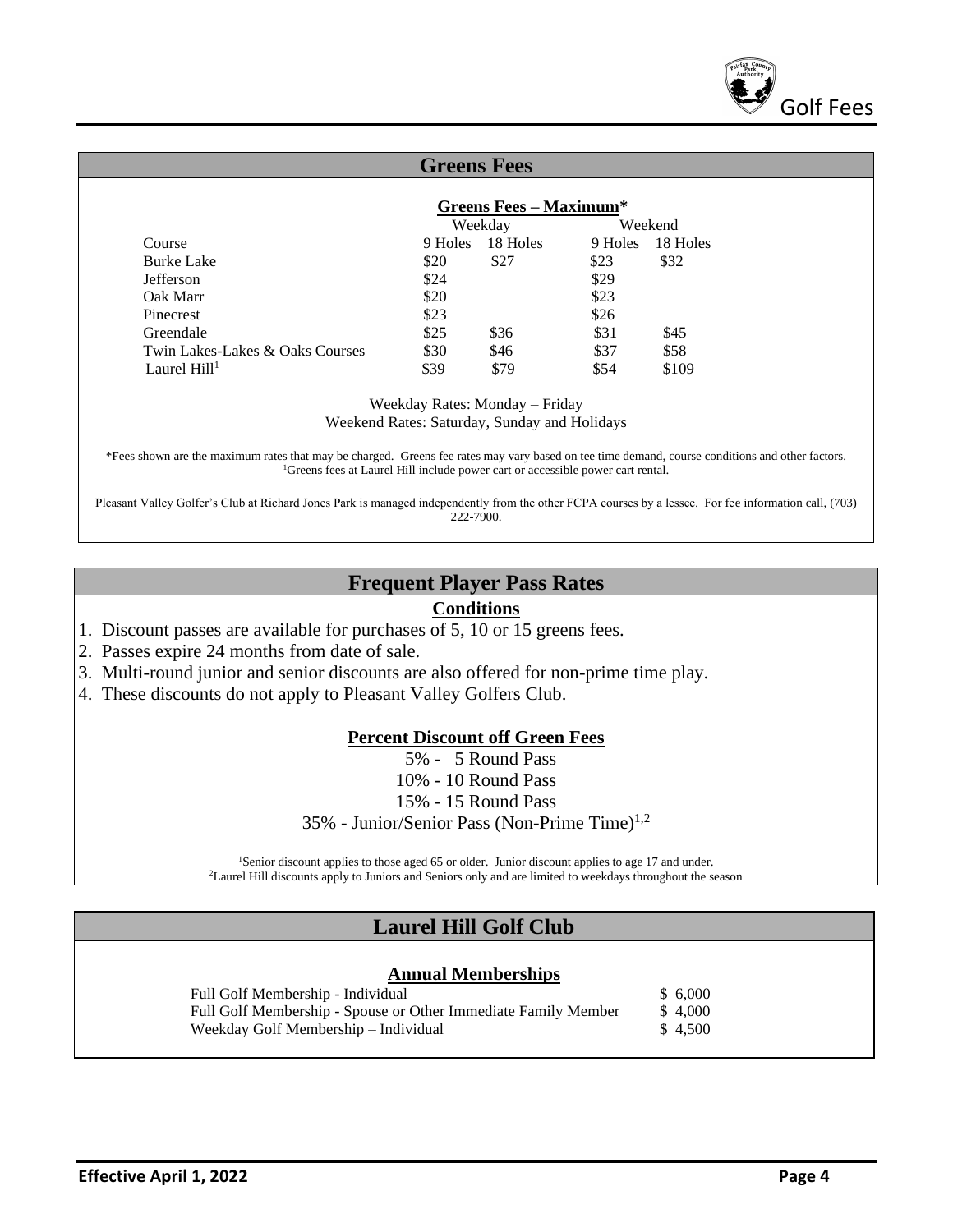

|                                 | <b>Greens Fees</b> |                               |         |          |  |
|---------------------------------|--------------------|-------------------------------|---------|----------|--|
|                                 |                    |                               |         |          |  |
|                                 |                    | <b>Greens Fees - Maximum*</b> |         |          |  |
|                                 |                    | Weekday                       |         | Weekend  |  |
| Course                          | 9 Holes            | 18 Holes                      | 9 Holes | 18 Holes |  |
| <b>Burke Lake</b>               | \$20               | \$27                          | \$23    | \$32     |  |
| <b>Jefferson</b>                | \$24               |                               | \$29    |          |  |
| Oak Marr                        | \$20               |                               | \$23    |          |  |
| Pinecrest                       | \$23               |                               | \$26    |          |  |
| Greendale                       | \$25               | \$36                          | \$31    | \$45     |  |
| Twin Lakes-Lakes & Oaks Courses | \$30               | \$46                          | \$37    | \$58     |  |
| Laurel $Hill1$                  | \$39               | \$79                          | \$54    | \$109    |  |

Weekday Rates: Monday – Friday Weekend Rates: Saturday, Sunday and Holidays

\*Fees shown are the maximum rates that may be charged. Greens fee rates may vary based on tee time demand, course conditions and other factors. <sup>1</sup>Greens fees at Laurel Hill include power cart or accessible power cart rental.

Pleasant Valley Golfer's Club at Richard Jones Park is managed independently from the other FCPA courses by a lessee. For fee information call, (703) 222-7900.

#### **Frequent Player Pass Rates**

#### **Conditions**

- 1. Discount passes are available for purchases of 5, 10 or 15 greens fees.
- 2. Passes expire 24 months from date of sale.
- 3. Multi-round junior and senior discounts are also offered for non-prime time play.
- 4. These discounts do not apply to Pleasant Valley Golfers Club.

#### **Percent Discount off Green Fees**

5% - 5 Round Pass

- 10% 10 Round Pass
- 15% 15 Round Pass

 $35%$  - Junior/Senior Pass (Non-Prime Time)<sup>1,2</sup>

<sup>1</sup>Senior discount applies to those aged 65 or older. Junior discount applies to age 17 and under. <sup>2</sup>Laurel Hill discounts apply to Juniors and Seniors only and are limited to weekdays throughout the season

#### **Laurel Hill Golf Club**

#### **Annual Memberships**

Full Golf Membership - Individual \$ 6,000 Full Golf Membership - Spouse or Other Immediate Family Member \$ 4,000 Weekday Golf Membership – Individual  $\qquad$  \$ 4,500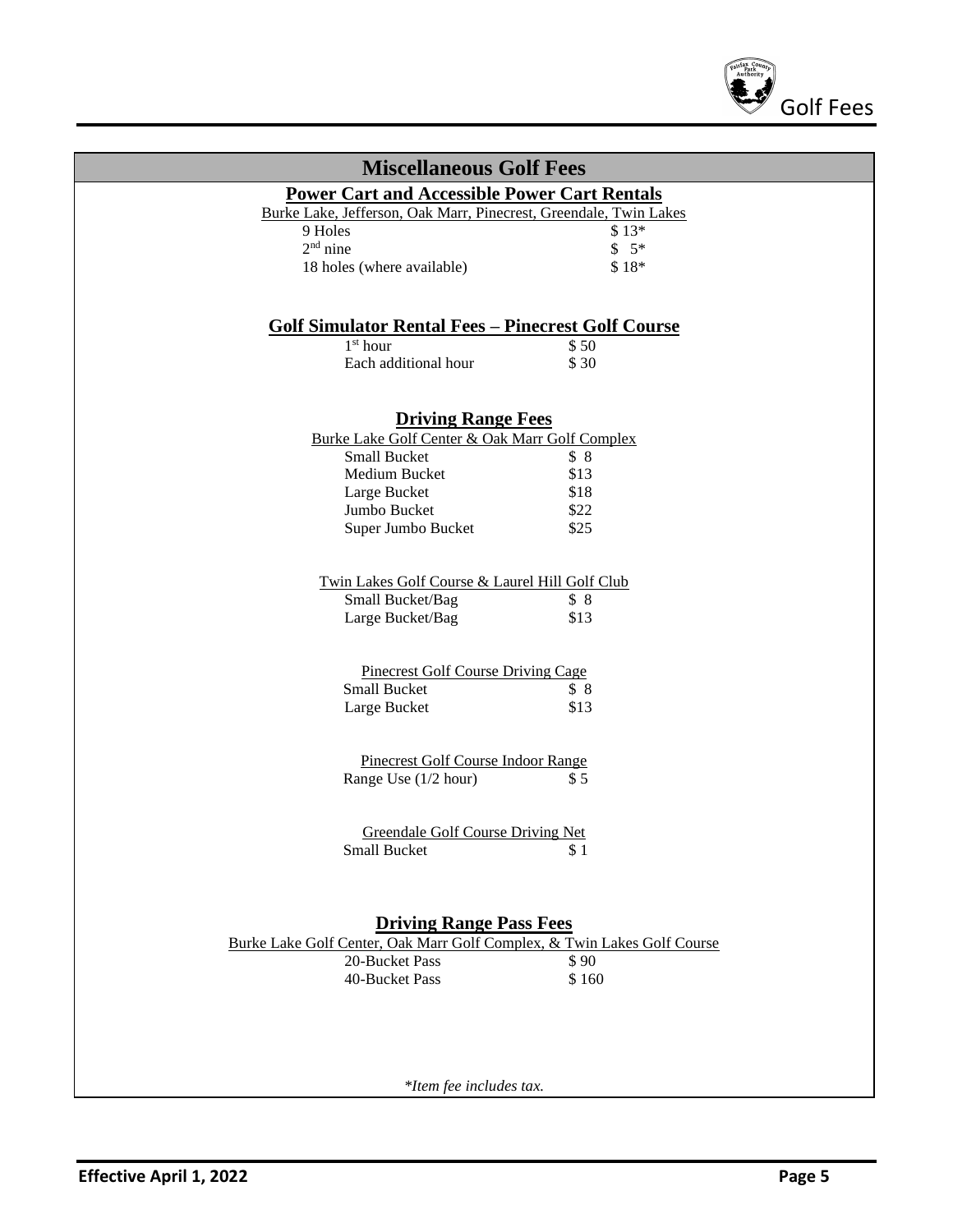

| <b>Miscellaneous Golf Fees</b>                                                            |             |
|-------------------------------------------------------------------------------------------|-------------|
| <b>Power Cart and Accessible Power Cart Rentals</b>                                       |             |
| Burke Lake, Jefferson, Oak Marr, Pinecrest, Greendale, Twin Lakes                         |             |
| 9 Holes                                                                                   | $$13*$      |
| $2nd$ nine                                                                                | $$5*$       |
| 18 holes (where available)                                                                | \$18*       |
|                                                                                           |             |
|                                                                                           |             |
| <b>Golf Simulator Rental Fees - Pinecrest Golf Course</b>                                 |             |
| $1st$ hour                                                                                | \$50        |
| Each additional hour                                                                      | \$30        |
|                                                                                           |             |
| <b>Driving Range Fees</b>                                                                 |             |
| Burke Lake Golf Center & Oak Marr Golf Complex                                            |             |
| <b>Small Bucket</b>                                                                       | \$8         |
| Medium Bucket                                                                             | \$13        |
| Large Bucket                                                                              | \$18        |
| Jumbo Bucket                                                                              | \$22        |
| Super Jumbo Bucket                                                                        | \$25        |
|                                                                                           |             |
| Twin Lakes Golf Course & Laurel Hill Golf Club                                            |             |
| Small Bucket/Bag                                                                          | \$8         |
| Large Bucket/Bag                                                                          | \$13        |
|                                                                                           |             |
|                                                                                           |             |
| Pinecrest Golf Course Driving Cage<br><b>Small Bucket</b>                                 |             |
| Large Bucket                                                                              | \$8<br>\$13 |
|                                                                                           |             |
|                                                                                           |             |
| Pinecrest Golf Course Indoor Range                                                        |             |
| Range Use (1/2 hour)                                                                      | \$5         |
|                                                                                           |             |
| Greendale Golf Course Driving Net                                                         |             |
| <b>Small Bucket</b>                                                                       | \$1         |
|                                                                                           |             |
|                                                                                           |             |
|                                                                                           |             |
| <b>Driving Range Pass Fees</b>                                                            |             |
| Burke Lake Golf Center, Oak Marr Golf Complex, & Twin Lakes Golf Course<br>20-Bucket Pass | \$90        |
| 40-Bucket Pass                                                                            | \$160       |
|                                                                                           |             |
|                                                                                           |             |
|                                                                                           |             |
|                                                                                           |             |
|                                                                                           |             |
| *Item fee includes tax.                                                                   |             |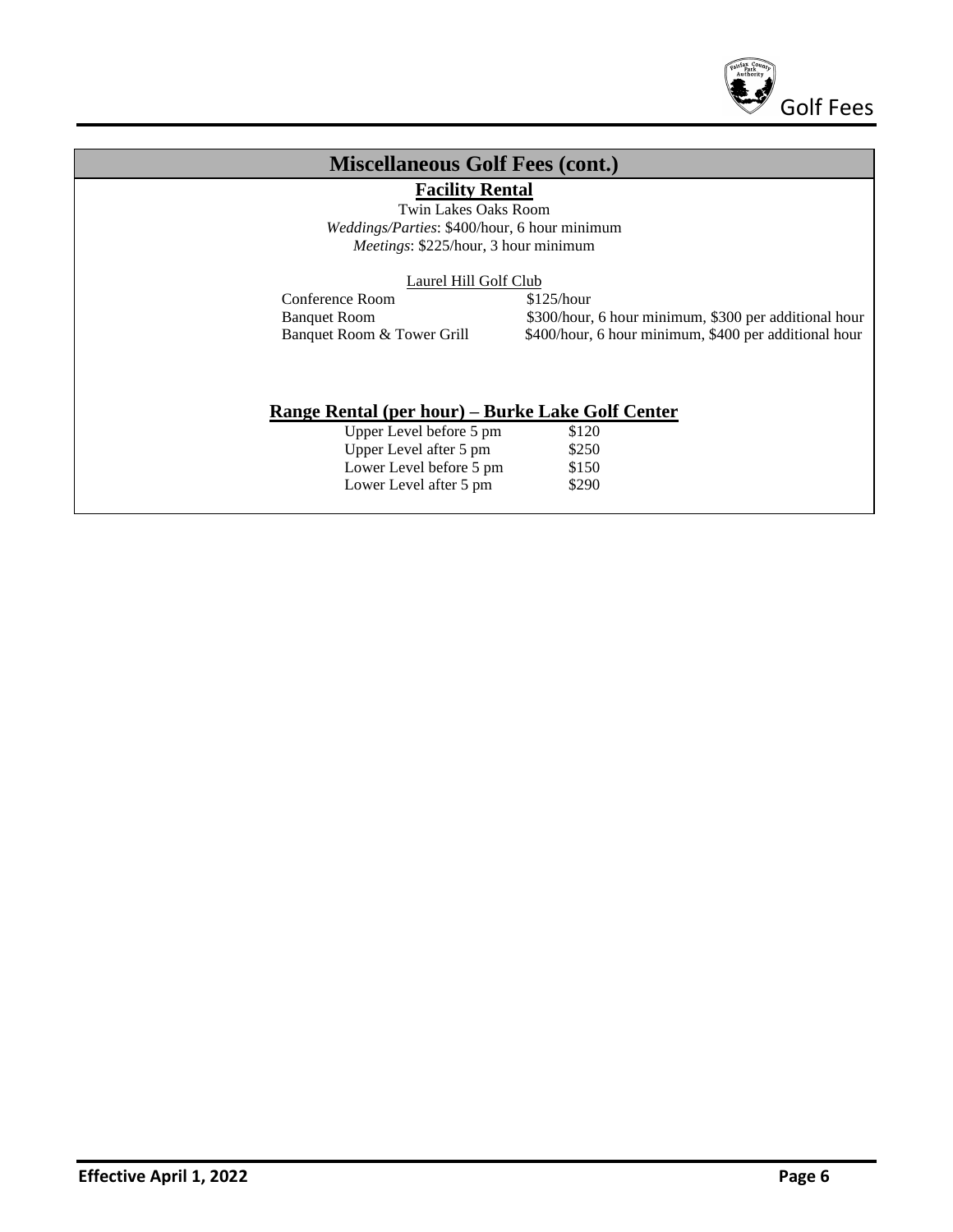

#### **Miscellaneous Golf Fees (cont.)**

**Facility Rental**

Twin Lakes Oaks Room *Weddings/Parties*: \$400/hour, 6 hour minimum *Meetings*: \$225/hour, 3 hour minimum

Laurel Hill Golf Club

Conference Room \$125/hour

Banquet Room  $$300/h$ our, 6 hour minimum, \$300 per additional hour<br>Banquet Room & Tower Grill  $$400/h$ our, 6 hour minimum, \$400 per additional hour \$400/hour, 6 hour minimum, \$400 per additional hour

#### **Range Rental (per hour) – Burke Lake Golf Center**

| Upper Level before 5 pm | \$120 |
|-------------------------|-------|
| Upper Level after 5 pm  | \$250 |
| Lower Level before 5 pm | \$150 |
| Lower Level after 5 pm  | \$290 |
|                         |       |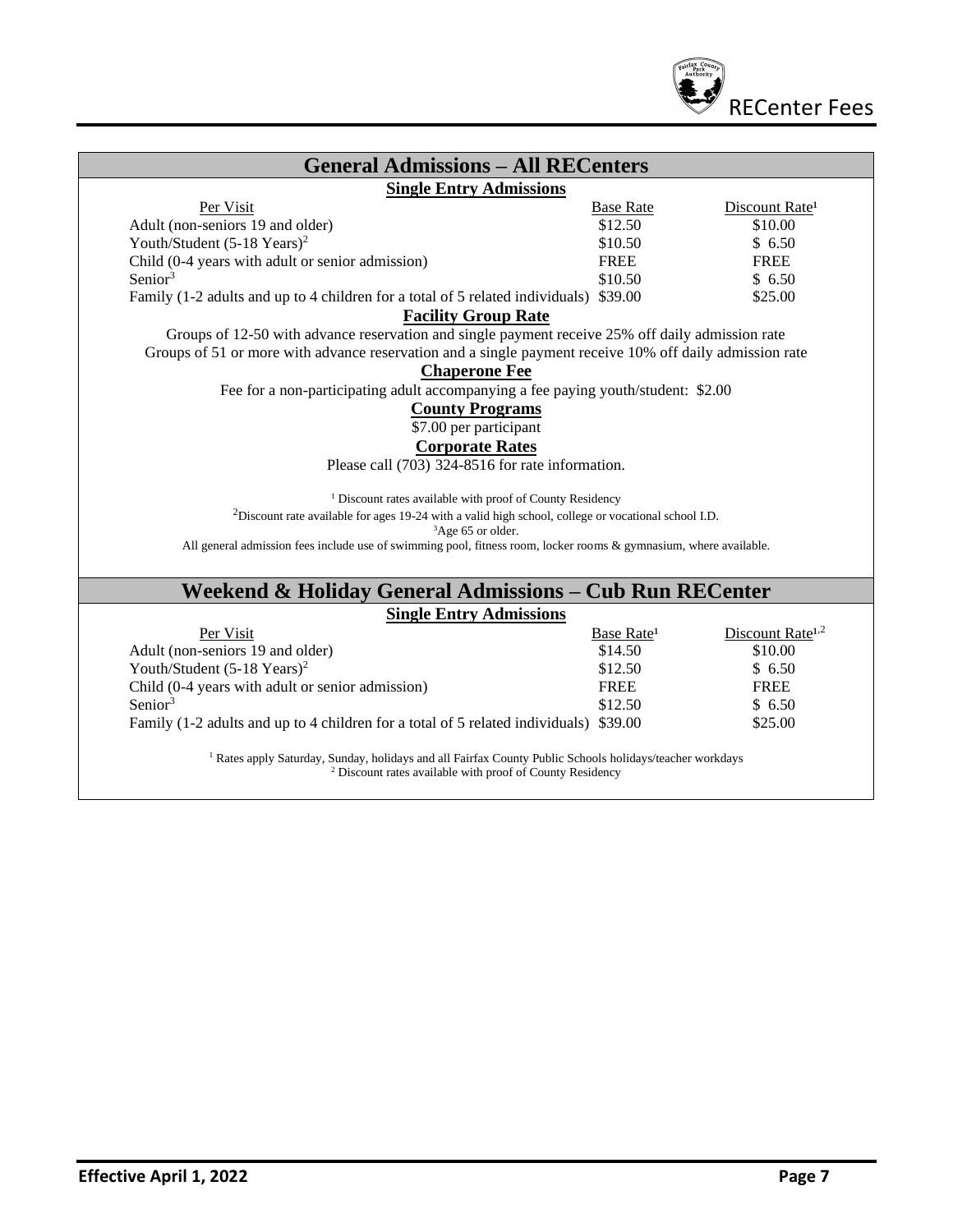

| <b>General Admissions – All RECenters</b>                                                                         |                        |                              |
|-------------------------------------------------------------------------------------------------------------------|------------------------|------------------------------|
| <b>Single Entry Admissions</b>                                                                                    |                        |                              |
| Per Visit                                                                                                         | <b>Base Rate</b>       | Discount Rate <sup>1</sup>   |
| Adult (non-seniors 19 and older)                                                                                  | \$12.50                | \$10.00                      |
| Youth/Student $(5-18$ Years) <sup>2</sup>                                                                         | \$10.50                | \$6.50                       |
| Child (0-4 years with adult or senior admission)                                                                  | <b>FREE</b>            | <b>FREE</b>                  |
| Senior $3$                                                                                                        | \$10.50                | \$6.50                       |
| Family (1-2 adults and up to 4 children for a total of 5 related individuals) \$39.00                             |                        | \$25.00                      |
| <b>Facility Group Rate</b>                                                                                        |                        |                              |
| Groups of 12-50 with advance reservation and single payment receive 25% off daily admission rate                  |                        |                              |
| Groups of 51 or more with advance reservation and a single payment receive 10% off daily admission rate           |                        |                              |
| <b>Chaperone Fee</b>                                                                                              |                        |                              |
| Fee for a non-participating adult accompanying a fee paying youth/student: \$2.00                                 |                        |                              |
| <b>County Programs</b>                                                                                            |                        |                              |
| \$7.00 per participant                                                                                            |                        |                              |
| <b>Corporate Rates</b>                                                                                            |                        |                              |
| Please call (703) 324-8516 for rate information.                                                                  |                        |                              |
|                                                                                                                   |                        |                              |
| <sup>1</sup> Discount rates available with proof of County Residency                                              |                        |                              |
| $2$ Discount rate available for ages 19-24 with a valid high school, college or vocational school I.D.            |                        |                              |
| ${}^{3}$ Age 65 or older.                                                                                         |                        |                              |
| All general admission fees include use of swimming pool, fitness room, locker rooms & gymnasium, where available. |                        |                              |
|                                                                                                                   |                        |                              |
| Weekend & Holiday General Admissions – Cub Run RECenter                                                           |                        |                              |
| <b>Single Entry Admissions</b>                                                                                    |                        |                              |
| Per Visit                                                                                                         | Base Rate <sup>1</sup> | Discount Rate <sup>1,2</sup> |
|                                                                                                                   | \$14.50                | \$10.00                      |
| Adult (non-seniors 19 and older)                                                                                  | \$12.50                | \$6.50                       |
| Youth/Student $(5-18$ Years) <sup>2</sup>                                                                         |                        |                              |
| Child (0-4 years with adult or senior admission)                                                                  | FREE                   | <b>FREE</b>                  |
| Senior <sup>3</sup>                                                                                               | \$12.50                | \$6.50                       |

<sup>2</sup> Discount rates available with proof of County Residency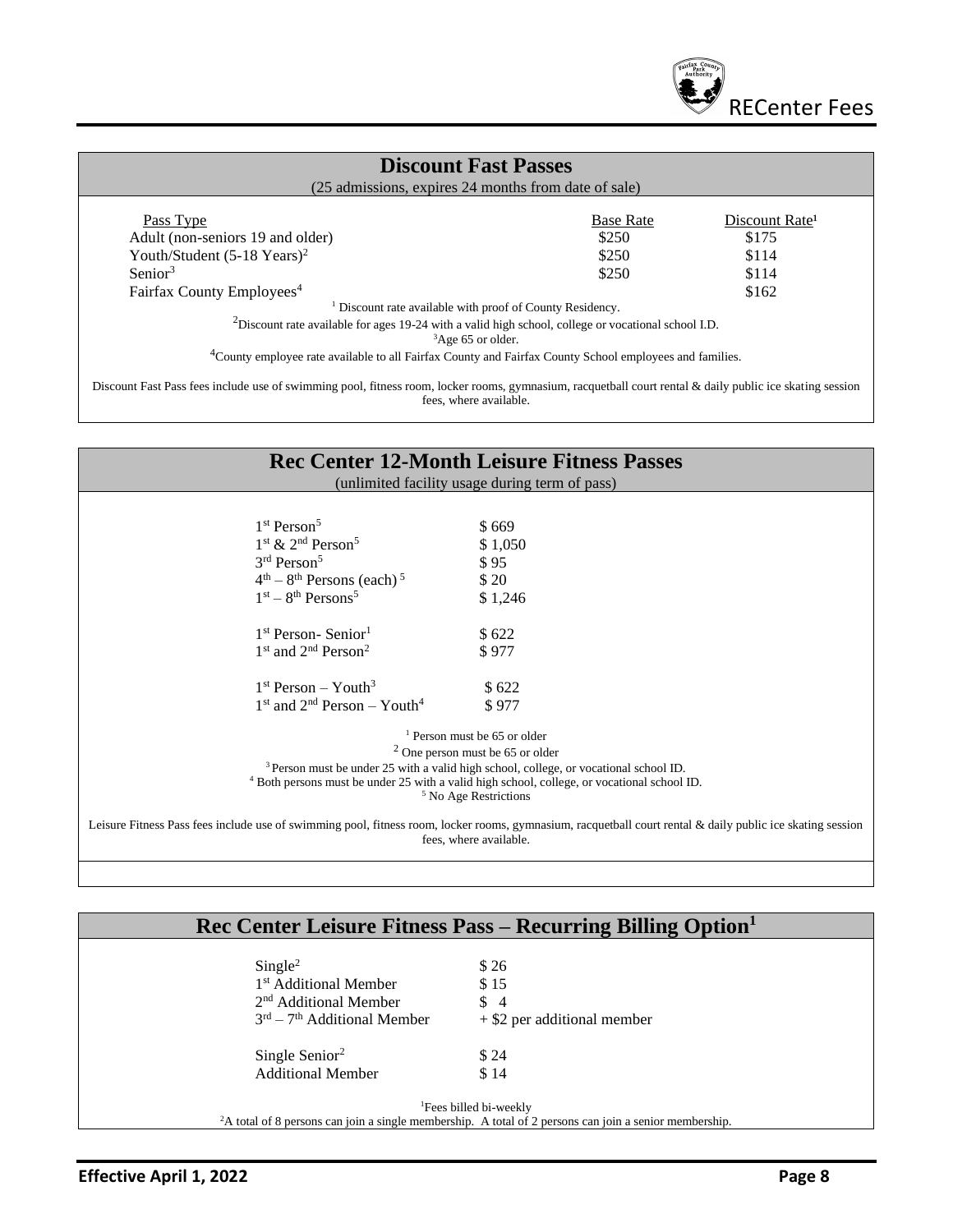

#### **Discount Fast Passes**

(25 admissions, expires 24 months from date of sale)

| Pass Type                                 | <b>Base Rate</b> | Discount Rate <sup>1</sup> |
|-------------------------------------------|------------------|----------------------------|
| Adult (non-seniors 19 and older)          | \$250            | \$175                      |
| Youth/Student $(5-18$ Years) <sup>2</sup> | \$250            | \$114                      |
| Senior <sup>3</sup>                       | \$250            | \$114                      |
| Fairfax County Employees <sup>4</sup>     |                  | \$162                      |

<sup>1</sup> Discount rate available with proof of County Residency.

<sup>2</sup>Discount rate available for ages 19-24 with a valid high school, college or vocational school I.D.

<sup>3</sup>Age 65 or older.

<sup>4</sup>County employee rate available to all Fairfax County and Fairfax County School employees and families.

Discount Fast Pass fees include use of swimming pool, fitness room, locker rooms, gymnasium, racquetball court rental & daily public ice skating session fees, where available.

|                                                         | <b>Rec Center 12-Month Leisure Fitness Passes</b><br>(unlimited facility usage during term of pass)                                                                                  |
|---------------------------------------------------------|--------------------------------------------------------------------------------------------------------------------------------------------------------------------------------------|
|                                                         |                                                                                                                                                                                      |
| 1 <sup>st</sup> Person <sup>5</sup>                     | \$669                                                                                                                                                                                |
| $1st$ & 2 <sup>nd</sup> Person <sup>5</sup>             | \$1,050                                                                                                                                                                              |
| 3rd Person <sup>5</sup>                                 | \$95                                                                                                                                                                                 |
| $4th - 8th$ Persons (each) <sup>5</sup>                 | \$20                                                                                                                                                                                 |
| $1st - 8th Persons5$                                    | \$1,246                                                                                                                                                                              |
| 1 <sup>st</sup> Person-Senior <sup>1</sup>              | \$622                                                                                                                                                                                |
| 1 <sup>st</sup> and 2 <sup>nd</sup> Person <sup>2</sup> | \$977                                                                                                                                                                                |
| $1st Person - Youth3$                                   | \$622                                                                                                                                                                                |
| $1st$ and $2nd$ Person – Youth <sup>4</sup>             | \$977                                                                                                                                                                                |
|                                                         | $1$ Person must be 65 or older                                                                                                                                                       |
|                                                         | $2$ One person must be 65 or older                                                                                                                                                   |
|                                                         | <sup>3</sup> Person must be under 25 with a valid high school, college, or vocational school ID.                                                                                     |
|                                                         | <sup>4</sup> Both persons must be under 25 with a valid high school, college, or vocational school ID.<br><sup>5</sup> No Age Restrictions                                           |
|                                                         | Leisure Fitness Pass fees include use of swimming pool, fitness room, locker rooms, gymnasium, racquetball court rental & daily public ice skating session<br>fees, where available. |

## **Rec Center Leisure Fitness Pass – Recurring Billing Option<sup>1</sup>**

| \$26                                                                                                                                                     |
|----------------------------------------------------------------------------------------------------------------------------------------------------------|
| 1 <sup>st</sup> Additional Member<br>\$15                                                                                                                |
| 2 <sup>nd</sup> Additional Member<br>$\frac{1}{2}$                                                                                                       |
| $3rd - 7th$ Additional Member<br>$+$ \$2 per additional member                                                                                           |
| \$24                                                                                                                                                     |
| \$14                                                                                                                                                     |
|                                                                                                                                                          |
| <sup>1</sup> Fees billed bi-weekly<br><sup>2</sup> A total of 8 persons can join a single membership. A total of 2 persons can join a senior membership. |
|                                                                                                                                                          |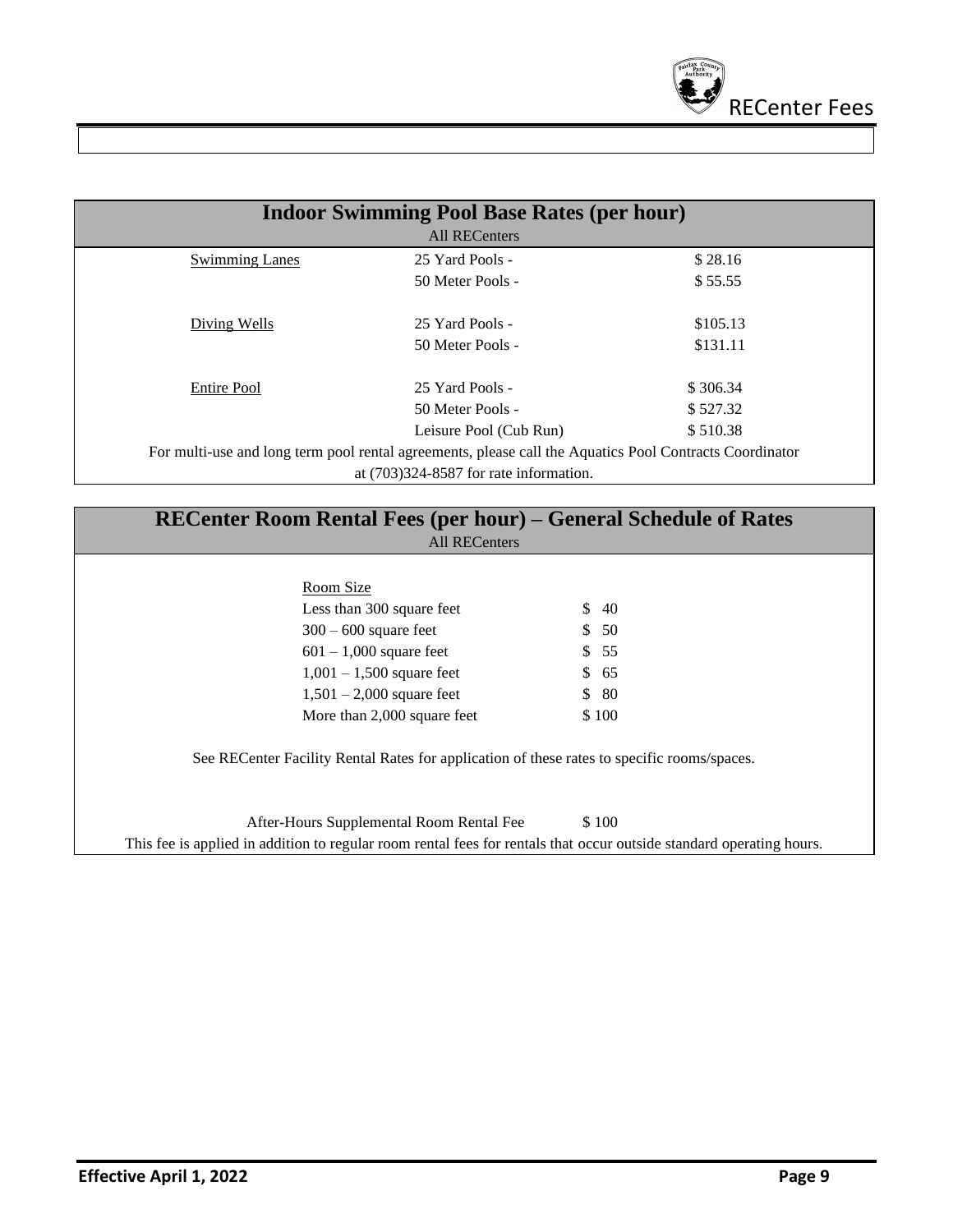

|                       | <b>Indoor Swimming Pool Base Rates (per hour)</b>                                                       |          |
|-----------------------|---------------------------------------------------------------------------------------------------------|----------|
|                       | <b>All RECenters</b>                                                                                    |          |
| <b>Swimming Lanes</b> | 25 Yard Pools -                                                                                         | \$28.16  |
|                       | 50 Meter Pools -                                                                                        | \$55.55  |
| Diving Wells          | 25 Yard Pools -                                                                                         | \$105.13 |
|                       | 50 Meter Pools -                                                                                        | \$131.11 |
| Entire Pool           | 25 Yard Pools -                                                                                         | \$306.34 |
|                       | 50 Meter Pools -                                                                                        | \$527.32 |
|                       | Leisure Pool (Cub Run)                                                                                  | \$510.38 |
|                       | For multi-use and long term pool rental agreements, please call the Aquatics Pool Contracts Coordinator |          |
|                       | at $(703)324 - 8587$ for rate information.                                                              |          |

| Room Size                   |                                                                                             |
|-----------------------------|---------------------------------------------------------------------------------------------|
| Less than 300 square feet   | \$40                                                                                        |
| $300 - 600$ square feet     | \$50                                                                                        |
| $601 - 1,000$ square feet   | \$55                                                                                        |
| $1,001 - 1,500$ square feet | \$65                                                                                        |
| $1,501 - 2,000$ square feet | \$80                                                                                        |
| More than 2,000 square feet | \$100                                                                                       |
|                             | See RECenter Facility Rental Rates for application of these rates to specific rooms/spaces. |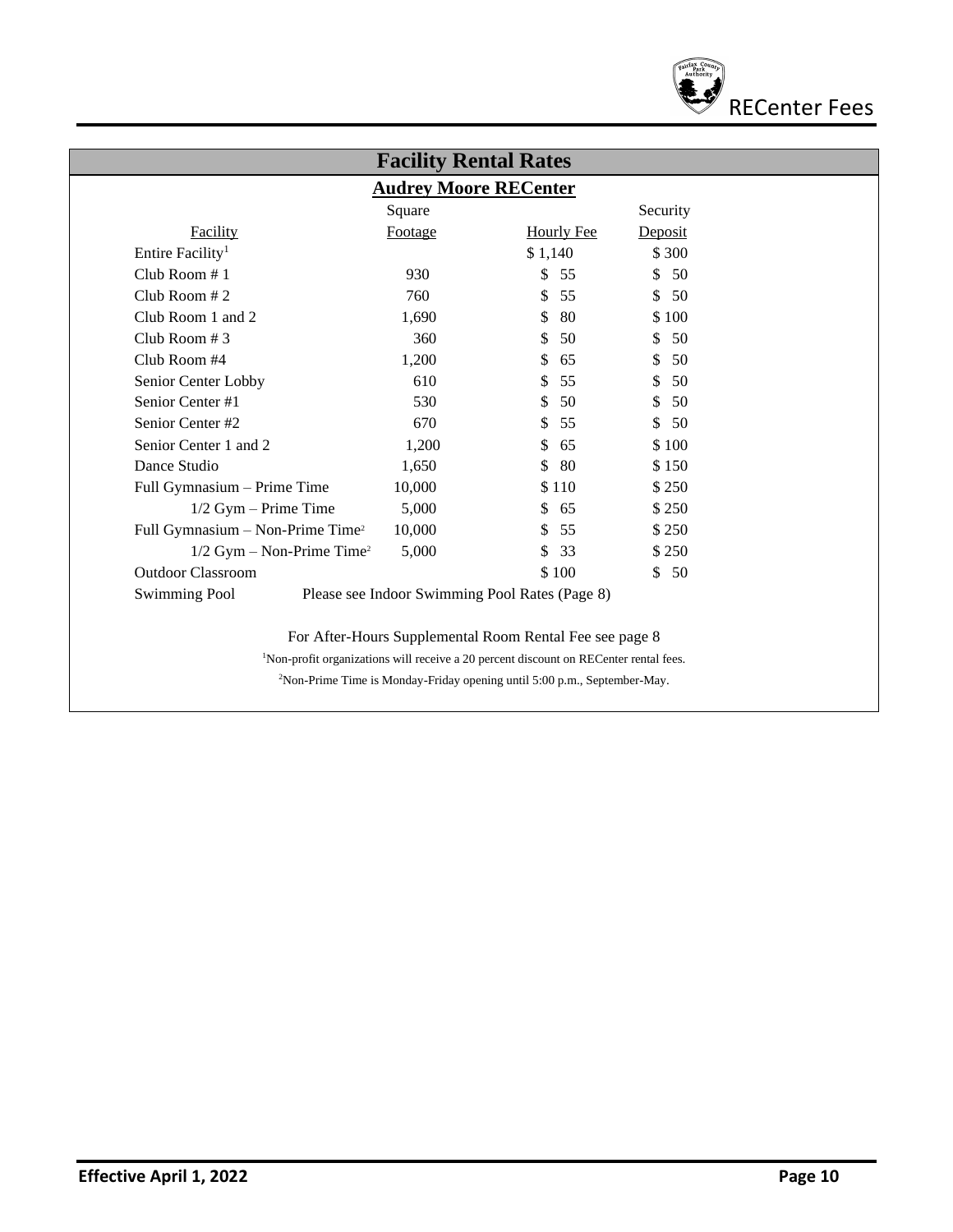

| <b>Audrey Moore RECenter</b>                 |         |                                                |          |
|----------------------------------------------|---------|------------------------------------------------|----------|
|                                              | Square  |                                                | Security |
| Facility                                     | Footage | <b>Hourly Fee</b>                              | Deposit  |
| Entire Facility <sup>1</sup>                 |         | \$1,140                                        | \$300    |
| Club Room $# 1$                              | 930     | \$<br>55                                       | \$<br>50 |
| Club Room #2                                 | 760     | \$<br>55                                       | \$50     |
| Club Room 1 and 2                            | 1,690   | \$<br>80                                       | \$100    |
| Club Room #3                                 | 360     | \$<br>50                                       | \$<br>50 |
| Club Room #4                                 | 1,200   | \$<br>65                                       | \$<br>50 |
| Senior Center Lobby                          | 610     | 55<br>\$                                       | \$<br>50 |
| Senior Center#1                              | 530     | \$<br>50                                       | \$<br>50 |
| Senior Center #2                             | 670     | 55<br>\$                                       | \$50     |
| Senior Center 1 and 2                        | 1,200   | \$<br>65                                       | \$100    |
| Dance Studio                                 | 1,650   | \$<br>80                                       | \$150    |
| Full Gymnasium - Prime Time                  | 10,000  | \$110                                          | \$250    |
| $1/2$ Gym - Prime Time                       | 5,000   | \$<br>65                                       | \$250    |
| Full Gymnasium - Non-Prime Time <sup>2</sup> | 10,000  | \$<br>55                                       | \$250    |
| $1/2$ Gym – Non-Prime Time <sup>2</sup>      | 5,000   | \$<br>33                                       | \$250    |
| <b>Outdoor Classroom</b>                     |         | \$100                                          | \$50     |
| <b>Swimming Pool</b>                         |         | Please see Indoor Swimming Pool Rates (Page 8) |          |

2Non-Prime Time is Monday-Friday opening until 5:00 p.m., September-May.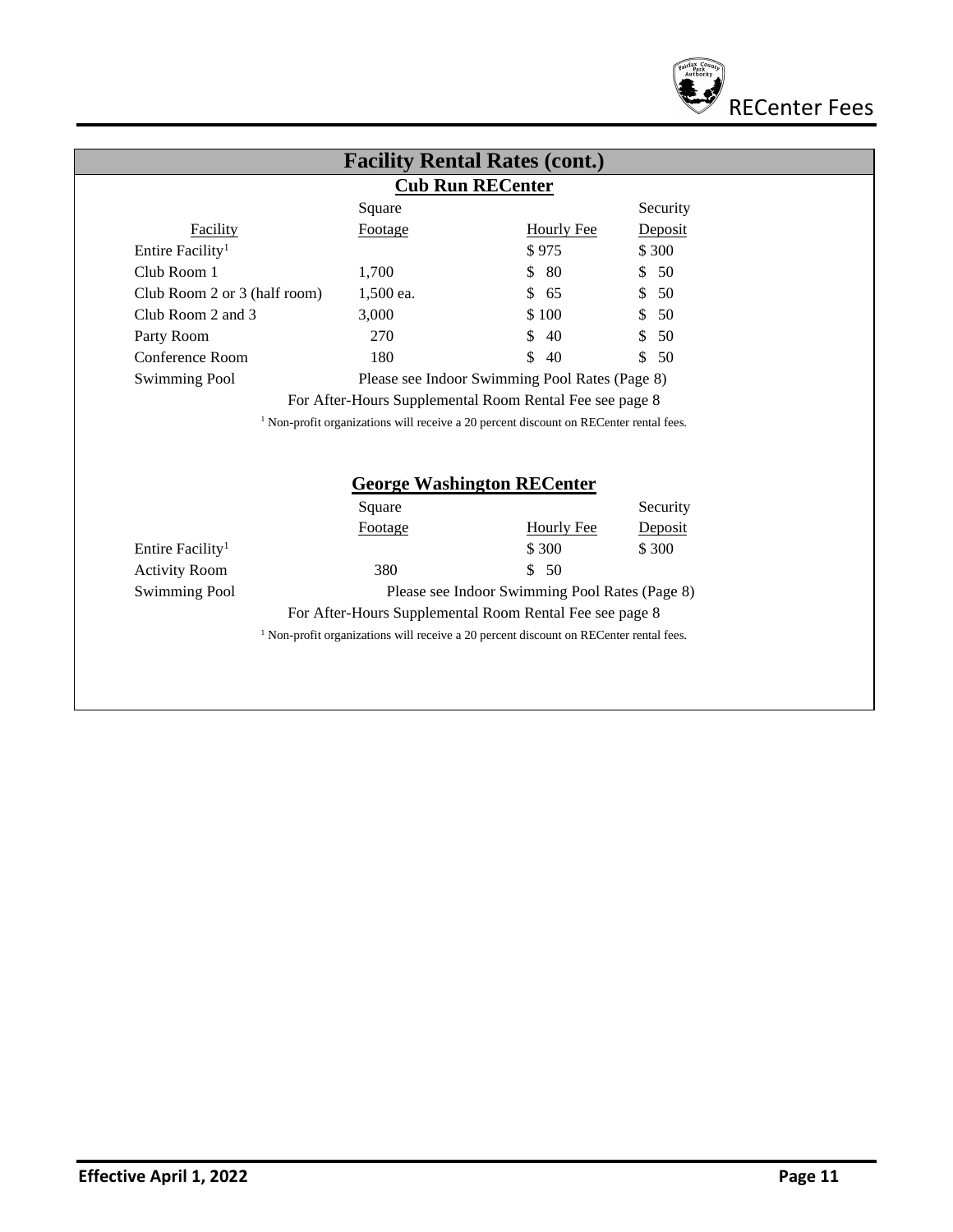

|                                                                              |                   | <b>Cub Run RECenter</b>                                                                  |                              |
|------------------------------------------------------------------------------|-------------------|------------------------------------------------------------------------------------------|------------------------------|
|                                                                              | Square            |                                                                                          | Security                     |
| <b>Facility</b>                                                              | Footage           | <b>Hourly Fee</b>                                                                        | Deposit                      |
| Entire Facility <sup>1</sup>                                                 |                   | \$975                                                                                    | \$300                        |
| Club Room 1                                                                  | 1,700             | -80<br>\$                                                                                | 50<br>$\mathbb{S}^-$         |
| Club Room 2 or 3 (half room)                                                 | 1,500 ea.         | \$<br>65                                                                                 | 50<br>\$                     |
| Club Room 2 and 3                                                            | 3,000             | \$100                                                                                    | 50<br>\$                     |
| Party Room                                                                   | 270               | \$<br>40                                                                                 | S.<br>50                     |
| <b>Conference Room</b>                                                       | 180               | \$<br>40                                                                                 | \$<br>50                     |
| <b>Swimming Pool</b>                                                         |                   | Please see Indoor Swimming Pool Rates (Page 8)                                           |                              |
|                                                                              |                   | For After-Hours Supplemental Room Rental Fee see page 8                                  |                              |
|                                                                              |                   |                                                                                          |                              |
|                                                                              |                   | $1$ Non-profit organizations will receive a 20 percent discount on RECenter rental fees. |                              |
|                                                                              | Square<br>Footage | <b>George Washington RECenter</b><br>Hourly Fee<br>\$300                                 | Security<br>Deposit<br>\$300 |
|                                                                              | 380               | \$50                                                                                     |                              |
| Entire Facility <sup>1</sup><br><b>Activity Room</b><br><b>Swimming Pool</b> |                   | Please see Indoor Swimming Pool Rates (Page 8)                                           |                              |
|                                                                              |                   | For After-Hours Supplemental Room Rental Fee see page 8                                  |                              |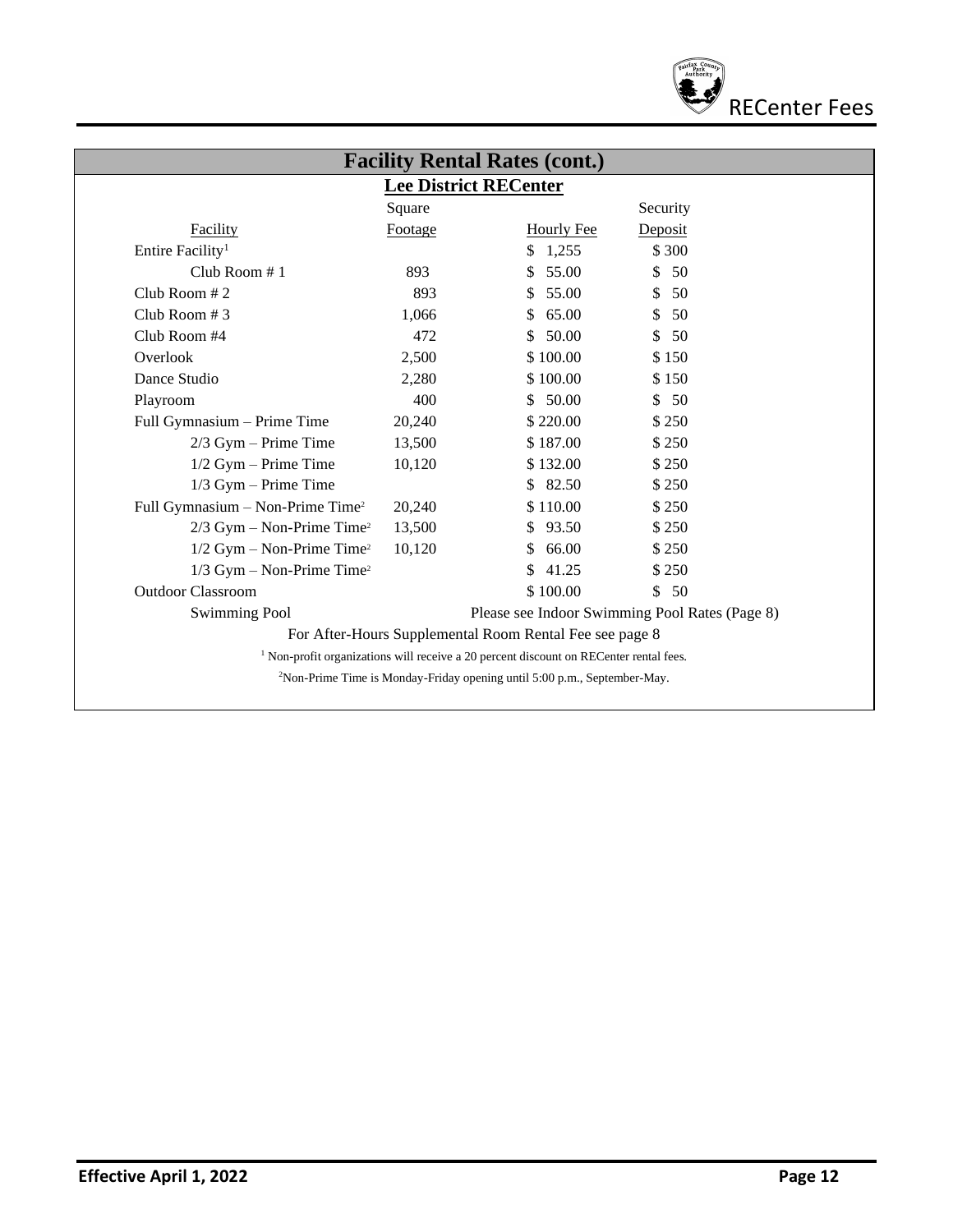

|                                              | Square  | <b>Lee District RECenter</b>                            | Security                                       |
|----------------------------------------------|---------|---------------------------------------------------------|------------------------------------------------|
| Facility                                     | Footage | <b>Hourly Fee</b>                                       | Deposit                                        |
| Entire Facility <sup>1</sup>                 |         | 1,255<br>\$                                             | \$ 300                                         |
| Club Room $# 1$                              | 893     | 55.00<br>S.                                             | \$50                                           |
| Club Room $# 2$                              | 893     | 55.00<br>\$                                             | 50<br>\$                                       |
| Club Room #3                                 | 1,066   | 65.00<br>S.                                             | 50<br>S.                                       |
| Club Room #4                                 | 472     | \$50.00                                                 | \$<br>- 50                                     |
| Overlook                                     | 2,500   | \$100.00                                                | \$150                                          |
| Dance Studio                                 | 2,280   | \$100.00                                                | \$150                                          |
| Playroom                                     | 400     | \$50.00                                                 | \$50                                           |
| Full Gymnasium – Prime Time                  | 20,240  | \$220.00                                                | \$250                                          |
| $2/3$ Gym – Prime Time                       | 13,500  | \$187.00                                                | \$250                                          |
| $1/2$ Gym – Prime Time                       | 10,120  | \$132.00                                                | \$250                                          |
| $1/3$ Gym - Prime Time                       |         | \$82.50                                                 | \$250                                          |
| Full Gymnasium - Non-Prime Time <sup>2</sup> | 20,240  | \$110.00                                                | \$250                                          |
| $2/3$ Gym - Non-Prime Time <sup>2</sup>      | 13,500  | \$93.50                                                 | \$250                                          |
| $1/2$ Gym – Non-Prime Time <sup>2</sup>      | 10,120  | 66.00<br>S.                                             | \$250                                          |
| $1/3$ Gym – Non-Prime Time <sup>2</sup>      |         | 41.25<br>\$.                                            | \$250                                          |
| <b>Outdoor Classroom</b>                     |         | \$100.00                                                | \$50                                           |
| <b>Swimming Pool</b>                         |         |                                                         | Please see Indoor Swimming Pool Rates (Page 8) |
|                                              |         | For After-Hours Supplemental Room Rental Fee see page 8 |                                                |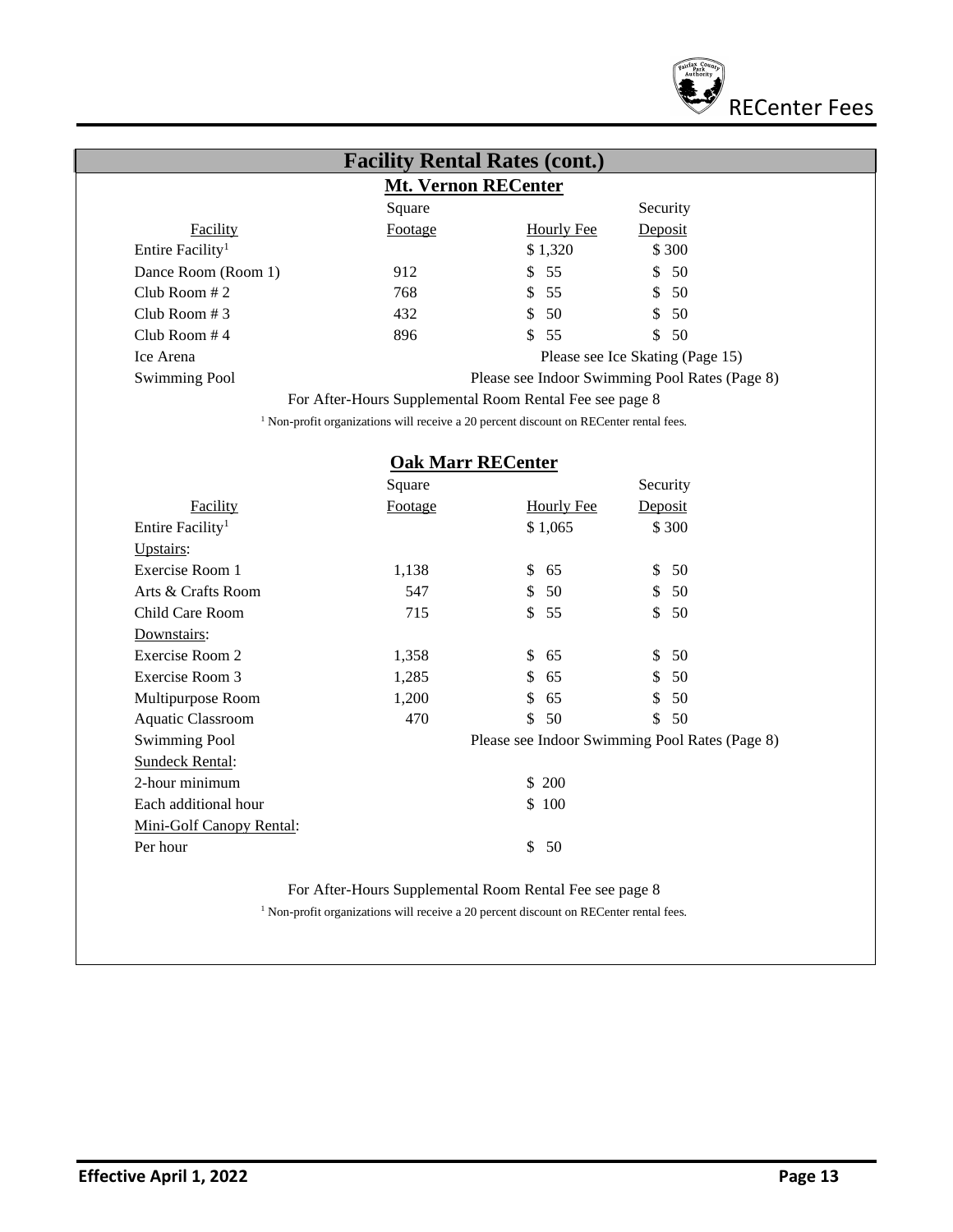

| <b>Facility Rental Rates (cont.)</b><br><b>Mt. Vernon RECenter</b> |                                                                                                   |                                                |                                  |  |
|--------------------------------------------------------------------|---------------------------------------------------------------------------------------------------|------------------------------------------------|----------------------------------|--|
|                                                                    | Square                                                                                            |                                                | Security                         |  |
| Facility                                                           | Footage                                                                                           | <b>Hourly Fee</b>                              | Deposit                          |  |
| Entire Facility <sup>1</sup>                                       |                                                                                                   | \$1,320                                        | \$300                            |  |
| Dance Room (Room 1)                                                | 912                                                                                               | 55<br>\$                                       | \$<br>50                         |  |
| Club Room #2                                                       | 768                                                                                               | \$<br>55                                       | \$<br>50                         |  |
| Club Room #3                                                       | 432                                                                                               | \$<br>50                                       | \$<br>50                         |  |
| Club Room #4                                                       | 896                                                                                               | \$<br>55                                       | 50<br>\$                         |  |
| Ice Arena                                                          |                                                                                                   |                                                | Please see Ice Skating (Page 15) |  |
| <b>Swimming Pool</b>                                               |                                                                                                   | Please see Indoor Swimming Pool Rates (Page 8) |                                  |  |
|                                                                    | For After-Hours Supplemental Room Rental Fee see page 8                                           |                                                |                                  |  |
|                                                                    | <sup>1</sup> Non-profit organizations will receive a 20 percent discount on RECenter rental fees. |                                                |                                  |  |
|                                                                    |                                                                                                   |                                                |                                  |  |
|                                                                    | <b>Oak Marr RECenter</b>                                                                          |                                                |                                  |  |
|                                                                    | Square                                                                                            |                                                | Security                         |  |
| Facility                                                           | Footage                                                                                           | <b>Hourly Fee</b>                              | Deposit                          |  |
| Entire Facility <sup>1</sup>                                       |                                                                                                   | \$1,065                                        | \$300                            |  |
| Upstairs:                                                          |                                                                                                   |                                                |                                  |  |
| Exercise Room 1                                                    | 1,138                                                                                             | \$<br>65                                       | \$<br>50                         |  |
| Arts & Crafts Room                                                 | 547                                                                                               | \$<br>50                                       | $\mathbb{S}$<br>50               |  |
| Child Care Room                                                    | 715                                                                                               | \$<br>55                                       | $\mathbb{S}$<br>50               |  |
| Downstairs:                                                        |                                                                                                   |                                                |                                  |  |
| Exercise Room 2                                                    | 1,358                                                                                             | \$<br>65                                       | \$<br>50                         |  |
| Exercise Room 3                                                    | 1,285                                                                                             | \$<br>65                                       | \$<br>50                         |  |
| Multipurpose Room                                                  | 1,200                                                                                             | \$<br>65                                       | 50<br>\$                         |  |
| Aquatic Classroom                                                  | 470                                                                                               | \$<br>50                                       | \$<br>50                         |  |
| <b>Swimming Pool</b>                                               |                                                                                                   | Please see Indoor Swimming Pool Rates (Page 8) |                                  |  |
| <b>Sundeck Rental:</b>                                             |                                                                                                   |                                                |                                  |  |
| 2-hour minimum                                                     |                                                                                                   | \$200                                          |                                  |  |
| Each additional hour                                               |                                                                                                   | \$100                                          |                                  |  |
| Mini-Golf Canopy Rental:                                           |                                                                                                   |                                                |                                  |  |

For After-Hours Supplemental Room Rental Fee see page 8

Per hour \$ 50

 $^{\rm 1}$  Non-profit organizations will receive a 20 percent discount on RECenter rental fees.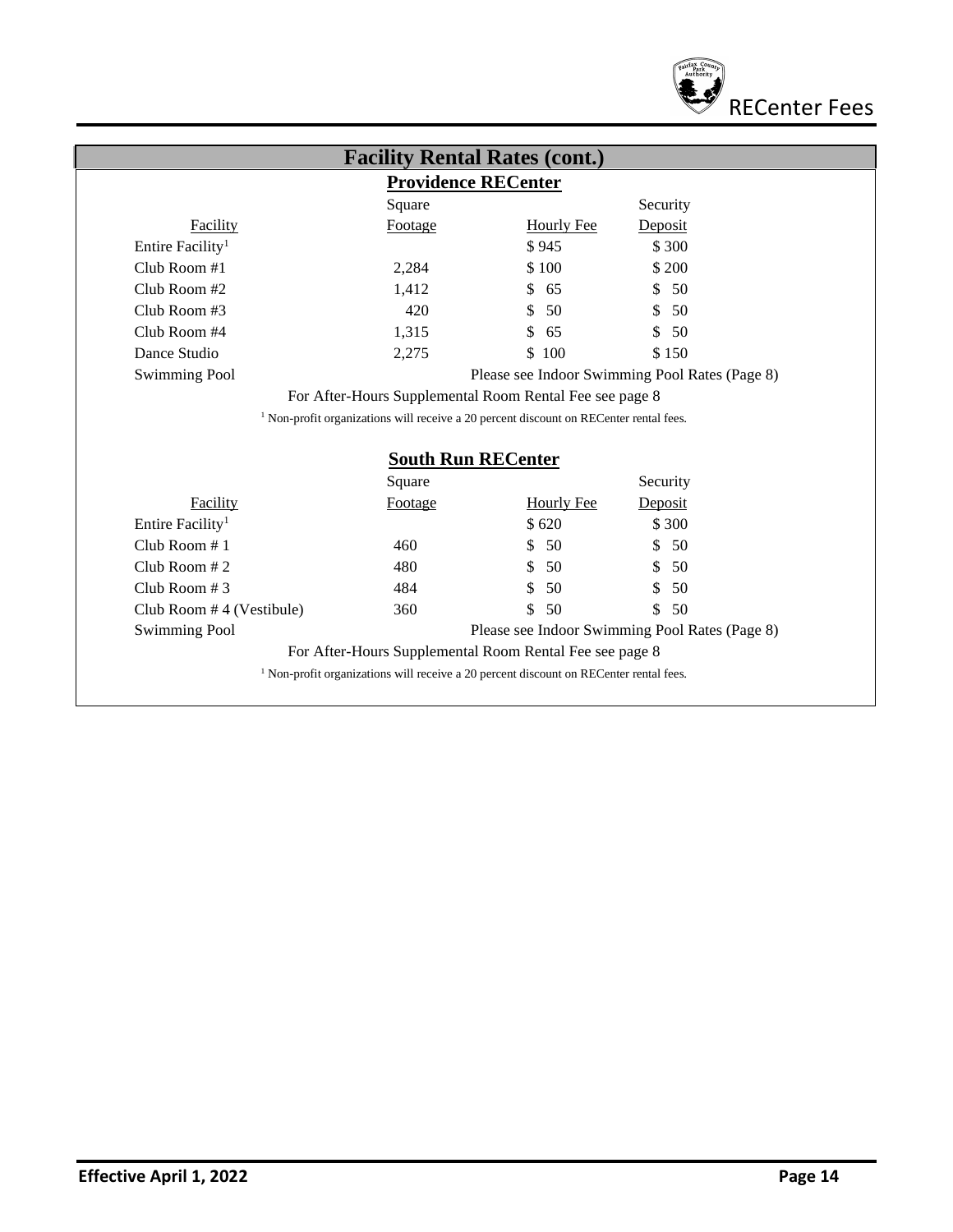

| <b>Providence RECenter</b>                  |                                     |                                                                                                   |                                                |  |
|---------------------------------------------|-------------------------------------|---------------------------------------------------------------------------------------------------|------------------------------------------------|--|
|                                             | Square                              |                                                                                                   | Security                                       |  |
| <b>Facility</b>                             | Footage                             | <b>Hourly Fee</b>                                                                                 | Deposit                                        |  |
| Entire Facility <sup>1</sup>                |                                     | \$945                                                                                             | \$ 300                                         |  |
| Club Room $#1$                              | 2,284                               | \$100                                                                                             | \$ 200                                         |  |
| Club Room $#2$                              | 1,412                               | \$<br>65                                                                                          | \$<br>50                                       |  |
| Club Room $#3$                              | 420                                 | 50<br>\$                                                                                          | 50<br>\$                                       |  |
| Club Room #4                                | 1,315                               | S<br>65                                                                                           | \$<br>50                                       |  |
| Dance Studio                                | 2,275                               | 100<br>\$                                                                                         | \$150                                          |  |
| <b>Swimming Pool</b>                        |                                     |                                                                                                   | Please see Indoor Swimming Pool Rates (Page 8) |  |
|                                             |                                     | For After-Hours Supplemental Room Rental Fee see page 8                                           |                                                |  |
|                                             |                                     | <sup>1</sup> Non-profit organizations will receive a 20 percent discount on RECenter rental fees. |                                                |  |
|                                             |                                     |                                                                                                   |                                                |  |
|                                             |                                     |                                                                                                   |                                                |  |
|                                             | <b>South Run RECenter</b><br>Square |                                                                                                   | Security                                       |  |
| Facility                                    | <b>Footage</b>                      | <b>Hourly Fee</b>                                                                                 | Deposit                                        |  |
| Entire Facility <sup>1</sup>                |                                     | \$620                                                                                             | \$300                                          |  |
| Club Room $# 1$                             | 460                                 | 50<br>S                                                                                           | \$<br>50                                       |  |
| Club Room $# 2$                             | 480                                 | \$<br>50                                                                                          | 50<br>\$                                       |  |
|                                             | 484                                 | \$<br>50                                                                                          | \$.<br>50                                      |  |
| Club Room $# 3$<br>Club Room #4 (Vestibule) | 360                                 | \$<br>50                                                                                          | \$<br>50                                       |  |
| <b>Swimming Pool</b>                        |                                     |                                                                                                   | Please see Indoor Swimming Pool Rates (Page 8) |  |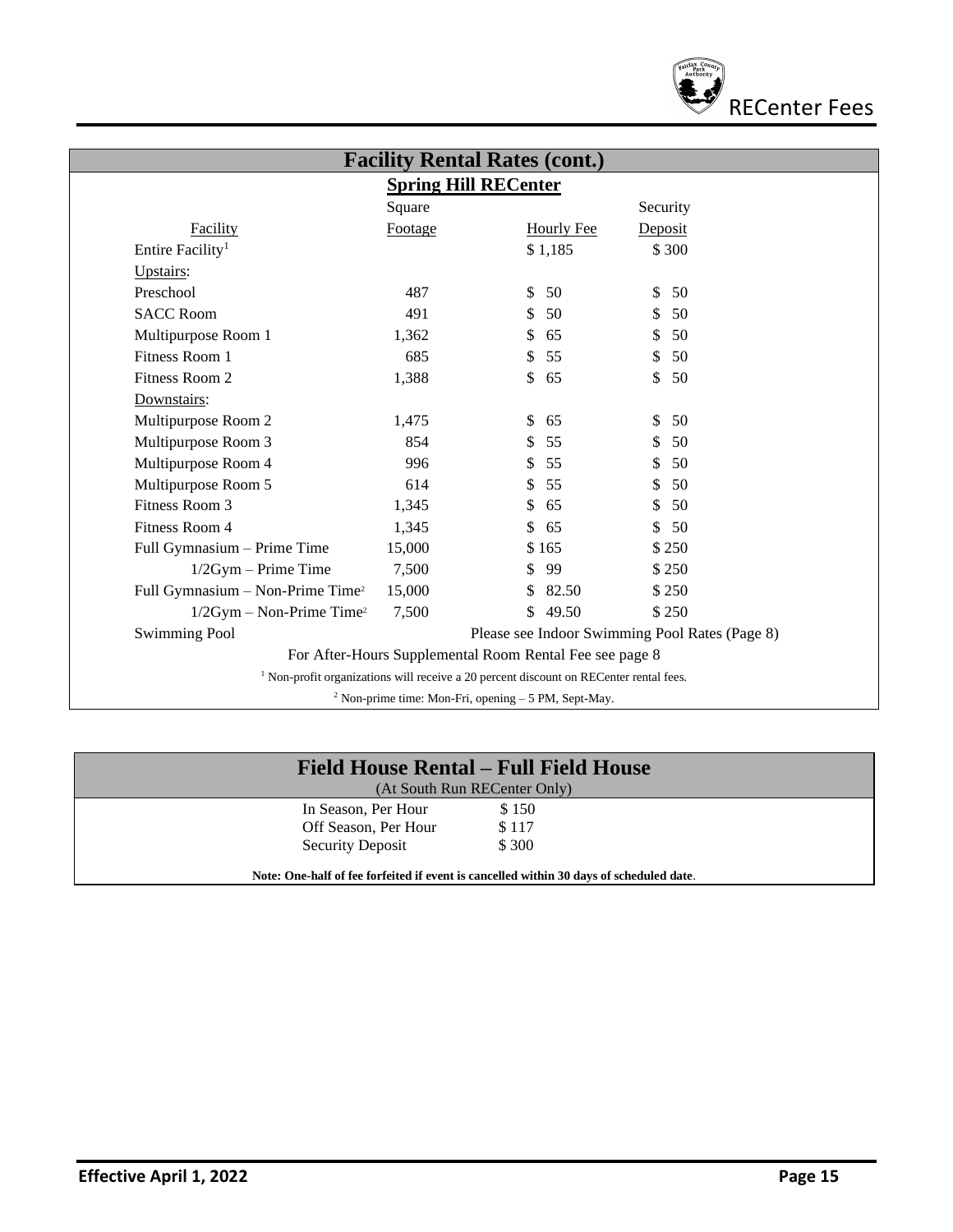

| <b>Spring Hill RECenter</b>                  |         |                                                                                                   |                                                |  |
|----------------------------------------------|---------|---------------------------------------------------------------------------------------------------|------------------------------------------------|--|
|                                              | Square  |                                                                                                   | Security                                       |  |
| Facility                                     | Footage | <b>Hourly Fee</b>                                                                                 | Deposit                                        |  |
| Entire Facility <sup>1</sup>                 |         | \$1,185                                                                                           | \$300                                          |  |
| Upstairs:                                    |         |                                                                                                   |                                                |  |
| Preschool                                    | 487     | 50<br>\$                                                                                          | \$<br>50                                       |  |
| <b>SACC Room</b>                             | 491     | 50<br>S                                                                                           | 50<br>S                                        |  |
| Multipurpose Room 1                          | 1,362   | \$<br>65                                                                                          | \$<br>50                                       |  |
| Fitness Room 1                               | 685     | 55<br>\$                                                                                          | \$<br>50                                       |  |
| Fitness Room 2                               | 1,388   | \$<br>65                                                                                          | \$<br>50                                       |  |
| Downstairs:                                  |         |                                                                                                   |                                                |  |
| Multipurpose Room 2                          | 1,475   | \$<br>65                                                                                          | \$<br>50                                       |  |
| Multipurpose Room 3                          | 854     | 55<br>\$                                                                                          | \$<br>50                                       |  |
| Multipurpose Room 4                          | 996     | 55<br>S                                                                                           | \$<br>50                                       |  |
| Multipurpose Room 5                          | 614     | 55<br>\$                                                                                          | \$<br>50                                       |  |
| Fitness Room 3                               | 1,345   | \$<br>65                                                                                          | \$<br>50                                       |  |
| Fitness Room 4                               | 1,345   | \$<br>65                                                                                          | \$<br>50                                       |  |
| Full Gymnasium - Prime Time                  | 15,000  | \$165                                                                                             | \$250                                          |  |
| $1/2Gym - Prime Time$                        | 7,500   | 99<br>S                                                                                           | \$250                                          |  |
| Full Gymnasium - Non-Prime Time <sup>2</sup> | 15,000  | 82.50<br>\$                                                                                       | \$250                                          |  |
| $1/2Gym - Non-Prime Time2$                   | 7,500   | \$<br>49.50                                                                                       | \$250                                          |  |
| <b>Swimming Pool</b>                         |         |                                                                                                   | Please see Indoor Swimming Pool Rates (Page 8) |  |
|                                              |         | For After-Hours Supplemental Room Rental Fee see page 8                                           |                                                |  |
|                                              |         | <sup>1</sup> Non-profit organizations will receive a 20 percent discount on RECenter rental fees. |                                                |  |

| Field House Rental – Full Field House<br>(At South Run RECenter Only)                   |                |  |  |
|-----------------------------------------------------------------------------------------|----------------|--|--|
| In Season, Per Hour<br>Off Season, Per Hour                                             | \$150<br>\$117 |  |  |
| Security Deposit                                                                        | \$ 300         |  |  |
| Note: One-half of fee forfeited if event is cancelled within 30 days of scheduled date. |                |  |  |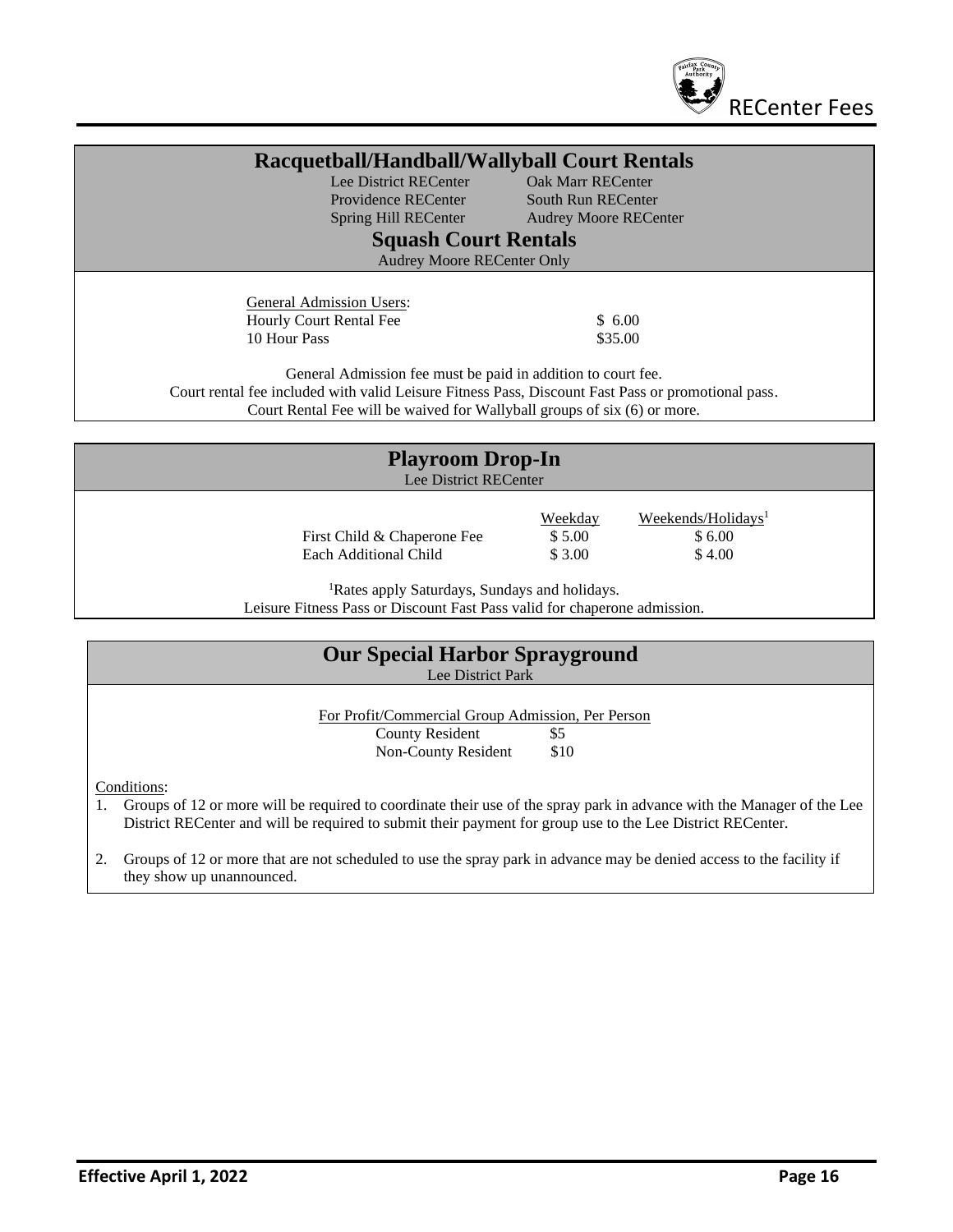

| Racquetball/Handball/Wallyball Court Rentals                                                                                                                       |                              |  |  |  |
|--------------------------------------------------------------------------------------------------------------------------------------------------------------------|------------------------------|--|--|--|
| Lee District RECenter                                                                                                                                              | <b>Oak Marr RECenter</b>     |  |  |  |
| Providence RECenter                                                                                                                                                | <b>South Run RECenter</b>    |  |  |  |
| Spring Hill RECenter                                                                                                                                               | <b>Audrey Moore RECenter</b> |  |  |  |
| <b>Squash Court Rentals</b>                                                                                                                                        |                              |  |  |  |
| <b>Audrey Moore RECenter Only</b>                                                                                                                                  |                              |  |  |  |
|                                                                                                                                                                    |                              |  |  |  |
| <b>General Admission Users:</b>                                                                                                                                    |                              |  |  |  |
| Hourly Court Rental Fee                                                                                                                                            | \$6.00                       |  |  |  |
| 10 Hour Pass                                                                                                                                                       | \$35.00                      |  |  |  |
|                                                                                                                                                                    |                              |  |  |  |
| General Admission fee must be paid in addition to court fee.<br>Court rental fee included with valid Leisure Fitness Pass, Discount Fast Pass or promotional pass. |                              |  |  |  |
| Court Rental Fee will be waived for Wallyball groups of six (6) or more.                                                                                           |                              |  |  |  |
|                                                                                                                                                                    |                              |  |  |  |
|                                                                                                                                                                    |                              |  |  |  |
| <b>Playroom Drop-In</b>                                                                                                                                            |                              |  |  |  |
| Lee District RECenter                                                                                                                                              |                              |  |  |  |
|                                                                                                                                                                    |                              |  |  |  |

First Child & Chaperone Fee  $$5.00$   $$6.00$ <br>Each Additional Child  $$3.00$   $$4.00$ Each Additional Child \$ 3.00

Weekday Weekends/Holidays<sup>1</sup>

<sup>1</sup>Rates apply Saturdays, Sundays and holidays.

Leisure Fitness Pass or Discount Fast Pass valid for chaperone admission.

| <b>Our Special Harbor Sprayground</b><br>Lee District Park                         |      |  |  |
|------------------------------------------------------------------------------------|------|--|--|
| For Profit/Commercial Group Admission, Per Person<br><b>County Resident</b><br>\$5 |      |  |  |
| Non-County Resident<br>Conditions:                                                 | \$10 |  |  |

1. Groups of 12 or more will be required to coordinate their use of the spray park in advance with the Manager of the Lee District RECenter and will be required to submit their payment for group use to the Lee District RECenter.

2. Groups of 12 or more that are not scheduled to use the spray park in advance may be denied access to the facility if they show up unannounced.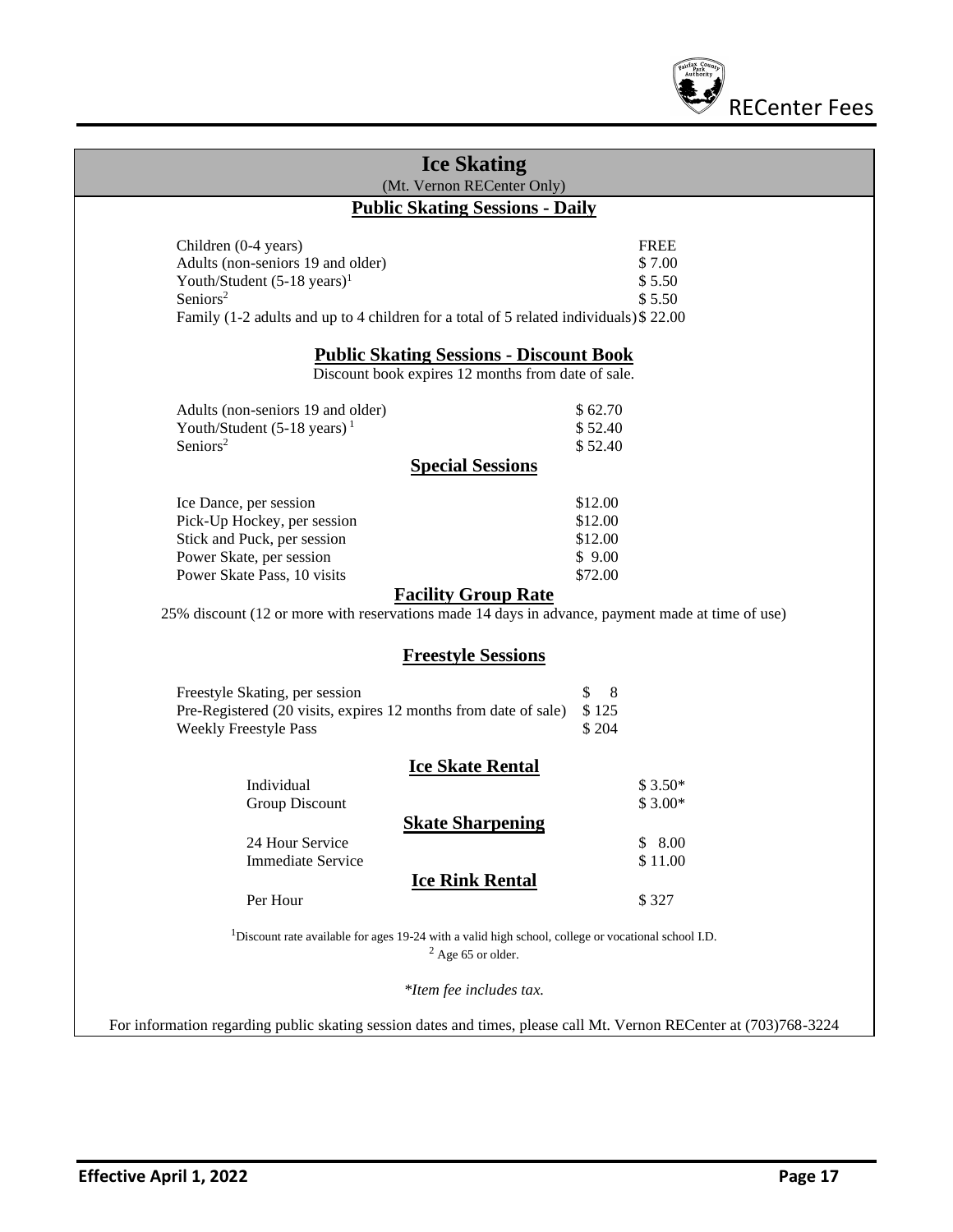

| <b>Ice Skating</b><br>(Mt. Vernon RECenter Only)                                                                                                                                                                                                                                  |                                                    |  |  |  |
|-----------------------------------------------------------------------------------------------------------------------------------------------------------------------------------------------------------------------------------------------------------------------------------|----------------------------------------------------|--|--|--|
| <b>Public Skating Sessions - Daily</b>                                                                                                                                                                                                                                            |                                                    |  |  |  |
| Children (0-4 years)<br>Adults (non-seniors 19 and older)<br>Youth/Student $(5-18 \text{ years})^1$<br>Seniors <sup>2</sup><br>Family (1-2 adults and up to 4 children for a total of 5 related individuals) \$22.00                                                              | <b>FREE</b><br>\$7.00<br>\$5.50<br>\$5.50          |  |  |  |
| <b>Public Skating Sessions - Discount Book</b><br>Discount book expires 12 months from date of sale.                                                                                                                                                                              |                                                    |  |  |  |
| Adults (non-seniors 19 and older)<br>Youth/Student $(5-18 \text{ years})$ <sup>1</sup><br>Seniors <sup>2</sup>                                                                                                                                                                    | \$62.70<br>\$52.40<br>\$52.40                      |  |  |  |
| <b>Special Sessions</b>                                                                                                                                                                                                                                                           |                                                    |  |  |  |
| Ice Dance, per session<br>Pick-Up Hockey, per session<br>Stick and Puck, per session<br>Power Skate, per session<br>Power Skate Pass, 10 visits<br><b>Facility Group Rate</b><br>25% discount (12 or more with reservations made 14 days in advance, payment made at time of use) | \$12.00<br>\$12.00<br>\$12.00<br>\$9.00<br>\$72.00 |  |  |  |
| <b>Freestyle Sessions</b>                                                                                                                                                                                                                                                         |                                                    |  |  |  |
| Freestyle Skating, per session<br>Pre-Registered (20 visits, expires 12 months from date of sale)<br><b>Weekly Freestyle Pass</b>                                                                                                                                                 | \$<br>8<br>\$125<br>\$204                          |  |  |  |
| <b>Ice Skate Rental</b><br>Individual<br><b>Group Discount</b>                                                                                                                                                                                                                    | $$3.50*$<br>$$3.00*$                               |  |  |  |
| <b>Skate Sharpening</b><br>24 Hour Service<br><b>Immediate Service</b><br><b>Ice Rink Rental</b><br>Per Hour                                                                                                                                                                      | \$8.00<br>\$11.00<br>\$327                         |  |  |  |
| <sup>1</sup> Discount rate available for ages 19-24 with a valid high school, college or vocational school I.D.<br>$2$ Age 65 or older.                                                                                                                                           |                                                    |  |  |  |
| *Item fee includes tax.                                                                                                                                                                                                                                                           |                                                    |  |  |  |
| For information regarding public skating session dates and times, please call Mt. Vernon RECenter at (703)768-3224                                                                                                                                                                |                                                    |  |  |  |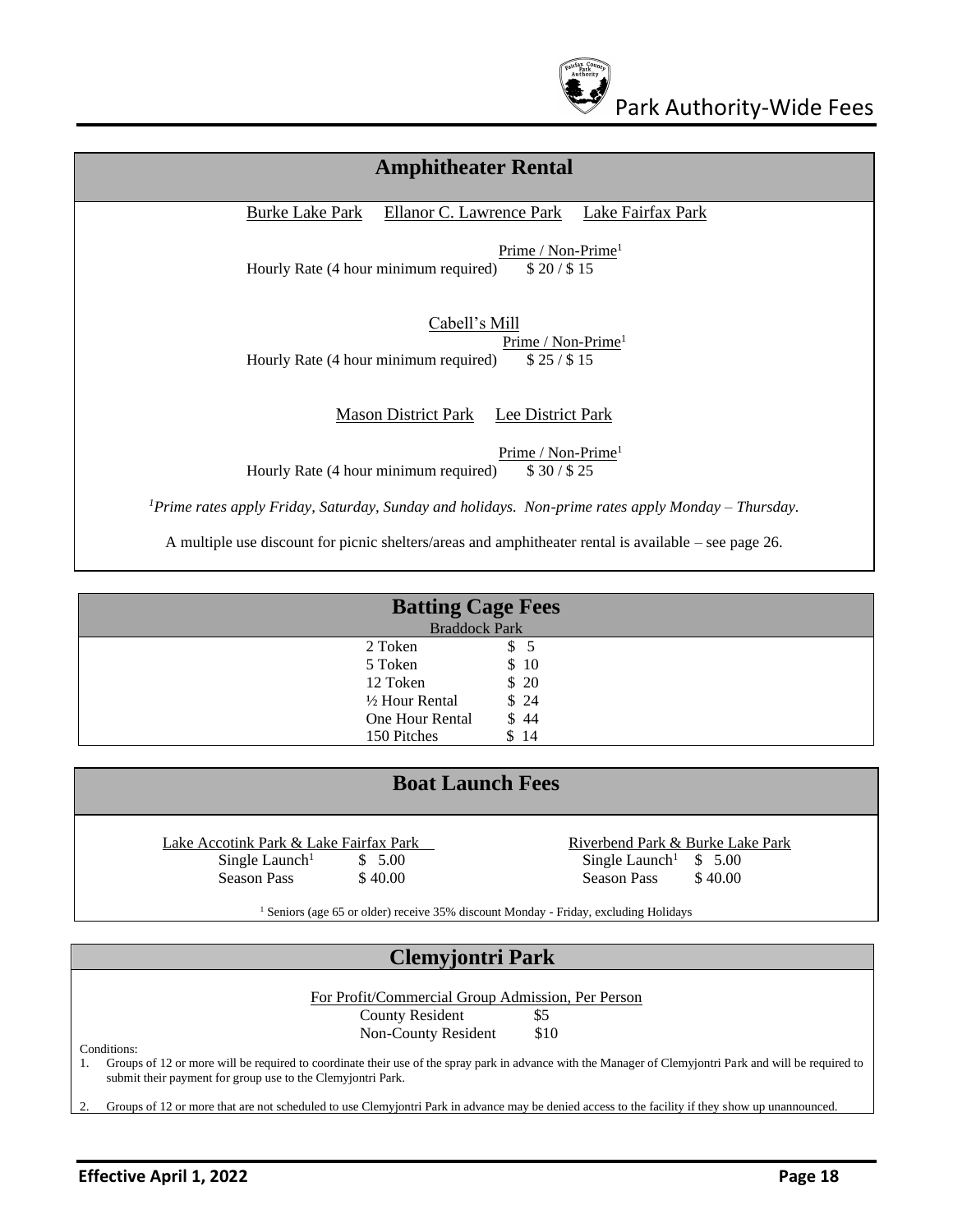

| <b>Amphitheater Rental</b>                                                                                     |
|----------------------------------------------------------------------------------------------------------------|
| Ellanor C. Lawrence Park<br><b>Burke Lake Park</b><br>Lake Fairfax Park                                        |
| Prime / Non-Prime <sup>1</sup><br>Hourly Rate (4 hour minimum required)<br>\$20/\$15                           |
| Cabell's Mill<br>Prime / Non-Prime <sup>1</sup><br>Hourly Rate (4 hour minimum required)<br>\$25/\$15          |
| <b>Mason District Park</b><br>Lee District Park                                                                |
| Prime / Non-Prime <sup>1</sup><br>Hourly Rate (4 hour minimum required)<br>\$30/\$25                           |
| <sup>1</sup> Prime rates apply Friday, Saturday, Sunday and holidays. Non-prime rates apply Monday – Thursday. |
| A multiple use discount for picnic shelters/areas and amphitheater rental is available – see page 26.          |

| <b>Batting Cage Fees</b><br><b>Braddock Park</b> |      |  |  |
|--------------------------------------------------|------|--|--|
| 2 Token                                          | \$ 5 |  |  |
| 5 Token                                          | \$10 |  |  |
| 12 Token                                         | \$20 |  |  |
| $\frac{1}{2}$ Hour Rental                        | \$24 |  |  |
| One Hour Rental                                  | \$44 |  |  |
| 150 Pitches                                      | 14   |  |  |

## **Boat Launch Fees**

Lake Accotink Park & Lake Fairfax Park Riverbend Park & Burke Lake Park Single Launch<sup>1</sup>  $\qquad$  \$ 5.00 Single Launch<sup>1</sup> \$ 5.00 Season Pass  $\begin{array}{ccc} $40.00 \\ $ \end{array}$  Season Pass  $\begin{array}{ccc} $40.00 \\ $ \end{array}$ 

<sup>1</sup> Seniors (age 65 or older) receive 35% discount Monday - Friday, excluding Holidays

#### **Clemyjontri Park**

For Profit/Commercial Group Admission, Per Person County Resident \$5 Non-County Resident \$10

Conditions:

1. Groups of 12 or more will be required to coordinate their use of the spray park in advance with the Manager of Clemyjontri Park and will be required to submit their payment for group use to the Clemyjontri Park.

2. Groups of 12 or more that are not scheduled to use Clemyjontri Park in advance may be denied access to the facility if they show up unannounced.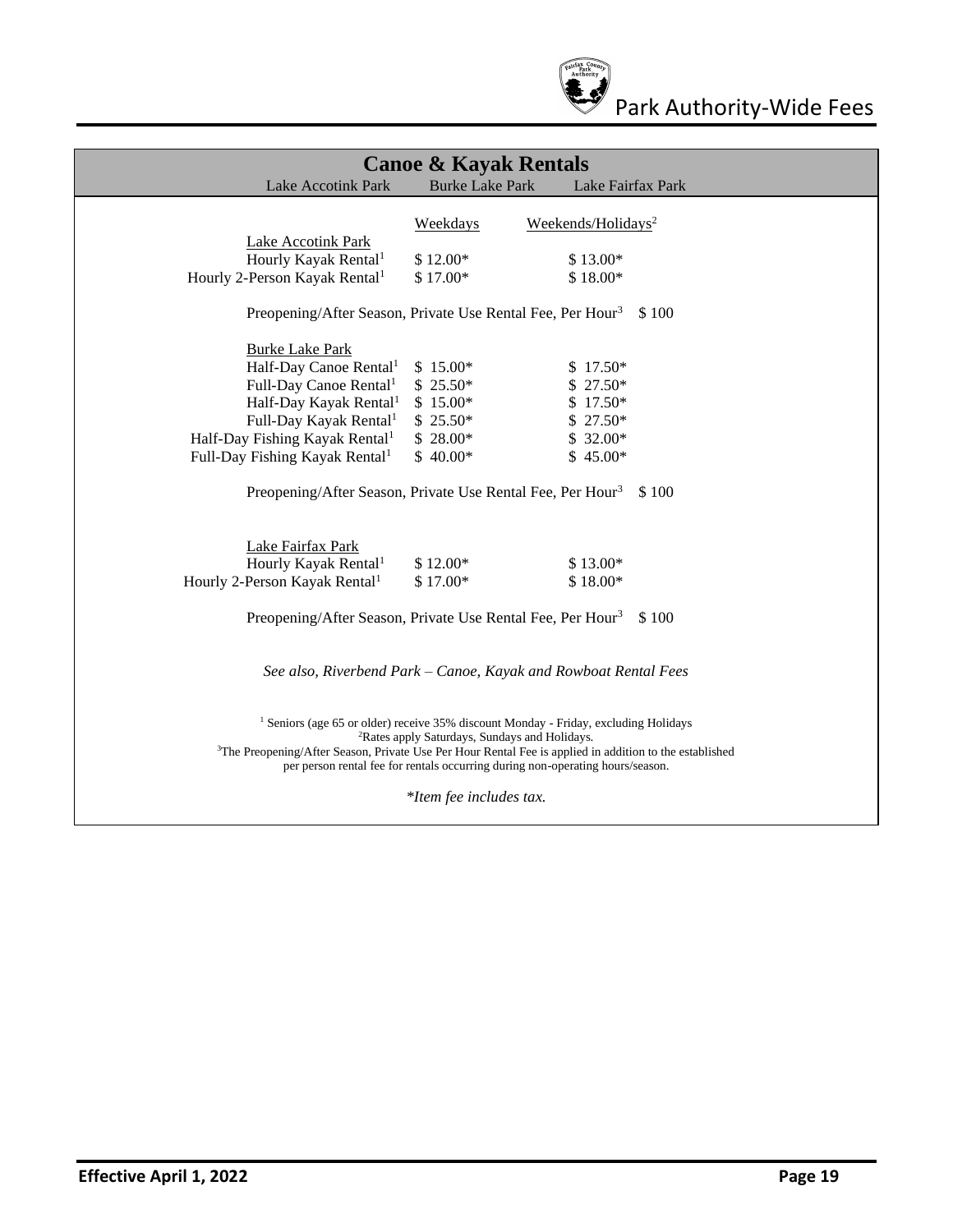

| <b>Canoe &amp; Kayak Rentals</b>                                                                                                                                                                                                                                                                                                                                      |                         |                                |       |  |
|-----------------------------------------------------------------------------------------------------------------------------------------------------------------------------------------------------------------------------------------------------------------------------------------------------------------------------------------------------------------------|-------------------------|--------------------------------|-------|--|
| <b>Lake Accotink Park</b>                                                                                                                                                                                                                                                                                                                                             | <b>Burke Lake Park</b>  | Lake Fairfax Park              |       |  |
|                                                                                                                                                                                                                                                                                                                                                                       |                         |                                |       |  |
|                                                                                                                                                                                                                                                                                                                                                                       | Weekdays                | Weekends/Holidays <sup>2</sup> |       |  |
| <b>Lake Accotink Park</b>                                                                                                                                                                                                                                                                                                                                             |                         |                                |       |  |
| Hourly Kayak Rental <sup>1</sup>                                                                                                                                                                                                                                                                                                                                      | \$12.00*                | \$13.00*                       |       |  |
| Hourly 2-Person Kayak Rental <sup>1</sup>                                                                                                                                                                                                                                                                                                                             | $$17.00*$               | $$18.00*$                      |       |  |
| Preopening/After Season, Private Use Rental Fee, Per Hour <sup>3</sup>                                                                                                                                                                                                                                                                                                |                         |                                | \$100 |  |
| <b>Burke Lake Park</b>                                                                                                                                                                                                                                                                                                                                                |                         |                                |       |  |
| Half-Day Canoe Rental <sup>1</sup>                                                                                                                                                                                                                                                                                                                                    | $$15.00*$               | $$17.50*$                      |       |  |
| Full-Day Canoe Rental <sup>1</sup>                                                                                                                                                                                                                                                                                                                                    | $$25.50*$               | $$27.50*$                      |       |  |
| Half-Day Kayak Rental <sup>1</sup>                                                                                                                                                                                                                                                                                                                                    | $$15.00*$               | $$17.50*$                      |       |  |
| Full-Day Kayak Rental <sup>1</sup>                                                                                                                                                                                                                                                                                                                                    | $$25.50*$               | $$27.50*$                      |       |  |
| Half-Day Fishing Kayak Rental <sup>1</sup>                                                                                                                                                                                                                                                                                                                            | $$28.00*$               | $$32.00*$                      |       |  |
| Full-Day Fishing Kayak Rental <sup>1</sup>                                                                                                                                                                                                                                                                                                                            | $$40.00*$               | $$45.00*$                      |       |  |
| Preopening/After Season, Private Use Rental Fee, Per Hour <sup>3</sup>                                                                                                                                                                                                                                                                                                |                         |                                | \$100 |  |
| Lake Fairfax Park                                                                                                                                                                                                                                                                                                                                                     |                         |                                |       |  |
| Hourly Kayak Rental <sup>1</sup>                                                                                                                                                                                                                                                                                                                                      | $$12.00*$               | $$13.00*$                      |       |  |
| Hourly 2-Person Kayak Rental <sup>1</sup>                                                                                                                                                                                                                                                                                                                             | \$17.00*                | $$18.00*$                      |       |  |
| Preopening/After Season, Private Use Rental Fee, Per Hour <sup>3</sup>                                                                                                                                                                                                                                                                                                |                         |                                | \$100 |  |
| See also, Riverbend Park – Canoe, Kayak and Rowboat Rental Fees                                                                                                                                                                                                                                                                                                       |                         |                                |       |  |
| <sup>1</sup> Seniors (age 65 or older) receive 35% discount Monday - Friday, excluding Holidays<br><sup>2</sup> Rates apply Saturdays, Sundays and Holidays.<br><sup>3</sup> The Preopening/After Season, Private Use Per Hour Rental Fee is applied in addition to the established<br>per person rental fee for rentals occurring during non-operating hours/season. |                         |                                |       |  |
|                                                                                                                                                                                                                                                                                                                                                                       | *Item fee includes tax. |                                |       |  |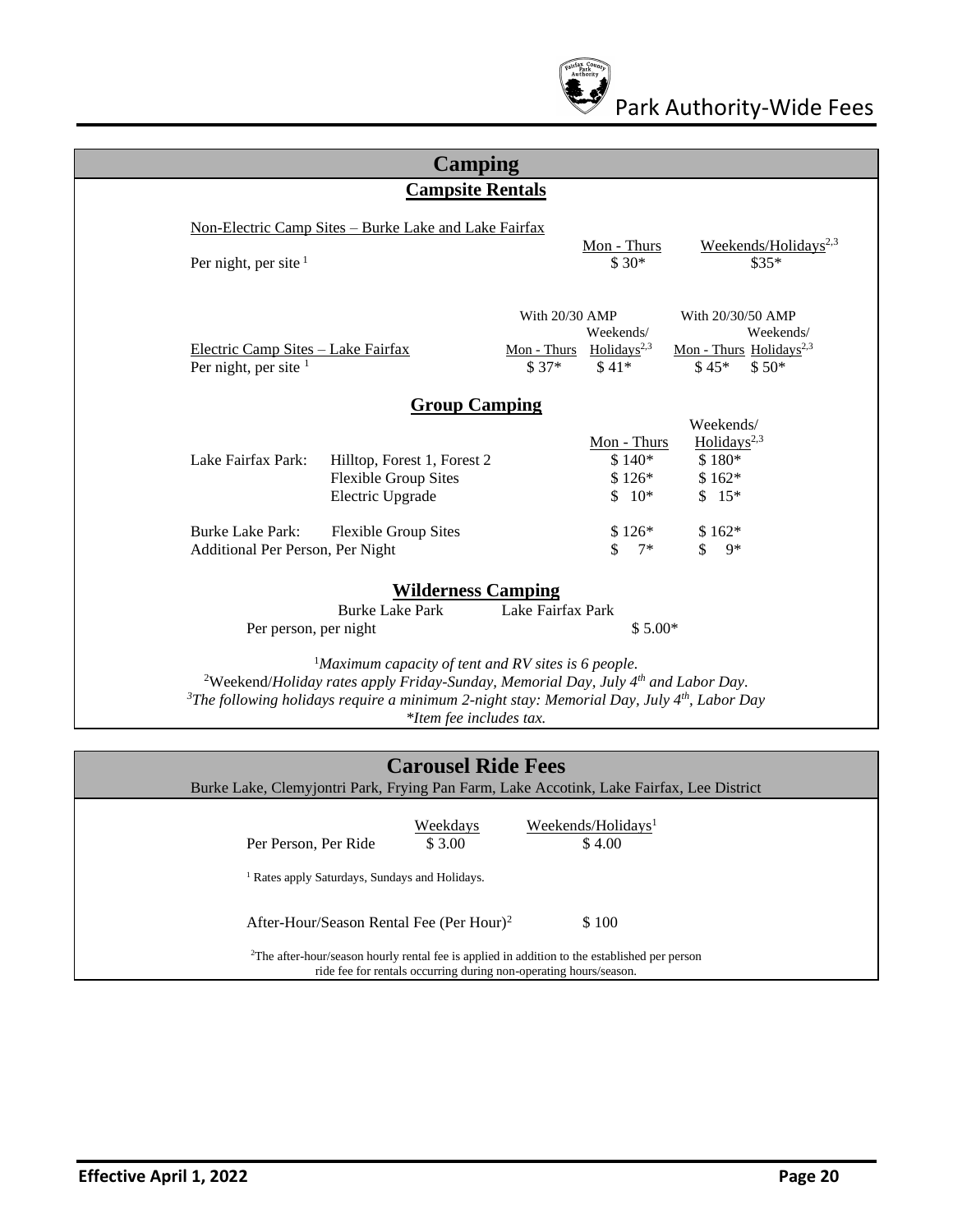

| <b>Camping</b>                                                                                                                                                                                                                                                                                               |                                                                                                                                                                                     |  |  |  |  |
|--------------------------------------------------------------------------------------------------------------------------------------------------------------------------------------------------------------------------------------------------------------------------------------------------------------|-------------------------------------------------------------------------------------------------------------------------------------------------------------------------------------|--|--|--|--|
| <b>Campsite Rentals</b>                                                                                                                                                                                                                                                                                      |                                                                                                                                                                                     |  |  |  |  |
| Non-Electric Camp Sites - Burke Lake and Lake Fairfax<br>Per night, per site $1$                                                                                                                                                                                                                             | Weekends/Holidays <sup>2,3</sup><br>Mon - Thurs<br>$$30*$<br>$$35*$                                                                                                                 |  |  |  |  |
| Electric Camp Sites - Lake Fairfax<br>Per night, per site $1$                                                                                                                                                                                                                                                | With 20/30 AMP<br>With 20/30/50 AMP<br>Weekends/<br>Weekends/<br>Mon - Thurs Holidays <sup>2,3</sup><br>Mon - Thurs Holidays <sup>2,3</sup><br>$$37*$<br>$$45*$<br>$$50*$<br>$$41*$ |  |  |  |  |
| <b>Group Camping</b>                                                                                                                                                                                                                                                                                         |                                                                                                                                                                                     |  |  |  |  |
| Lake Fairfax Park:<br>Hilltop, Forest 1, Forest 2<br><b>Flexible Group Sites</b><br>Electric Upgrade                                                                                                                                                                                                         | Weekends/<br>Holidays <sup>2,3</sup><br>Mon - Thurs<br>\$180*<br>$$140*$<br>$$126*$<br>$$162*$<br>$$10*$<br>$$15*$                                                                  |  |  |  |  |
| <b>Burke Lake Park:</b><br><b>Flexible Group Sites</b><br>Additional Per Person, Per Night                                                                                                                                                                                                                   | $$126*$<br>$$162*$<br>$\mathbf{\hat{s}}$<br>$\mathcal{S}$<br>$7*$<br>$9*$                                                                                                           |  |  |  |  |
| <b>Wilderness Camping</b><br><b>Burke Lake Park</b><br>Per person, per night                                                                                                                                                                                                                                 | Lake Fairfax Park<br>$$5.00*$                                                                                                                                                       |  |  |  |  |
| <sup>1</sup> Maximum capacity of tent and RV sites is 6 people.<br><sup>2</sup> Weekend/Holiday rates apply Friday-Sunday, Memorial Day, July $4th$ and Labor Day.<br><sup>3</sup> The following holidays require a minimum 2-night stay: Memorial Day, July $4^{th}$ , Labor Day<br>*Item fee includes tax. |                                                                                                                                                                                     |  |  |  |  |
| <b>Carousel Ride Fees</b><br>Burke Lake, Clemyjontri Park, Frying Pan Farm, Lake Accotink, Lake Fairfax, Lee District                                                                                                                                                                                        |                                                                                                                                                                                     |  |  |  |  |

| Per Person, Per Ride                                      | Weekdays<br>\$ 3.00 | Weekends/Holidays <sup>1</sup><br>\$4.00                                                                                                                                       |
|-----------------------------------------------------------|---------------------|--------------------------------------------------------------------------------------------------------------------------------------------------------------------------------|
| <sup>1</sup> Rates apply Saturdays, Sundays and Holidays. |                     |                                                                                                                                                                                |
| After-Hour/Season Rental Fee (Per Hour) <sup>2</sup>      |                     | \$100                                                                                                                                                                          |
|                                                           |                     | <sup>2</sup> The after-hour/season hourly rental fee is applied in addition to the established per person<br>ride fee for rentals occurring during non-operating hours/season. |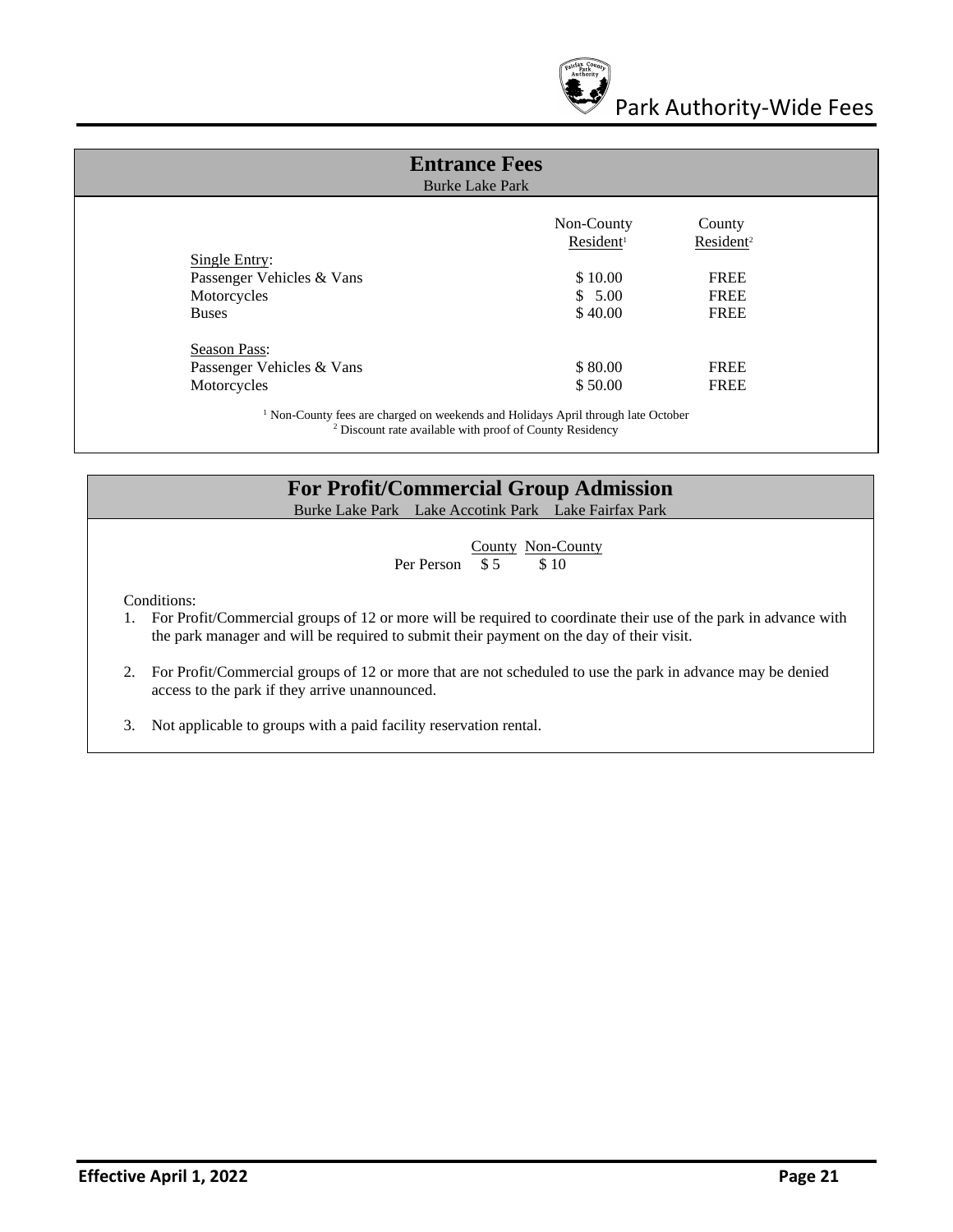

| <b>Entrance Fees</b><br><b>Burke Lake Park</b>                                                                                                                      |                       |                       |  |
|---------------------------------------------------------------------------------------------------------------------------------------------------------------------|-----------------------|-----------------------|--|
|                                                                                                                                                                     | Non-County            | County                |  |
|                                                                                                                                                                     | Resident <sup>1</sup> | Resident <sup>2</sup> |  |
| Single Entry:                                                                                                                                                       |                       |                       |  |
| Passenger Vehicles & Vans                                                                                                                                           | \$10.00               | <b>FREE</b>           |  |
| Motorcycles                                                                                                                                                         | \$5.00                | <b>FREE</b>           |  |
| <b>Buses</b>                                                                                                                                                        | \$40.00               | <b>FREE</b>           |  |
| <b>Season Pass:</b>                                                                                                                                                 |                       |                       |  |
| Passenger Vehicles & Vans                                                                                                                                           | \$80.00               | <b>FREE</b>           |  |
| Motorcycles                                                                                                                                                         | \$50.00               | <b>FREE</b>           |  |
| <sup>1</sup> Non-County fees are charged on weekends and Holidays April through late October<br><sup>2</sup> Discount rate available with proof of County Residency |                       |                       |  |

#### **For Profit/Commercial Group Admission**

Burke Lake Park Lake Accotink Park Lake Fairfax Park

 $\frac{\text{Country}}{\$5}$   $\frac{\text{Non-County}}{\$10}$ Per Person  $\overline{\$ 5}$ 

Conditions:

- 1. For Profit/Commercial groups of 12 or more will be required to coordinate their use of the park in advance with the park manager and will be required to submit their payment on the day of their visit.
- 2. For Profit/Commercial groups of 12 or more that are not scheduled to use the park in advance may be denied access to the park if they arrive unannounced.
- 3. Not applicable to groups with a paid facility reservation rental.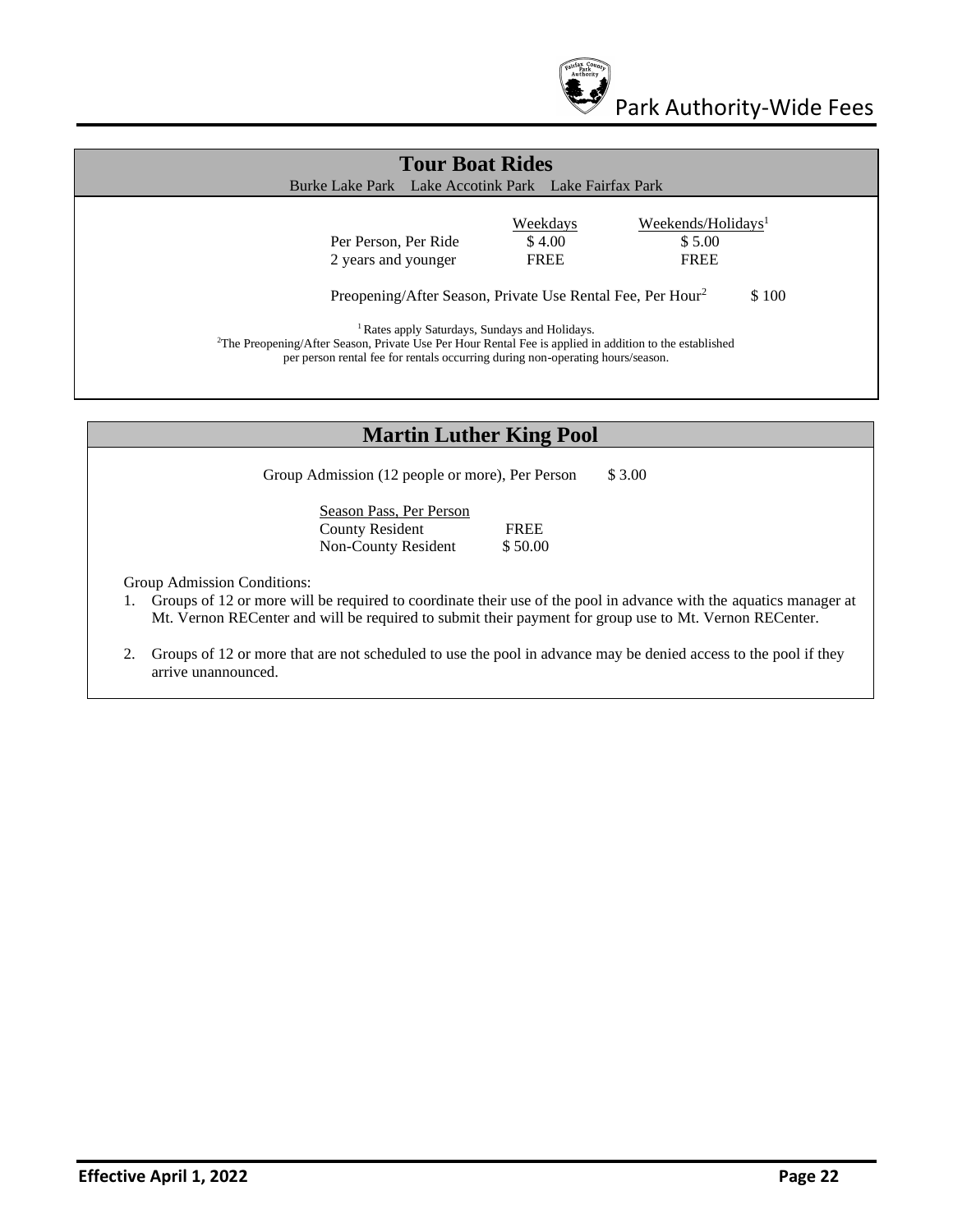

| <b>Tour Boat Rides</b><br>Burke Lake Park Lake Accotink Park Lake Fairfax Park                                                                                                                                                                                                                                                               |                                          |                                                         |  |
|----------------------------------------------------------------------------------------------------------------------------------------------------------------------------------------------------------------------------------------------------------------------------------------------------------------------------------------------|------------------------------------------|---------------------------------------------------------|--|
| Per Person, Per Ride<br>2 years and younger                                                                                                                                                                                                                                                                                                  | <b>Weekdays</b><br>\$4.00<br><b>FREE</b> | Weekends/Holidays <sup>1</sup><br>\$5.00<br><b>FREE</b> |  |
| Preopening/After Season, Private Use Rental Fee, Per Hour <sup>2</sup><br><sup>1</sup> Rates apply Saturdays, Sundays and Holidays.<br><sup>2</sup> The Preopening/After Season, Private Use Per Hour Rental Fee is applied in addition to the established<br>per person rental fee for rentals occurring during non-operating hours/season. |                                          | \$100                                                   |  |

#### **Martin Luther King Pool**

Group Admission (12 people or more), Per Person \$ 3.00

Season Pass, Per Person County Resident FREE Non-County Resident \$50.00

Group Admission Conditions:

- 1. Groups of 12 or more will be required to coordinate their use of the pool in advance with the aquatics manager at Mt. Vernon RECenter and will be required to submit their payment for group use to Mt. Vernon RECenter.
- 2. Groups of 12 or more that are not scheduled to use the pool in advance may be denied access to the pool if they arrive unannounced.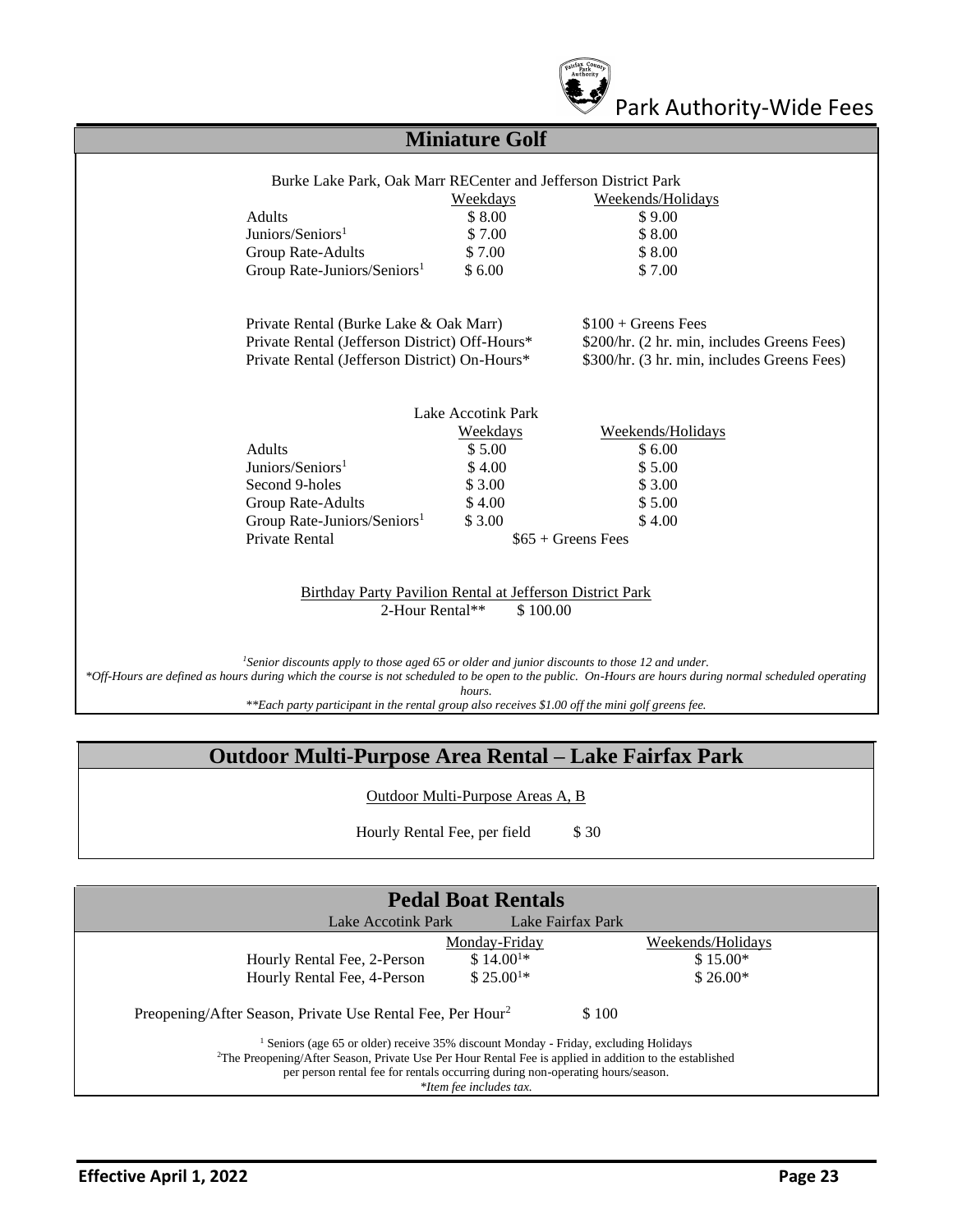

## Park Authority-Wide Fees

## **Miniature Golf**

|                                                           | Weekdays           | Weekends/Holidays                           |
|-----------------------------------------------------------|--------------------|---------------------------------------------|
| <b>Adults</b>                                             | \$8.00             | \$9.00                                      |
| Juniors/Seniors <sup>1</sup>                              | \$7.00             | \$8.00                                      |
| Group Rate-Adults                                         | \$7.00             | \$8.00                                      |
| Group Rate-Juniors/Seniors <sup>1</sup>                   | \$6.00             | \$7.00                                      |
| Private Rental (Burke Lake & Oak Marr)                    |                    | $$100 + \text{Green}$ Fees                  |
| Private Rental (Jefferson District) Off-Hours*            |                    | \$200/hr. (2 hr. min, includes Greens Fees) |
| Private Rental (Jefferson District) On-Hours*             |                    | \$300/hr. (3 hr. min, includes Greens Fees) |
|                                                           | Lake Accotink Park |                                             |
|                                                           | Weekdays           | Weekends/Holidays                           |
| <b>Adults</b>                                             | \$5.00             | \$6.00                                      |
| Juniors/Seniors <sup>1</sup>                              | \$4.00             | \$5.00                                      |
| Second 9-holes                                            | \$3.00             | \$ 3.00                                     |
| Group Rate-Adults                                         | \$4.00             | \$5.00                                      |
| Group Rate-Juniors/Seniors <sup>1</sup>                   | \$3.00             | \$4.00                                      |
| Private Rental                                            |                    | $$65 + \text{Green}$ Fees                   |
| Birthday Party Pavilion Rental at Jefferson District Park |                    |                                             |
| 2-Hour Rental**                                           | \$100.00           |                                             |
|                                                           |                    |                                             |

*\*Off-Hours are defined as hours during which the course is not scheduled to be open to the public. On-Hours are hours during normal scheduled operating hours.*

*\*\*Each party participant in the rental group also receives \$1.00 off the mini golf greens fee.*

## **Outdoor Multi-Purpose Area Rental – Lake Fairfax Park**

Outdoor Multi-Purpose Areas A, B

Hourly Rental Fee, per field \$30

| Lake Accotink Park                                                                                                  | <b>Pedal Boat Rentals</b> | Lake Fairfax Park |
|---------------------------------------------------------------------------------------------------------------------|---------------------------|-------------------|
|                                                                                                                     | Monday-Friday             | Weekends/Holidays |
| Hourly Rental Fee, 2-Person                                                                                         | $$14.001*$                | $$15.00*$         |
| Hourly Rental Fee, 4-Person                                                                                         | $$25.001*$                | $$26.00*$         |
| Preopening/After Season, Private Use Rental Fee, Per Hour <sup>2</sup>                                              |                           | \$100             |
| Seniors (age 65 or older) receive 35% discount Monday - Friday, excluding Holidays                                  |                           |                   |
| <sup>2</sup> The Preopening/After Season, Private Use Per Hour Rental Fee is applied in addition to the established |                           |                   |
| per person rental fee for rentals occurring during non-operating hours/season.                                      |                           |                   |
|                                                                                                                     | *Item fee includes tax.   |                   |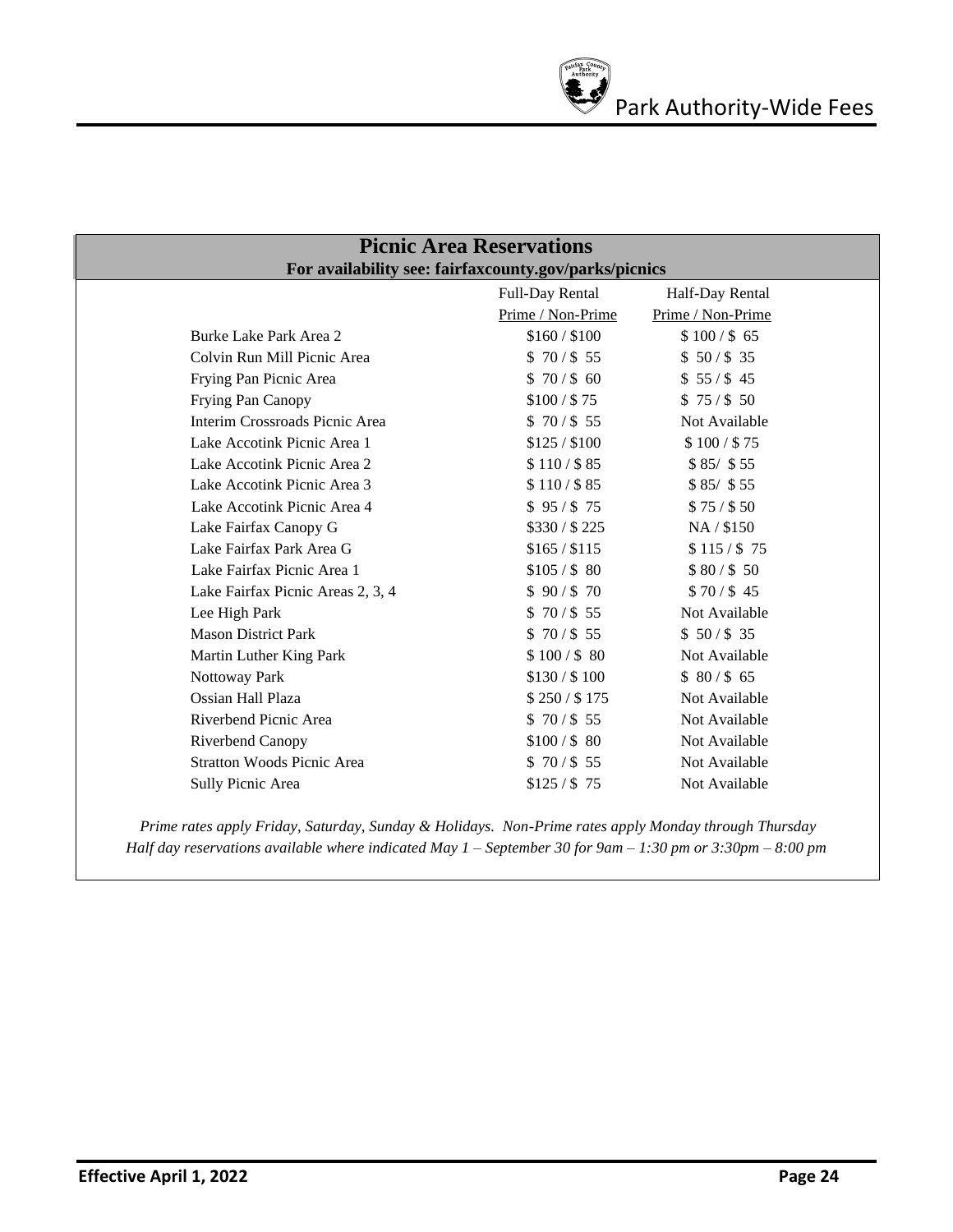| <b>Picnic Area Reservations</b> |                                   |                                                       |                   |  |
|---------------------------------|-----------------------------------|-------------------------------------------------------|-------------------|--|
|                                 |                                   | For availability see: fairfaxcounty.gov/parks/picnics |                   |  |
|                                 |                                   | Full-Day Rental                                       | Half-Day Rental   |  |
|                                 |                                   | Prime / Non-Prime                                     | Prime / Non-Prime |  |
|                                 | Burke Lake Park Area 2            | \$160 / \$100                                         | \$100 / \$65      |  |
|                                 | Colvin Run Mill Picnic Area       | \$70/\$55                                             | \$50/\$35         |  |
|                                 | Frying Pan Picnic Area            | \$70/\$60                                             | \$55/\$45         |  |
|                                 | Frying Pan Canopy                 | \$100 / \$75                                          | \$75/\$50         |  |
|                                 | Interim Crossroads Picnic Area    | \$70/\$55                                             | Not Available     |  |
|                                 | Lake Accotink Picnic Area 1       | \$125 / \$100                                         | \$100 / \$75      |  |
|                                 | Lake Accotink Picnic Area 2       | \$110 / \$85                                          | $$85/$ \$55       |  |
|                                 | Lake Accotink Picnic Area 3       | \$110 / \$85                                          | $$85/$ \$55       |  |
|                                 | Lake Accotink Picnic Area 4       | \$95/\$75                                             | \$75/\$50         |  |
|                                 | Lake Fairfax Canopy G             | \$330/\$225                                           | NA / \$150        |  |
|                                 | Lake Fairfax Park Area G          | \$165 / \$115                                         | \$115 / \$75      |  |
|                                 | Lake Fairfax Picnic Area 1        | \$105 / \$80                                          | \$80/\$50         |  |
|                                 | Lake Fairfax Picnic Areas 2, 3, 4 | \$90/\$70                                             | \$70/\$45         |  |
|                                 | Lee High Park                     | \$70/\$55                                             | Not Available     |  |
|                                 | <b>Mason District Park</b>        | \$70/\$55                                             | \$50/\$35         |  |
|                                 | Martin Luther King Park           | \$100 / \$80                                          | Not Available     |  |
|                                 | Nottoway Park                     | \$130 / \$100                                         | \$80/\$65         |  |
|                                 | Ossian Hall Plaza                 | \$250 / \$175                                         | Not Available     |  |
|                                 | Riverbend Picnic Area             | \$70/\$55                                             | Not Available     |  |
|                                 | Riverbend Canopy                  | \$100 / \$80                                          | Not Available     |  |
|                                 | <b>Stratton Woods Picnic Area</b> | \$70/\$55                                             | Not Available     |  |
|                                 | Sully Picnic Area                 | $$125/$ \$75                                          | Not Available     |  |
|                                 |                                   |                                                       |                   |  |

*Prime rates apply Friday, Saturday, Sunday & Holidays. Non-Prime rates apply Monday through Thursday Half day reservations available where indicated May 1 – September 30 for 9am – 1:30 pm or 3:30pm – 8:00 pm*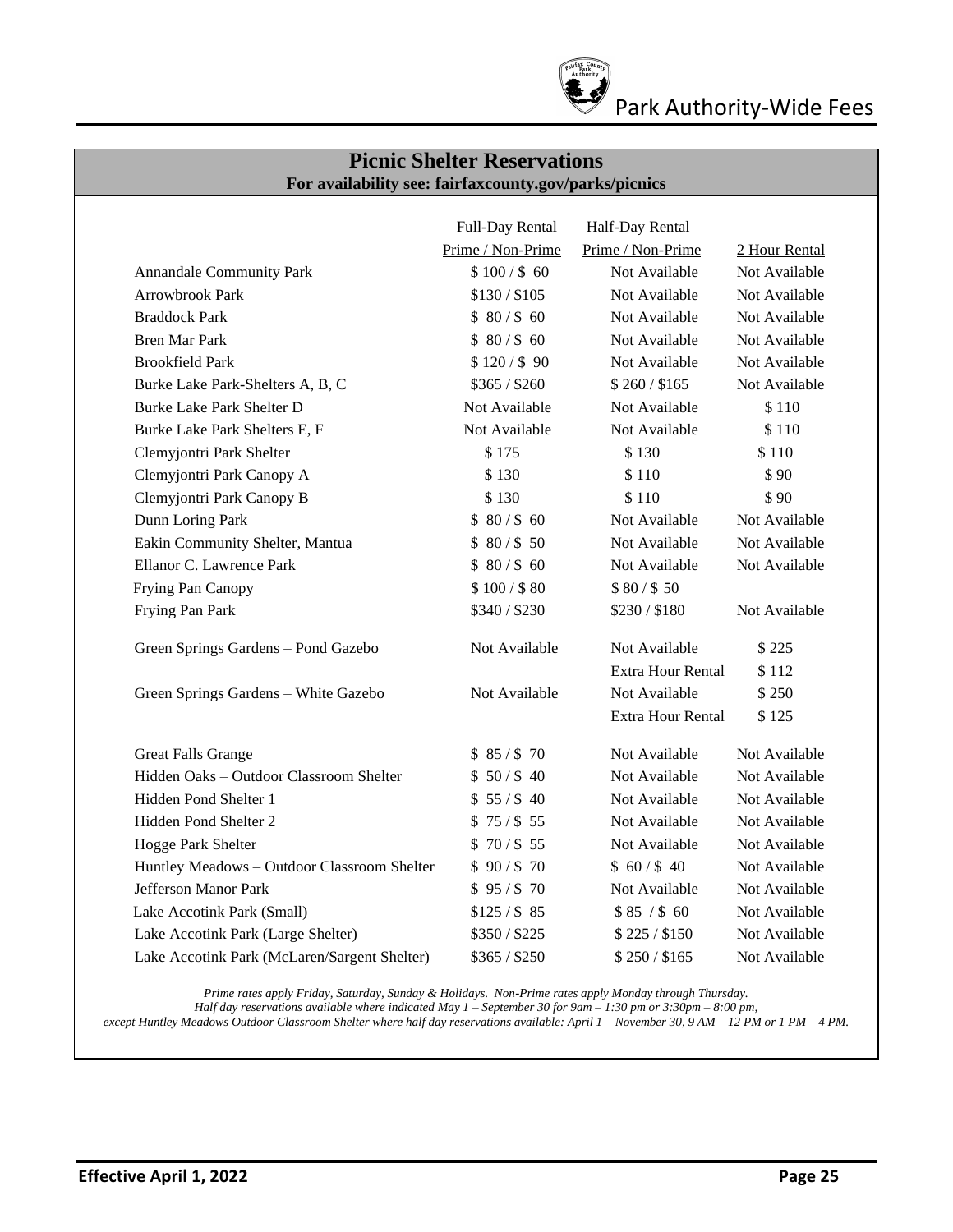

## Park Authority-Wide Fees

#### **Picnic Shelter Reservations For availability see: fairfaxcounty.gov/parks/picnics**

|                                              | Full-Day Rental   | Half-Day Rental          |               |
|----------------------------------------------|-------------------|--------------------------|---------------|
|                                              | Prime / Non-Prime | Prime / Non-Prime        | 2 Hour Rental |
| Annandale Community Park                     | \$100 / \$60      | Not Available            | Not Available |
| Arrowbrook Park                              | \$130 / \$105     | Not Available            | Not Available |
| <b>Braddock Park</b>                         | \$80/\$60         | Not Available            | Not Available |
| <b>Bren Mar Park</b>                         | \$80/\$60         | Not Available            | Not Available |
| <b>Brookfield Park</b>                       | \$120/\$90        | Not Available            | Not Available |
| Burke Lake Park-Shelters A, B, C             | \$365 / \$260     | \$260 / \$165            | Not Available |
| Burke Lake Park Shelter D                    | Not Available     | Not Available            | \$110         |
| Burke Lake Park Shelters E, F                | Not Available     | Not Available            | \$110         |
| Clemyjontri Park Shelter                     | \$175             | \$130                    | \$110         |
| Clemyjontri Park Canopy A                    | \$130             | \$110                    | \$90          |
| Clemyjontri Park Canopy B                    | \$130             | \$110                    | \$90          |
| Dunn Loring Park                             | \$80/\$60         | Not Available            | Not Available |
| Eakin Community Shelter, Mantua              | \$80/\$50         | Not Available            | Not Available |
| Ellanor C. Lawrence Park                     | \$80/\$60         | Not Available            | Not Available |
| Frying Pan Canopy                            | \$100 / \$80      | \$80/\$50                |               |
| Frying Pan Park                              | \$340/\$230       | \$230 / \$180            | Not Available |
| Green Springs Gardens - Pond Gazebo          | Not Available     | Not Available            | \$225         |
|                                              |                   | <b>Extra Hour Rental</b> | \$112         |
| Green Springs Gardens - White Gazebo         | Not Available     | Not Available            | \$250         |
|                                              |                   | Extra Hour Rental        | \$125         |
| <b>Great Falls Grange</b>                    | \$85/\$70         | Not Available            | Not Available |
| Hidden Oaks - Outdoor Classroom Shelter      | \$50/\$40         | Not Available            | Not Available |
| Hidden Pond Shelter 1                        | \$55/\$40         | Not Available            | Not Available |
| Hidden Pond Shelter 2                        | \$75/\$55         | Not Available            | Not Available |
| Hogge Park Shelter                           | \$70/\$55         | Not Available            | Not Available |
| Huntley Meadows - Outdoor Classroom Shelter  | \$90/\$70         | \$60/\$40                | Not Available |
| Jefferson Manor Park                         | \$95/\$70         | Not Available            | Not Available |
| Lake Accotink Park (Small)                   | \$125 / \$85      | \$85 / \$60              | Not Available |
| Lake Accotink Park (Large Shelter)           | \$350 / \$225     | \$225 / \$150            | Not Available |
| Lake Accotink Park (McLaren/Sargent Shelter) | \$365 / \$250     | \$250 / \$165            | Not Available |

*Prime rates apply Friday, Saturday, Sunday & Holidays. Non-Prime rates apply Monday through Thursday.*

*Half day reservations available where indicated May 1 – September 30 for 9am – 1:30 pm or 3:30pm – 8:00 pm,* 

*except Huntley Meadows Outdoor Classroom Shelter where half day reservations available: April 1 – November 30, 9 AM – 12 PM or 1 PM – 4 PM.*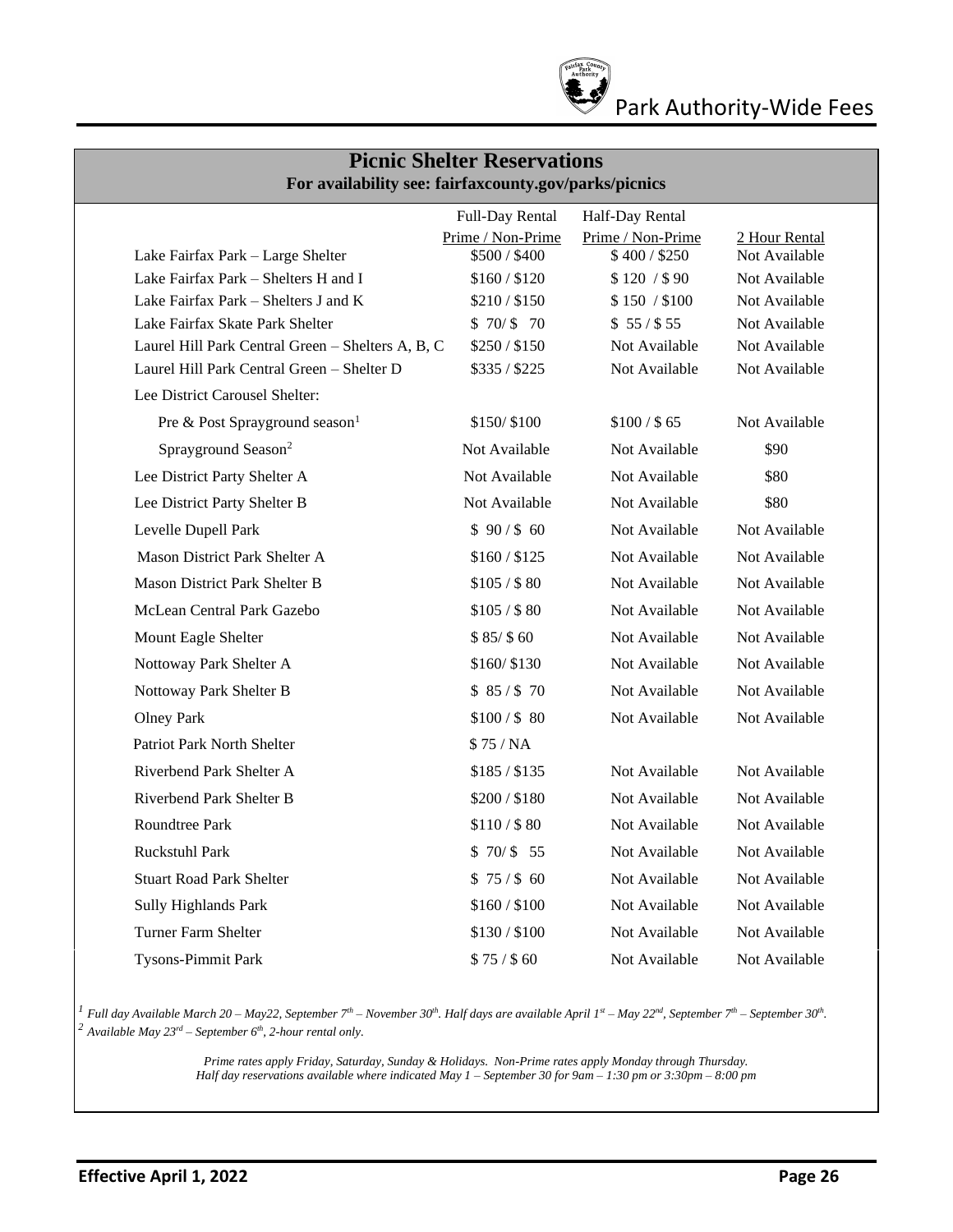

| <b>Picnic Shelter Reservations</b><br>For availability see: fairfaxcounty.gov/parks/picnics |                   |                   |               |  |  |  |  |
|---------------------------------------------------------------------------------------------|-------------------|-------------------|---------------|--|--|--|--|
| Full-Day Rental<br>Half-Day Rental                                                          |                   |                   |               |  |  |  |  |
|                                                                                             | Prime / Non-Prime | Prime / Non-Prime | 2 Hour Rental |  |  |  |  |
| Lake Fairfax Park - Large Shelter                                                           | \$500 / \$400     | \$400/\$250       | Not Available |  |  |  |  |
| Lake Fairfax Park - Shelters H and I                                                        | \$160 / \$120     | \$120 / \$90      | Not Available |  |  |  |  |
| Lake Fairfax Park - Shelters J and K                                                        | \$210/\$150       | \$150 / \$100     | Not Available |  |  |  |  |
| Lake Fairfax Skate Park Shelter                                                             | \$70/\$70         | \$55/\$55         | Not Available |  |  |  |  |
| Laurel Hill Park Central Green - Shelters A, B, C                                           | \$250 / \$150     | Not Available     | Not Available |  |  |  |  |
| Laurel Hill Park Central Green - Shelter D                                                  | \$335 / \$225     | Not Available     | Not Available |  |  |  |  |
| Lee District Carousel Shelter:                                                              |                   |                   |               |  |  |  |  |
| Pre & Post Sprayground season <sup>1</sup>                                                  | \$150/\$100       | \$100 / \$65      | Not Available |  |  |  |  |
| Sprayground Season <sup>2</sup>                                                             | Not Available     | Not Available     | \$90          |  |  |  |  |
| Lee District Party Shelter A                                                                | Not Available     | Not Available     | \$80          |  |  |  |  |
| Lee District Party Shelter B                                                                | Not Available     | Not Available     | \$80          |  |  |  |  |
| Levelle Dupell Park                                                                         | \$90/\$60         | Not Available     | Not Available |  |  |  |  |
| Mason District Park Shelter A                                                               | \$160 / \$125     | Not Available     | Not Available |  |  |  |  |
| <b>Mason District Park Shelter B</b>                                                        | \$105 / \$80      | Not Available     | Not Available |  |  |  |  |
| McLean Central Park Gazebo                                                                  | \$105 / \$80      | Not Available     | Not Available |  |  |  |  |
| Mount Eagle Shelter                                                                         | \$85/\$60         | Not Available     | Not Available |  |  |  |  |
| Nottoway Park Shelter A                                                                     | \$160/\$130       | Not Available     | Not Available |  |  |  |  |
| Nottoway Park Shelter B                                                                     | \$85/\$70         | Not Available     | Not Available |  |  |  |  |
| <b>Olney Park</b>                                                                           | \$100 / \$80      | Not Available     | Not Available |  |  |  |  |
| <b>Patriot Park North Shelter</b>                                                           | \$75/NA           |                   |               |  |  |  |  |
| Riverbend Park Shelter A                                                                    | \$185 / \$135     | Not Available     | Not Available |  |  |  |  |
| Riverbend Park Shelter B                                                                    | \$200/\$180       | Not Available     | Not Available |  |  |  |  |
| Roundtree Park                                                                              | \$110 / \$80      | Not Available     | Not Available |  |  |  |  |
| Ruckstuhl Park                                                                              | \$70/ \$55        | Not Available     | Not Available |  |  |  |  |
| <b>Stuart Road Park Shelter</b>                                                             | \$75/\$60         | Not Available     | Not Available |  |  |  |  |
| <b>Sully Highlands Park</b>                                                                 | \$160/\$100       | Not Available     | Not Available |  |  |  |  |
| Turner Farm Shelter                                                                         | \$130/\$100       | Not Available     | Not Available |  |  |  |  |
| <b>Tysons-Pimmit Park</b>                                                                   | \$75/\$60         | Not Available     | Not Available |  |  |  |  |

 $^I$  Full day Available March 20 – May22, September 7<sup>th</sup> – November 30<sup>th</sup>. Half days are available April 1<sup>st</sup> – May 22<sup>nd</sup>, September 7<sup>th</sup> – September 30<sup>th</sup>. *<sup>2</sup> Available May 23rd – September 6th , 2-hour rental only.* 

> *Prime rates apply Friday, Saturday, Sunday & Holidays. Non-Prime rates apply Monday through Thursday. Half day reservations available where indicated May 1 – September 30 for 9am – 1:30 pm or 3:30pm – 8:00 pm*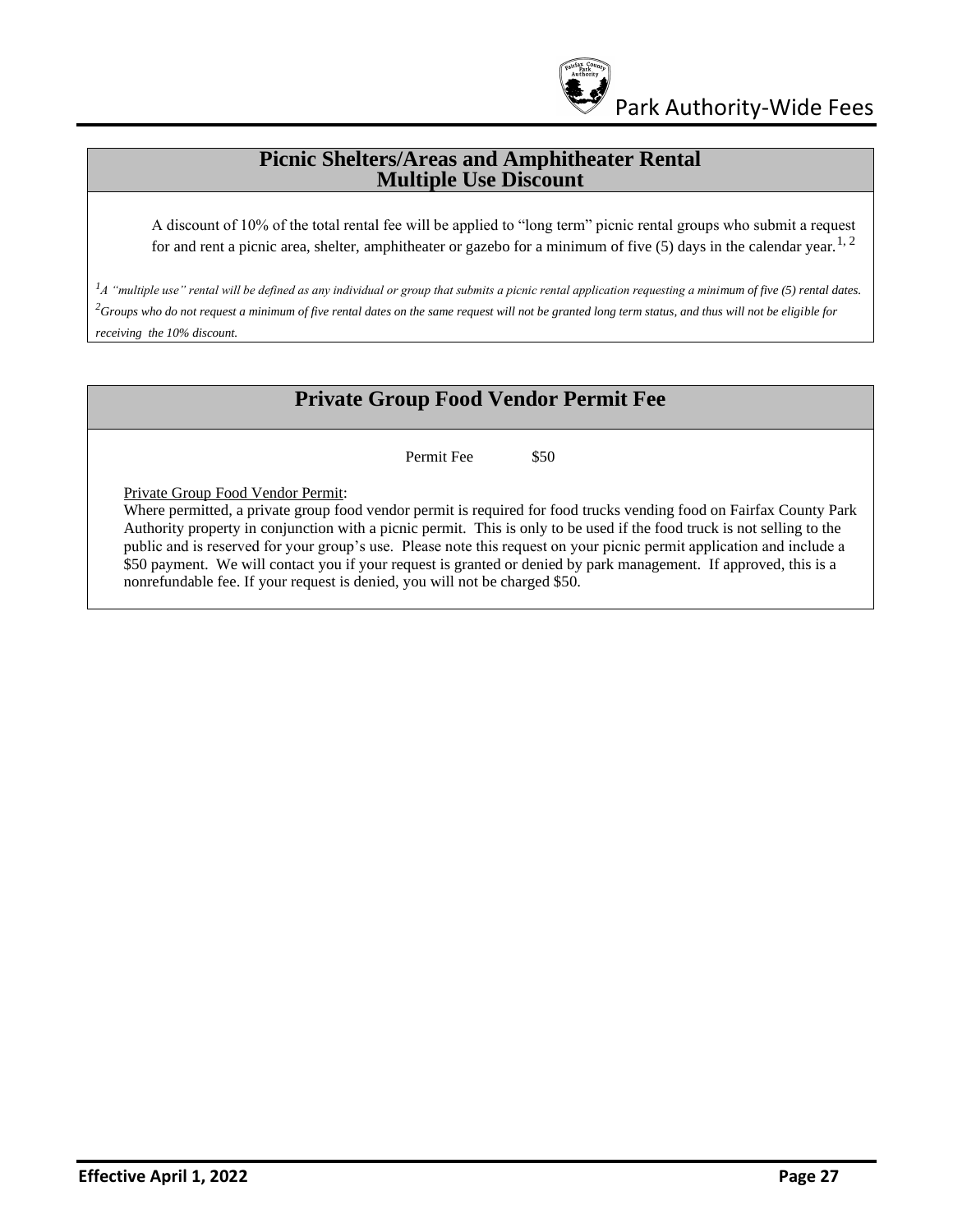

#### **Picnic Shelters/Areas and Amphitheater Rental Multiple Use Discount**

A discount of 10% of the total rental fee will be applied to "long term" picnic rental groups who submit a request for and rent a picnic area, shelter, amphitheater or gazebo for a minimum of five (5) days in the calendar year.<sup>1, 2</sup>

*<sup>1</sup>A "multiple use" rental will be defined as any individual or group that submits a picnic rental application requesting a minimum of five (5) rental dates. <sup>2</sup>Groups who do not request a minimum of five rental dates on the same request will not be granted long term status, and thus will not be eligible for receiving the 10% discount.*

## **Private Group Food Vendor Permit Fee**

Permit Fee  $$50$ 

Private Group Food Vendor Permit:

Where permitted, a private group food vendor permit is required for food trucks vending food on Fairfax County Park Authority property in conjunction with a picnic permit. This is only to be used if the food truck is not selling to the public and is reserved for your group's use. Please note this request on your picnic permit application and include a \$50 payment. We will contact you if your request is granted or denied by park management. If approved, this is a nonrefundable fee. If your request is denied, you will not be charged \$50.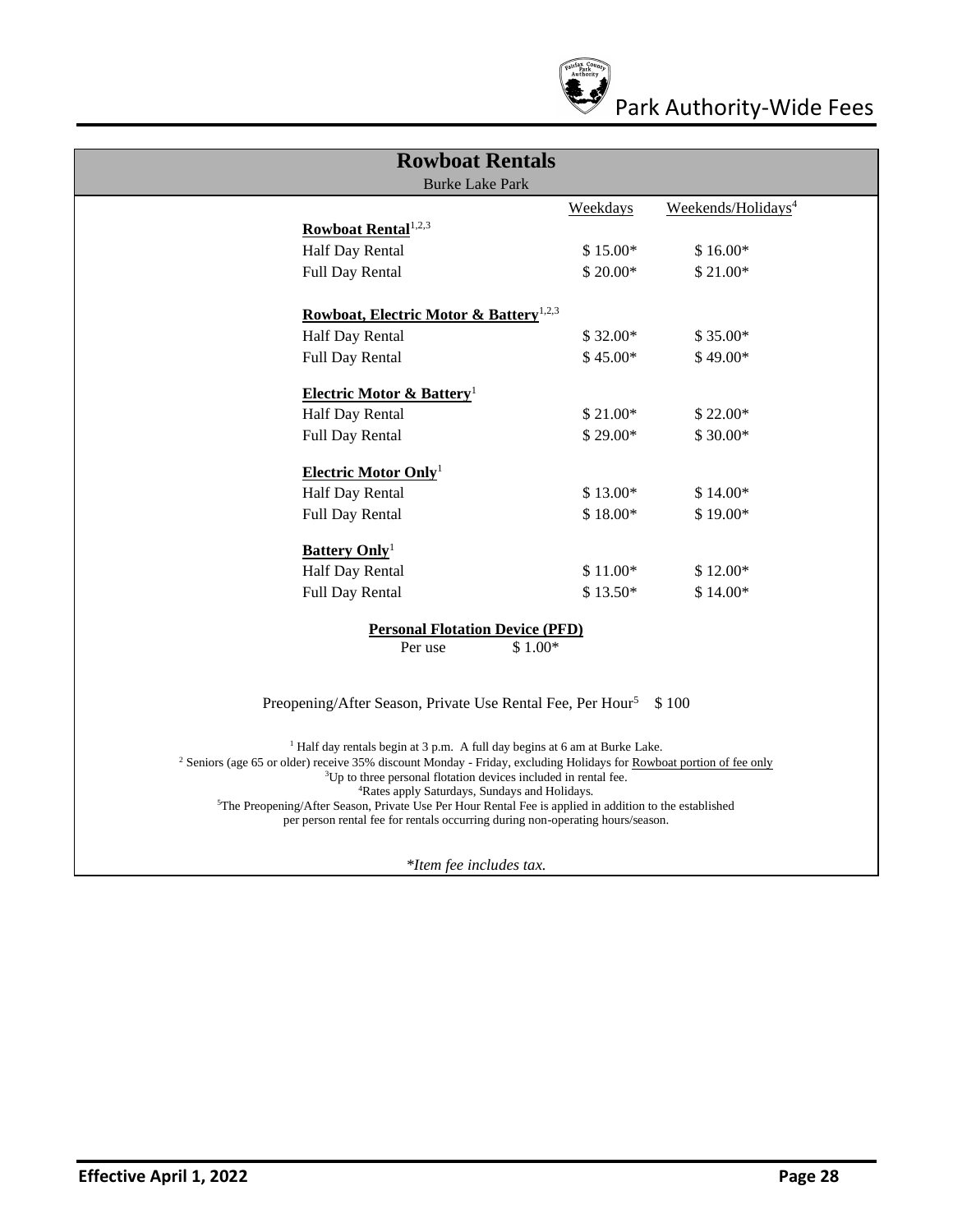

| <b>Rowboat Rentals</b>                                                                                                                                                                                         |           |                                |  |
|----------------------------------------------------------------------------------------------------------------------------------------------------------------------------------------------------------------|-----------|--------------------------------|--|
| <b>Burke Lake Park</b>                                                                                                                                                                                         |           |                                |  |
|                                                                                                                                                                                                                | Weekdays  | Weekends/Holidays <sup>4</sup> |  |
| Rowboat Rental <sup>1,2,3</sup>                                                                                                                                                                                |           |                                |  |
| Half Day Rental                                                                                                                                                                                                | $$15.00*$ | $$16.00*$                      |  |
| Full Day Rental                                                                                                                                                                                                | $$20.00*$ | $$21.00*$                      |  |
| Rowboat, Electric Motor & Battery <sup>1,2,3</sup>                                                                                                                                                             |           |                                |  |
| Half Day Rental                                                                                                                                                                                                | $$32.00*$ | $$35.00*$                      |  |
| Full Day Rental                                                                                                                                                                                                | $$45.00*$ | $$49.00*$                      |  |
| <b>Electric Motor &amp; Battery</b> <sup>1</sup>                                                                                                                                                               |           |                                |  |
| Half Day Rental                                                                                                                                                                                                | $$21.00*$ | $$22.00*$                      |  |
| Full Day Rental                                                                                                                                                                                                | $$29.00*$ | \$30.00*                       |  |
| Electric Motor Only <sup>1</sup>                                                                                                                                                                               |           |                                |  |
| Half Day Rental                                                                                                                                                                                                | \$13.00*  | $$14.00*$                      |  |
| <b>Full Day Rental</b>                                                                                                                                                                                         | $$18.00*$ | $$19.00*$                      |  |
| <b>Battery Only</b> <sup>1</sup>                                                                                                                                                                               |           |                                |  |
| Half Day Rental                                                                                                                                                                                                | $$11.00*$ | $$12.00*$                      |  |
| Full Day Rental                                                                                                                                                                                                | $$13.50*$ | $$14.00*$                      |  |
| <b>Personal Flotation Device (PFD)</b>                                                                                                                                                                         |           |                                |  |
| Per use                                                                                                                                                                                                        | $$1.00*$  |                                |  |
|                                                                                                                                                                                                                |           |                                |  |
| Preopening/After Season, Private Use Rental Fee, Per Hour <sup>5</sup>                                                                                                                                         |           | \$100                          |  |
| <sup>1</sup> Half day rentals begin at 3 p.m. A full day begins at 6 am at Burke Lake.                                                                                                                         |           |                                |  |
| <sup>2</sup> Seniors (age 65 or older) receive 35% discount Monday - Friday, excluding Holidays for Rowboat portion of fee only<br><sup>3</sup> Up to three personal flotation devices included in rental fee. |           |                                |  |
| <sup>4</sup> Rates apply Saturdays, Sundays and Holidays.                                                                                                                                                      |           |                                |  |
| <sup>5</sup> The Preopening/After Season, Private Use Per Hour Rental Fee is applied in addition to the established                                                                                            |           |                                |  |
| per person rental fee for rentals occurring during non-operating hours/season.                                                                                                                                 |           |                                |  |
| *Item fee includes tax.                                                                                                                                                                                        |           |                                |  |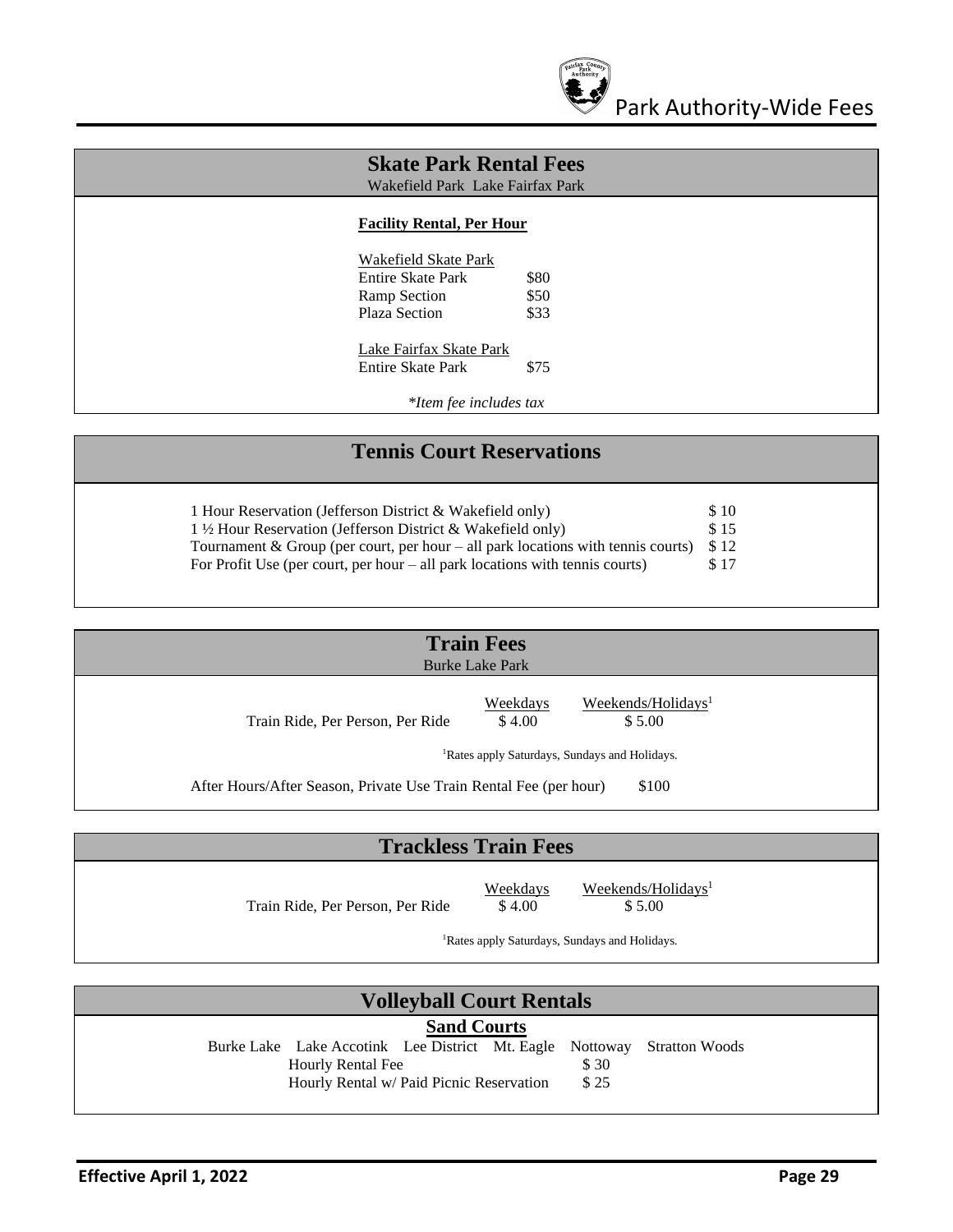

| <b>Skate Park Rental Fees</b><br>Wakefield Park Lake Fairfax Park |      |  |
|-------------------------------------------------------------------|------|--|
| <b>Facility Rental, Per Hour</b>                                  |      |  |
| Wakefield Skate Park                                              |      |  |
| Entire Skate Park                                                 | \$80 |  |
| Ramp Section                                                      | \$50 |  |
| Plaza Section                                                     | \$33 |  |
| Lake Fairfax Skate Park                                           |      |  |
| Entire Skate Park                                                 | \$75 |  |
| *Item fee includes tax                                            |      |  |

## **Tennis Court Reservations**

| 1 Hour Reservation (Jefferson District & Wakefield only)                           | - \$10 |
|------------------------------------------------------------------------------------|--------|
| $1\frac{1}{2}$ Hour Reservation (Jefferson District & Wakefield only)              | S 15   |
| Tournament & Group (per court, per hour $-$ all park locations with tennis courts) | S 12   |
| For Profit Use (per court, per hour $-$ all park locations with tennis courts)     | \$17   |

| <b>Train Fees</b><br><b>Burke Lake Park</b>                                |                           |                                                           |  |  |
|----------------------------------------------------------------------------|---------------------------|-----------------------------------------------------------|--|--|
| Train Ride, Per Person, Per Ride                                           | <b>Weekdays</b><br>\$4.00 | Weekends/Holidays <sup>1</sup><br>\$5.00                  |  |  |
|                                                                            |                           | <sup>1</sup> Rates apply Saturdays, Sundays and Holidays. |  |  |
| After Hours/After Season, Private Use Train Rental Fee (per hour)<br>\$100 |                           |                                                           |  |  |

## **Trackless Train Fees**

Train Ride, Per Person, Per Ride  $$4.00$  \$5.00

Weekdays Weekends/Holidays<sup>1</sup>

<sup>1</sup>Rates apply Saturdays, Sundays and Holidays.

## **Volleyball Court Rentals**

#### **Sand Courts**

Burke Lake Lake Accotink Lee District Mt. Eagle Nottoway Stratton Woods Hourly Rental Fee \$ 30<br>Hourly Rental w/ Paid Picnic Reservation \$ 25 Hourly Rental w/ Paid Picnic Reservation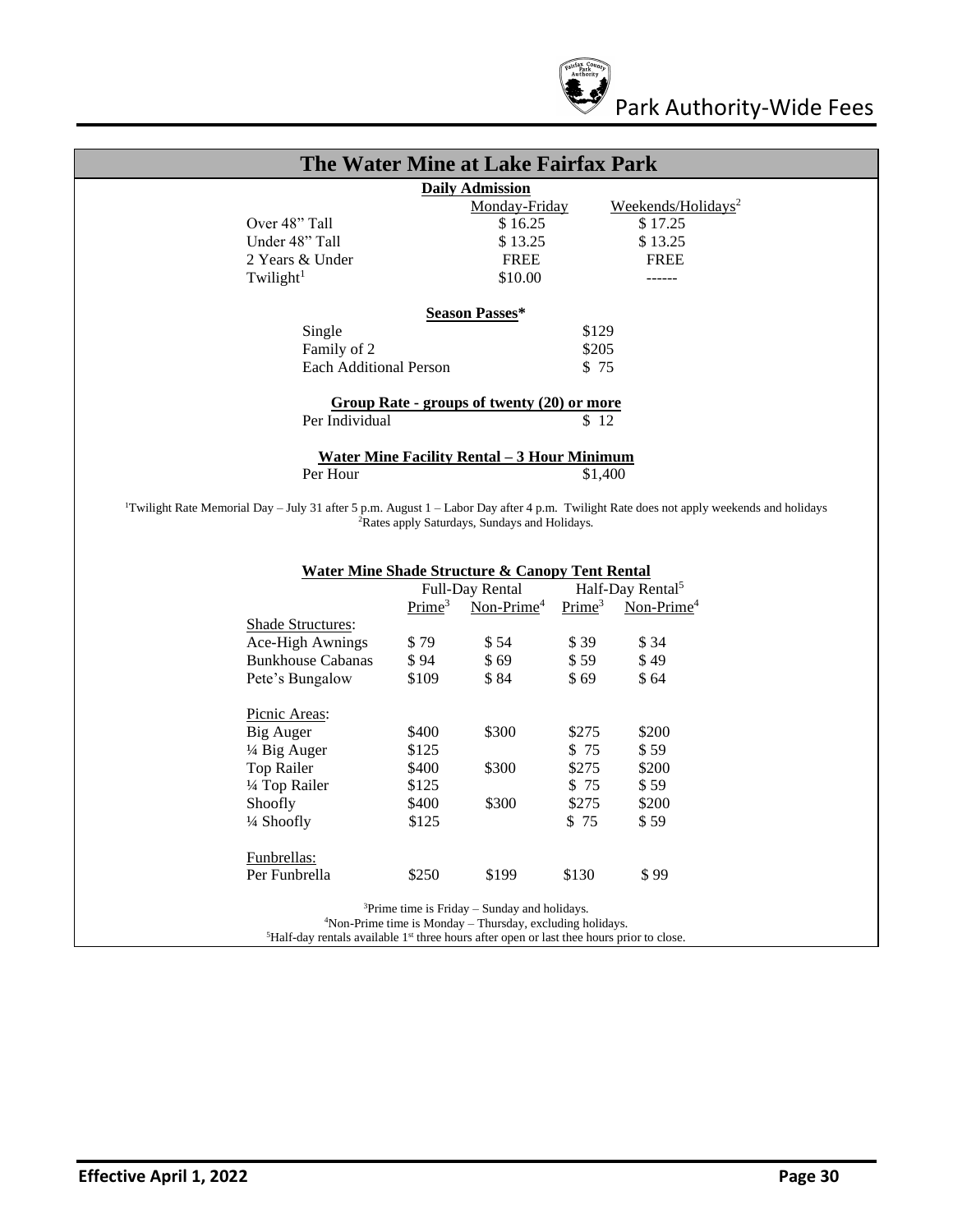

| The Water Mine at Lake Fairfax Park         |                                            |                                |  |  |
|---------------------------------------------|--------------------------------------------|--------------------------------|--|--|
|                                             | <b>Daily Admission</b>                     |                                |  |  |
|                                             | Monday-Friday                              | Weekends/Holidays <sup>2</sup> |  |  |
| Over 48" Tall                               | \$16.25                                    | \$17.25                        |  |  |
| Under 48" Tall                              | \$13.25                                    | \$13.25                        |  |  |
| 2 Years & Under                             | <b>FREE</b>                                | <b>FREE</b>                    |  |  |
| Twilight <sup>1</sup>                       | \$10.00                                    | ------                         |  |  |
|                                             |                                            |                                |  |  |
|                                             | <b>Season Passes*</b>                      |                                |  |  |
| Single                                      |                                            | \$129                          |  |  |
| Family of 2                                 |                                            | \$205                          |  |  |
| Each Additional Person                      |                                            | \$75                           |  |  |
|                                             |                                            |                                |  |  |
|                                             | Group Rate - groups of twenty (20) or more |                                |  |  |
| Per Individual                              |                                            | \$12                           |  |  |
|                                             |                                            |                                |  |  |
| Water Mine Facility Rental - 3 Hour Minimum |                                            |                                |  |  |
| Per Hour                                    |                                            | \$1,400                        |  |  |
|                                             |                                            |                                |  |  |

<sup>1</sup>Twilight Rate Memorial Day – July 31 after 5 p.m. August 1 – Labor Day after 4 p.m. Twilight Rate does not apply weekends and holidays <sup>2</sup>Rates apply Saturdays, Sundays and Holidays.

|                          |                    | Full-Day Rental        |                    | Half-Day Rental <sup>5</sup> |
|--------------------------|--------------------|------------------------|--------------------|------------------------------|
|                          | Prime <sup>3</sup> | Non-Prime <sup>4</sup> | Prime <sup>3</sup> | Non-Prime <sup>4</sup>       |
| <b>Shade Structures:</b> |                    |                        |                    |                              |
| Ace-High Awnings         | \$79               | \$54                   | \$39               | \$ 34                        |
| <b>Bunkhouse Cabanas</b> | \$94               | \$69                   | \$59               | \$49                         |
| Pete's Bungalow          | \$109              | \$84                   | \$69               | \$64                         |
| Picnic Areas:            |                    |                        |                    |                              |
| Big Auger                | \$400              | \$300                  | \$275              | \$200                        |
| 1/4 Big Auger            | \$125              |                        | \$75               | \$ 59                        |
| Top Railer               | \$400              | \$300                  | \$275              | \$200                        |
| 1/4 Top Railer           | \$125              |                        | \$75               | \$ 59                        |
| Shoofly                  | \$400              | \$300                  | \$275              | \$200                        |
| 1/4 Shoofly              | \$125              |                        | \$75               | \$ 59                        |
| Funbrellas:              |                    |                        |                    |                              |
| Per Funbrella            | \$250              | \$199                  | \$130              | \$ 99                        |

<sup>4</sup>Non-Prime time is Monday – Thursday, excluding holidays.

 ${}^{5}$ Half-day rentals available  $1<sup>st</sup>$  three hours after open or last thee hours prior to close.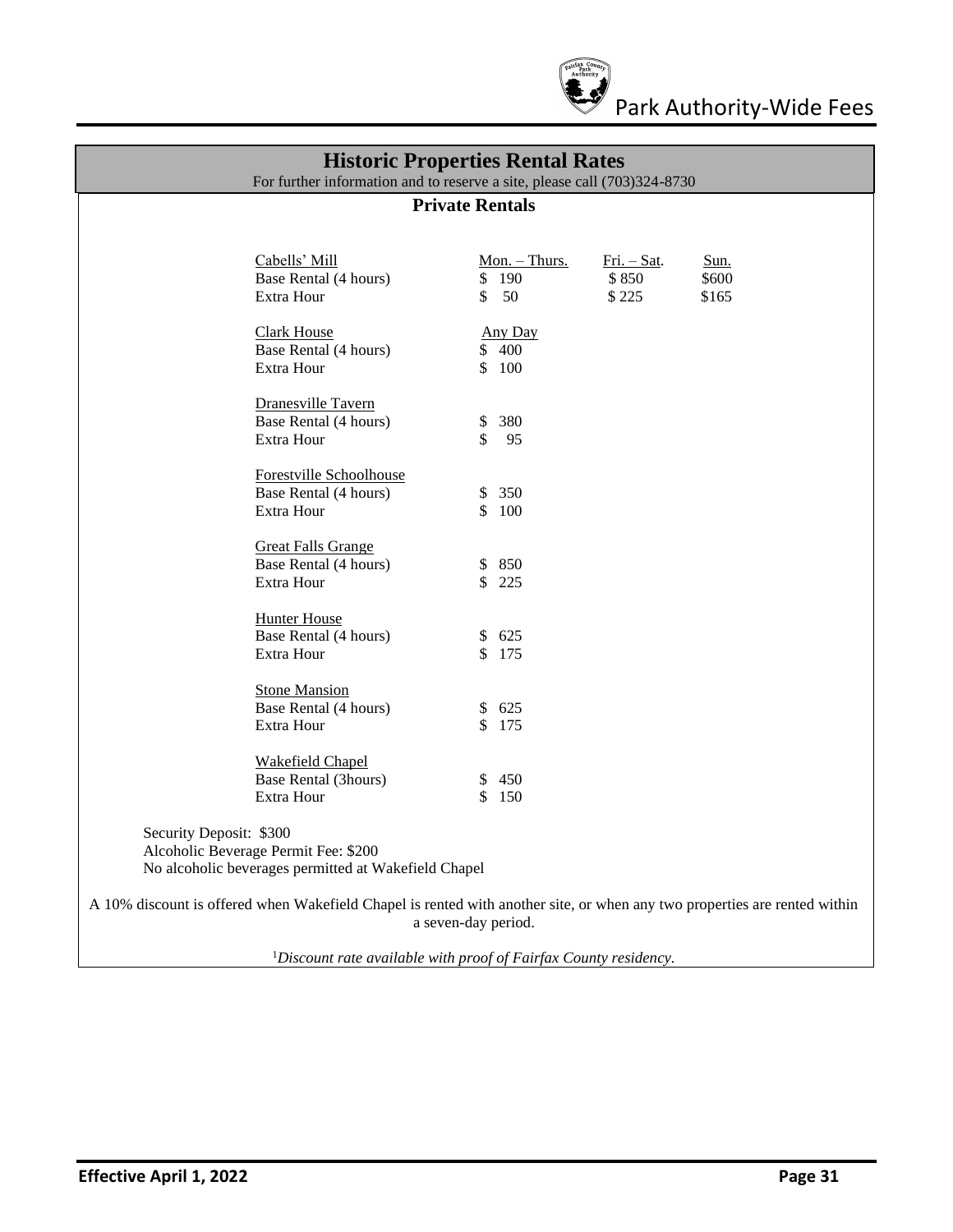

#### **Historic Properties Rental Rates**

For further information and to reserve a site, please call (703)324-8730

#### **Private Rentals**

|                         | Cabells' Mill<br>Base Rental (4 hours)<br>Extra Hour             | Mon. - Thurs.<br>\$<br>190<br>\$50 | Fri. - Sat.<br>\$850<br>\$225 | Sun.<br>\$600<br>\$165 |
|-------------------------|------------------------------------------------------------------|------------------------------------|-------------------------------|------------------------|
|                         | <b>Clark House</b><br>Base Rental (4 hours)<br>Extra Hour        | Any Day<br>\$400<br>\$100          |                               |                        |
|                         | Dranesville Tavern<br>Base Rental (4 hours)<br>Extra Hour        | 380<br>\$<br>\$<br>95              |                               |                        |
|                         | Forestville Schoolhouse<br>Base Rental (4 hours)<br>Extra Hour   | \$350<br>\$100                     |                               |                        |
|                         | <b>Great Falls Grange</b><br>Base Rental (4 hours)<br>Extra Hour | \$850<br>\$225                     |                               |                        |
|                         | <b>Hunter House</b><br>Base Rental (4 hours)<br>Extra Hour       | \$625<br>\$175                     |                               |                        |
|                         | <b>Stone Mansion</b><br>Base Rental (4 hours)<br>Extra Hour      | \$625<br>\$175                     |                               |                        |
|                         | <b>Wakefield Chapel</b><br>Base Rental (3hours)<br>Extra Hour    | \$450<br>\$<br>150                 |                               |                        |
| Security Deposit: \$300 | Alcoholic Beverage Permit Fee: \$200                             |                                    |                               |                        |

Alcoholic Beverage Permit Fee: \$2 No alcoholic beverages permitted at Wakefield Chapel

A 10% discount is offered when Wakefield Chapel is rented with another site, or when any two properties are rented within a seven-day period.

1*Discount rate available with proof of Fairfax County residency.*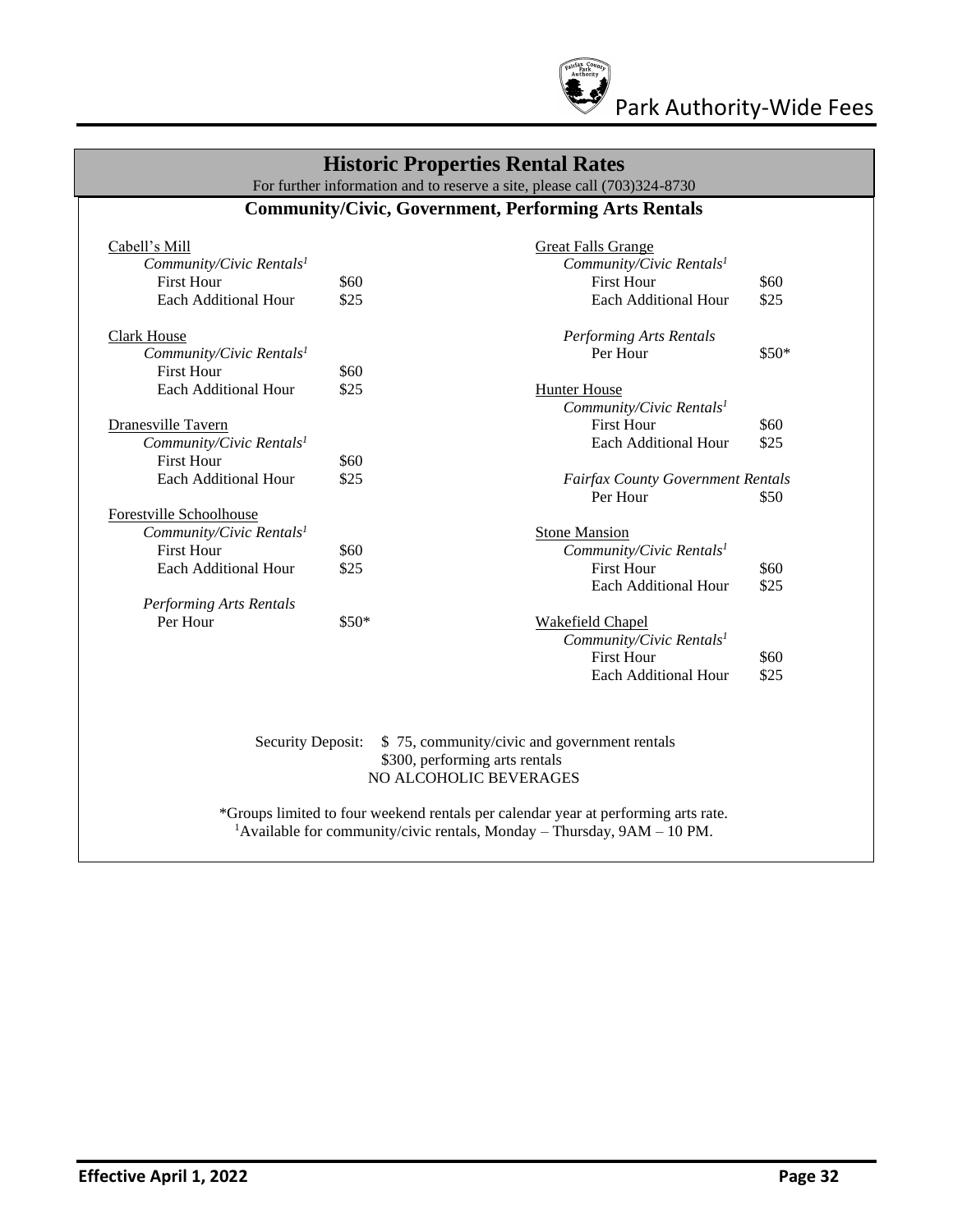

## **Historic Properties Rental Rates**

For further information and to reserve a site, please call (703)324-8730

#### **Community/Civic, Government, Performing Arts Rentals**

| Cabell's Mill                        |        | <b>Great Falls Grange</b>                                                          |       |
|--------------------------------------|--------|------------------------------------------------------------------------------------|-------|
| Community/Civic Rentals <sup>1</sup> |        | Community/Civic Rentals <sup>1</sup>                                               |       |
| <b>First Hour</b>                    | \$60   | <b>First Hour</b>                                                                  | \$60  |
| Each Additional Hour                 | \$25   | Each Additional Hour                                                               | \$25  |
| <b>Clark House</b>                   |        | <b>Performing Arts Rentals</b>                                                     |       |
| Community/Civic Rentals <sup>1</sup> |        | Per Hour                                                                           | \$50* |
| <b>First Hour</b>                    | \$60   |                                                                                    |       |
| Each Additional Hour                 | \$25   | <b>Hunter House</b>                                                                |       |
|                                      |        | Community/Civic Rentals <sup>1</sup>                                               |       |
| Dranesville Tavern                   |        | <b>First Hour</b>                                                                  | \$60  |
| Community/Civic Rentals <sup>1</sup> |        | <b>Each Additional Hour</b>                                                        | \$25  |
| <b>First Hour</b>                    | \$60   |                                                                                    |       |
| Each Additional Hour                 | \$25   | <b>Fairfax County Government Rentals</b>                                           |       |
|                                      |        | Per Hour                                                                           | \$50  |
| Forestville Schoolhouse              |        |                                                                                    |       |
| Community/Civic Rentals <sup>1</sup> |        | <b>Stone Mansion</b>                                                               |       |
| <b>First Hour</b>                    | \$60   | Community/Civic Rentals <sup>1</sup>                                               |       |
| <b>Each Additional Hour</b>          | \$25   | <b>First Hour</b>                                                                  | \$60  |
|                                      |        | Each Additional Hour                                                               | \$25  |
| <b>Performing Arts Rentals</b>       |        |                                                                                    |       |
| Per Hour                             | $$50*$ | Wakefield Chapel                                                                   |       |
|                                      |        | Community/Civic Rentals <sup>1</sup>                                               |       |
|                                      |        | <b>First Hour</b>                                                                  | \$60  |
|                                      |        | Each Additional Hour                                                               | \$25  |
|                                      |        |                                                                                    |       |
|                                      |        |                                                                                    |       |
| <b>Security Deposit:</b>             |        | \$75, community/civic and government rentals                                       |       |
|                                      |        | \$300, performing arts rentals<br>NO ALCOHOLIC BEVERAGES                           |       |
|                                      |        |                                                                                    |       |
|                                      |        | *Groups limited to four weekend rentals per calendar year at performing arts rate. |       |

<sup>1</sup>Available for community/civic rentals, Monday – Thursday,  $9AM - 10 PM$ .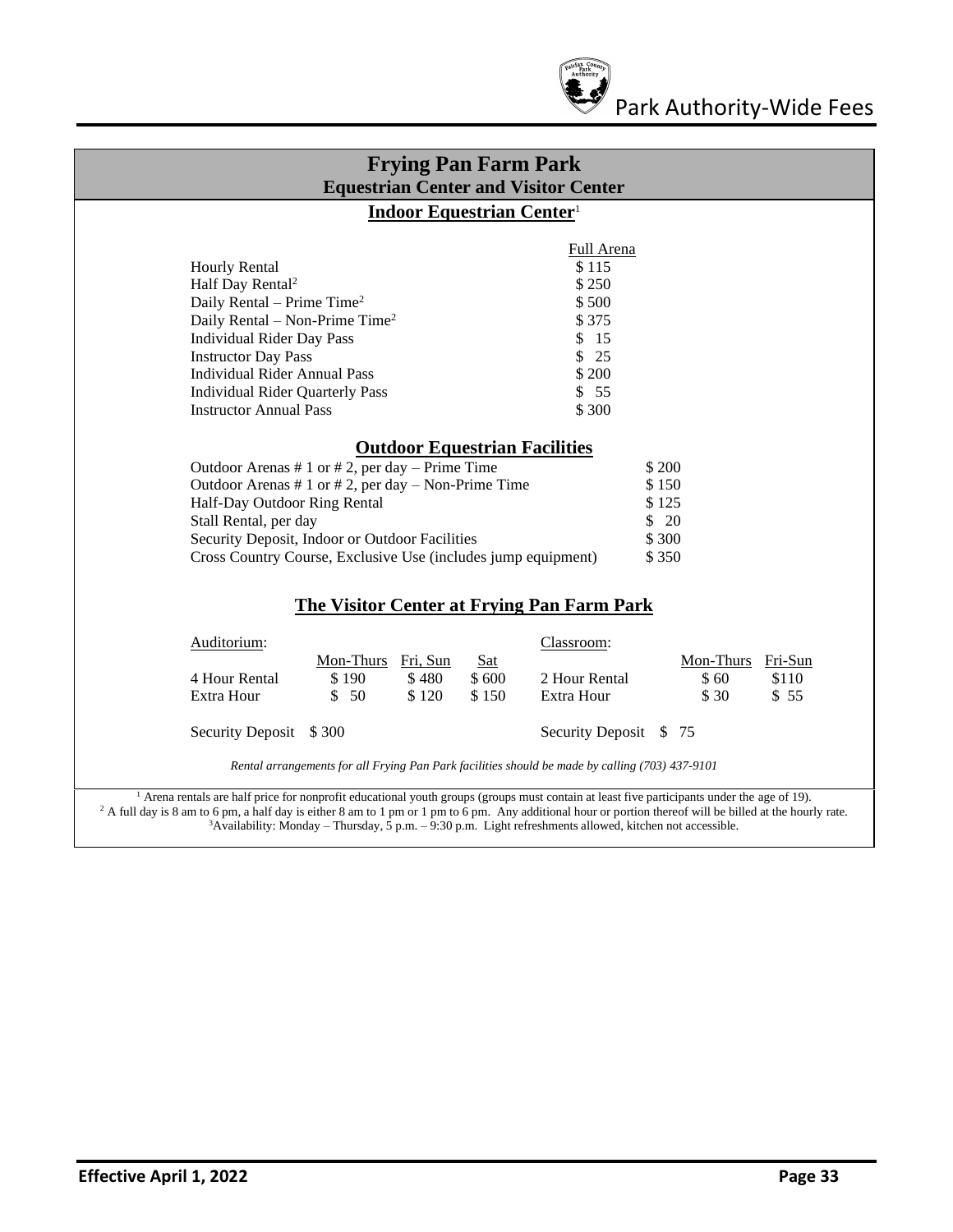

| <b>Frying Pan Farm Park</b><br><b>Equestrian Center and Visitor Center</b>                                                                                                                                                                                                             |                                                                                                                                                                                                                                                                                                                                                                                                                                                |  |  |
|----------------------------------------------------------------------------------------------------------------------------------------------------------------------------------------------------------------------------------------------------------------------------------------|------------------------------------------------------------------------------------------------------------------------------------------------------------------------------------------------------------------------------------------------------------------------------------------------------------------------------------------------------------------------------------------------------------------------------------------------|--|--|
|                                                                                                                                                                                                                                                                                        | <b>Indoor Equestrian Center1</b>                                                                                                                                                                                                                                                                                                                                                                                                               |  |  |
| <b>Hourly Rental</b><br>Half Day Rental <sup>2</sup>                                                                                                                                                                                                                                   | Full Arena<br>\$115<br>\$250                                                                                                                                                                                                                                                                                                                                                                                                                   |  |  |
| Daily Rental – Prime Time <sup>2</sup><br>Daily Rental – Non-Prime Time <sup>2</sup>                                                                                                                                                                                                   | \$500<br>\$375                                                                                                                                                                                                                                                                                                                                                                                                                                 |  |  |
| <b>Individual Rider Day Pass</b><br><b>Instructor Day Pass</b><br><b>Individual Rider Annual Pass</b>                                                                                                                                                                                  | \$15<br>\$25<br>\$200                                                                                                                                                                                                                                                                                                                                                                                                                          |  |  |
| <b>Individual Rider Quarterly Pass</b><br><b>Instructor Annual Pass</b>                                                                                                                                                                                                                | \$55<br>\$300                                                                                                                                                                                                                                                                                                                                                                                                                                  |  |  |
| Outdoor Arenas # 1 or # 2, per day $-$ Prime Time<br>Outdoor Arenas # 1 or # 2, per day $-$ Non-Prime Time<br>Half-Day Outdoor Ring Rental<br>Stall Rental, per day<br>Security Deposit, Indoor or Outdoor Facilities<br>Cross Country Course, Exclusive Use (includes jump equipment) | <b>Outdoor Equestrian Facilities</b><br>\$ 200<br>\$150<br>\$125<br>\$20<br>\$300<br>\$350                                                                                                                                                                                                                                                                                                                                                     |  |  |
|                                                                                                                                                                                                                                                                                        | The Visitor Center at Frying Pan Farm Park                                                                                                                                                                                                                                                                                                                                                                                                     |  |  |
| Auditorium:<br>Mon-Thurs<br>4 Hour Rental<br>\$190<br>Extra Hour<br>- 50<br>\$                                                                                                                                                                                                         | Classroom:<br>Mon-Thurs<br>Fri-Sun<br>Fri, Sun<br><b>Sat</b><br>\$480<br>\$600<br>2 Hour Rental<br>\$60<br>\$110<br>\$150<br>Extra Hour<br>\$120<br>\$ 30<br>\$55                                                                                                                                                                                                                                                                              |  |  |
| Security Deposit \$300                                                                                                                                                                                                                                                                 | Security Deposit \$75                                                                                                                                                                                                                                                                                                                                                                                                                          |  |  |
|                                                                                                                                                                                                                                                                                        | Rental arrangements for all Frying Pan Park facilities should be made by calling (703) 437-9101                                                                                                                                                                                                                                                                                                                                                |  |  |
|                                                                                                                                                                                                                                                                                        | <sup>1</sup> Arena rentals are half price for nonprofit educational youth groups (groups must contain at least five participants under the age of 19).<br><sup>2</sup> A full day is 8 am to 6 pm, a half day is either 8 am to 1 pm or 1 pm to 6 pm. Any additional hour or portion thereof will be billed at the hourly rate.<br>$3$ Availability: Monday – Thursday, 5 p.m. – 9:30 p.m. Light refreshments allowed, kitchen not accessible. |  |  |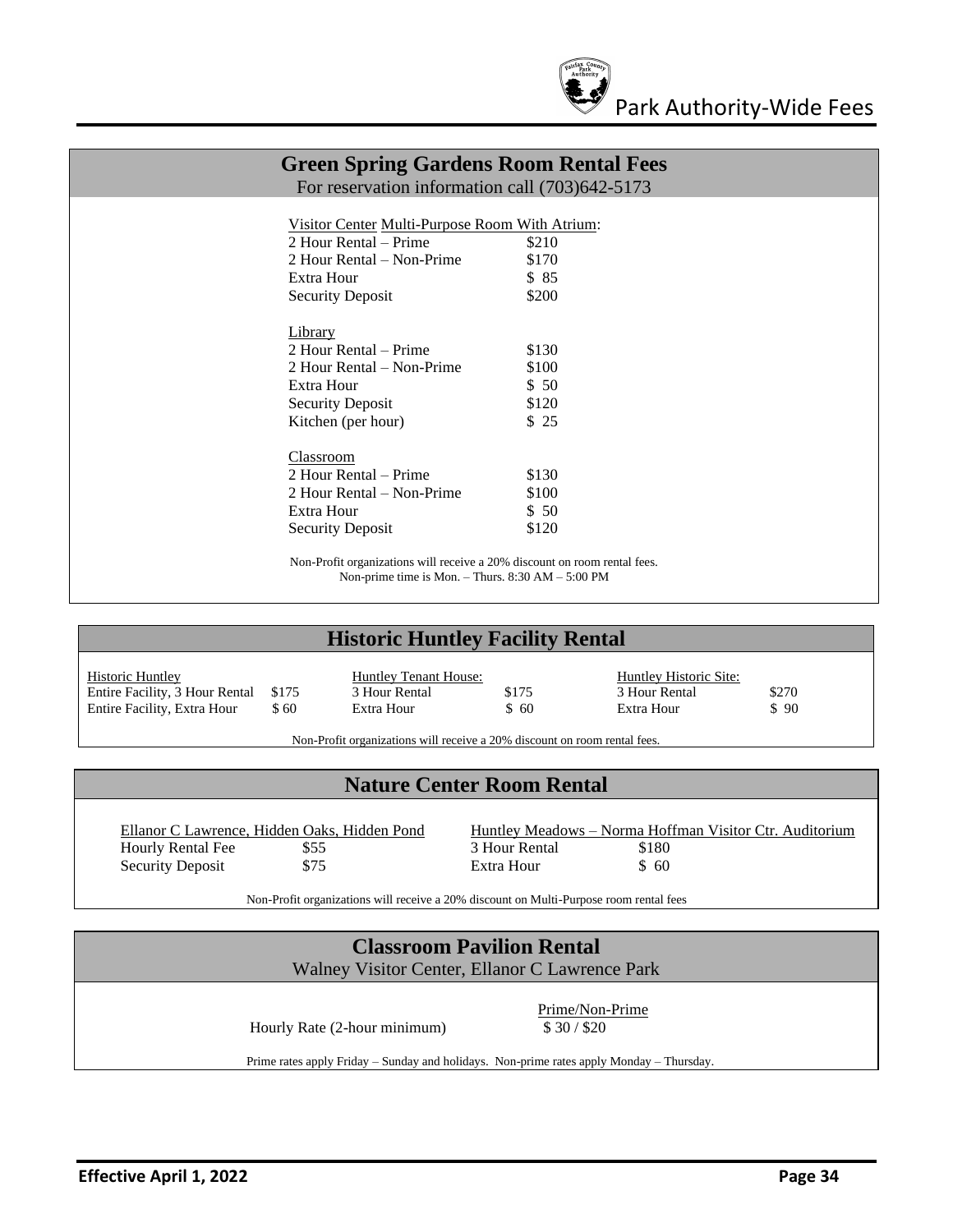

| <b>Green Spring Gardens Room Rental Fees</b><br>For reservation information call (703)642-5173 |                                                                                                                                |  |
|------------------------------------------------------------------------------------------------|--------------------------------------------------------------------------------------------------------------------------------|--|
|                                                                                                |                                                                                                                                |  |
|                                                                                                | Visitor Center Multi-Purpose Room With Atrium:                                                                                 |  |
| 2 Hour Rental – Prime                                                                          | \$210                                                                                                                          |  |
| 2 Hour Rental – Non-Prime                                                                      | \$170                                                                                                                          |  |
| Extra Hour                                                                                     | \$85                                                                                                                           |  |
| <b>Security Deposit</b>                                                                        | \$200                                                                                                                          |  |
| Library                                                                                        |                                                                                                                                |  |
| 2 Hour Rental – Prime                                                                          | \$130                                                                                                                          |  |
| 2 Hour Rental – Non-Prime                                                                      | \$100                                                                                                                          |  |
| Extra Hour                                                                                     | \$50                                                                                                                           |  |
| <b>Security Deposit</b>                                                                        | \$120                                                                                                                          |  |
| Kitchen (per hour)                                                                             | \$25                                                                                                                           |  |
| Classroom                                                                                      |                                                                                                                                |  |
| 2 Hour Rental – Prime                                                                          | \$130                                                                                                                          |  |
| 2 Hour Rental – Non-Prime                                                                      | \$100                                                                                                                          |  |
| Extra Hour                                                                                     | \$50                                                                                                                           |  |
| <b>Security Deposit</b>                                                                        | \$120                                                                                                                          |  |
|                                                                                                | Non-Profit organizations will receive a 20% discount on room rental fees.<br>Non-prime time is Mon. - Thurs. 8:30 AM - 5:00 PM |  |

## **Historic Huntley Facility Rental**

| <b>Historic Huntley</b>              |       | Huntley Tenant House: |       | Huntley Historic Site: |       |
|--------------------------------------|-------|-----------------------|-------|------------------------|-------|
| Entire Facility, 3 Hour Rental \$175 |       | 3 Hour Rental         | \$175 | 3 Hour Rental          | \$270 |
| Entire Facility, Extra Hour          | \$ 60 | Extra Hour            | \$60  | Extra Hour             | \$90  |

Non-Profit organizations will receive a 20% discount on room rental fees.

## **Nature Center Room Rental**

Hourly Rental Fee  $$55$  3 Hour Rental \$180<br>Security Deposit \$75 Extra Hour \$60 Security Deposit \$75

Ellanor C Lawrence, Hidden Oaks, Hidden Pond<br>
Huntley Meadows – Norma Hoffman Visitor Ctr. Auditorium<br>
3 Hour Rental<br>
\$180

Non-Profit organizations will receive a 20% discount on Multi-Purpose room rental fees

| <b>Classroom Pavilion Rental</b>                                                                                         |                              |  |
|--------------------------------------------------------------------------------------------------------------------------|------------------------------|--|
| Walney Visitor Center, Ellanor C Lawrence Park                                                                           |                              |  |
| Hourly Rate (2-hour minimum)<br>Prime rates apply Friday – Sunday and holidays. Non-prime rates apply Monday – Thursday. | Prime/Non-Prime<br>\$30/\$20 |  |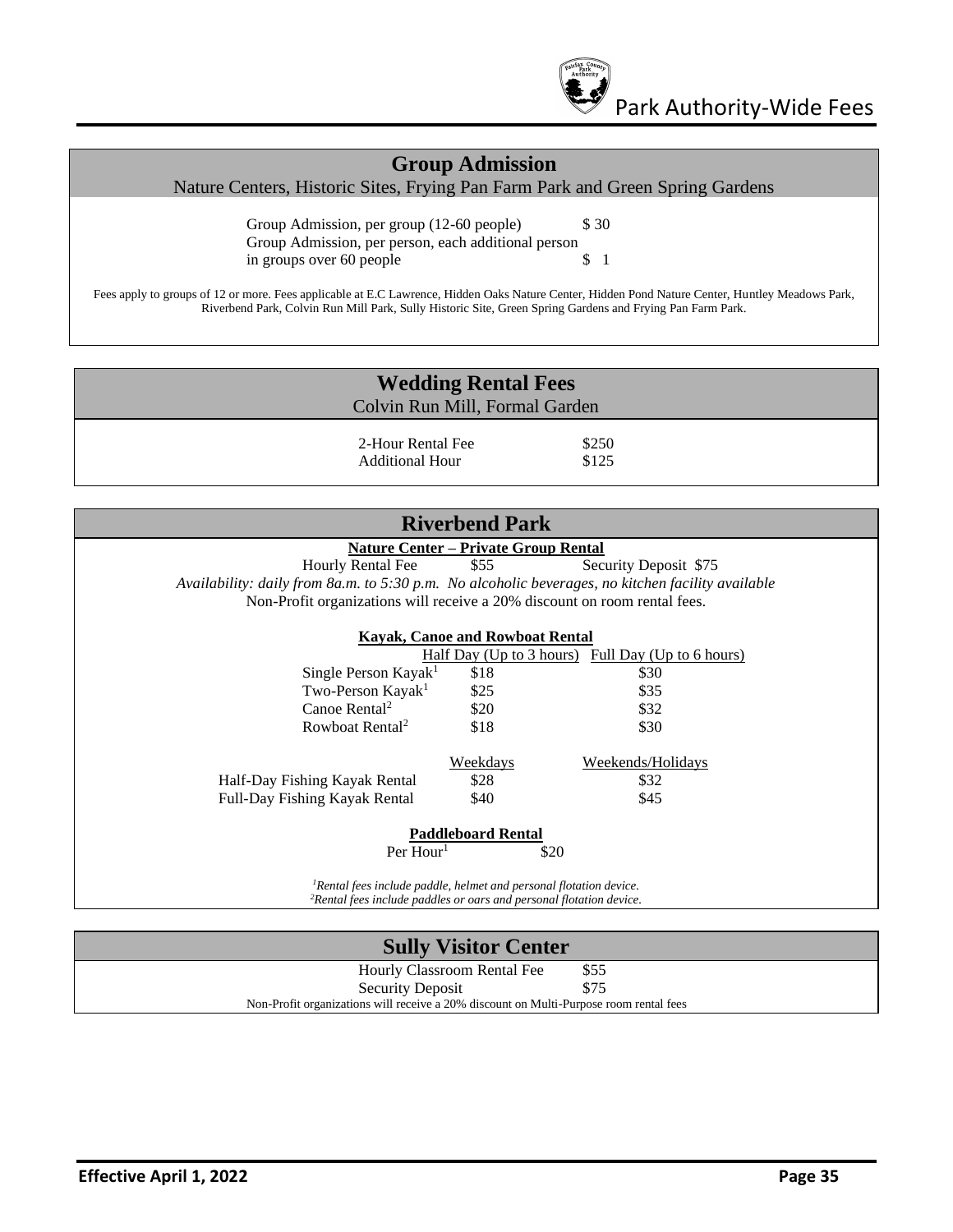

## **Group Admission**

Nature Centers, Historic Sites, Frying Pan Farm Park and Green Spring Gardens

Group Admission, per group (12-60 people) \$30 Group Admission, per person, each additional person in groups over 60 people \$ 1

Fees apply to groups of 12 or more. Fees applicable at E.C Lawrence, Hidden Oaks Nature Center, Hidden Pond Nature Center, Huntley Meadows Park, Riverbend Park, Colvin Run Mill Park, Sully Historic Site, Green Spring Gardens and Frying Pan Farm Park.

| <b>Wedding Rental Fees</b> |                                      |                |  |
|----------------------------|--------------------------------------|----------------|--|
|                            | Colvin Run Mill, Formal Garden       |                |  |
|                            | 2-Hour Rental Fee<br>Additional Hour | \$250<br>\$125 |  |

| <b>Riverbend Park</b>                                                                                                                                             |                                             |                                                          |  |  |
|-------------------------------------------------------------------------------------------------------------------------------------------------------------------|---------------------------------------------|----------------------------------------------------------|--|--|
|                                                                                                                                                                   | <b>Nature Center - Private Group Rental</b> |                                                          |  |  |
| Hourly Rental Fee                                                                                                                                                 | \$55                                        | Security Deposit \$75                                    |  |  |
| Availability: daily from 8a.m. to 5:30 p.m. No alcoholic beverages, no kitchen facility available                                                                 |                                             |                                                          |  |  |
| Non-Profit organizations will receive a 20% discount on room rental fees.                                                                                         |                                             |                                                          |  |  |
|                                                                                                                                                                   |                                             |                                                          |  |  |
|                                                                                                                                                                   | <b>Kayak, Canoe and Rowboat Rental</b>      |                                                          |  |  |
|                                                                                                                                                                   |                                             | <u>Half Day (Up to 3 hours) Full Day (Up to 6 hours)</u> |  |  |
| Single Person Kayak <sup>1</sup>                                                                                                                                  | \$18                                        | \$30                                                     |  |  |
| Two-Person Kayak <sup>1</sup>                                                                                                                                     | \$25                                        | \$35                                                     |  |  |
| Canoe Rental <sup>2</sup>                                                                                                                                         | \$20                                        | \$32                                                     |  |  |
| Rowboat Rental <sup>2</sup>                                                                                                                                       | \$18                                        | \$30                                                     |  |  |
|                                                                                                                                                                   |                                             |                                                          |  |  |
|                                                                                                                                                                   | <b>Weekdays</b>                             | Weekends/Holidays                                        |  |  |
| Half-Day Fishing Kayak Rental                                                                                                                                     | \$28                                        | \$32                                                     |  |  |
| Full-Day Fishing Kayak Rental                                                                                                                                     | \$40                                        | \$45                                                     |  |  |
|                                                                                                                                                                   |                                             |                                                          |  |  |
|                                                                                                                                                                   | <b>Paddleboard Rental</b>                   |                                                          |  |  |
| Per Hour <sup>1</sup>                                                                                                                                             |                                             | \$20                                                     |  |  |
|                                                                                                                                                                   |                                             |                                                          |  |  |
| <sup>1</sup> Rental fees include paddle, helmet and personal flotation device.<br><sup>2</sup> Rental fees include paddles or oars and personal flotation device. |                                             |                                                          |  |  |

| <b>Sully Visitor Center</b>                                                            |      |  |
|----------------------------------------------------------------------------------------|------|--|
| Hourly Classroom Rental Fee                                                            | \$55 |  |
| <b>Security Deposit</b>                                                                | \$75 |  |
| Non-Profit organizations will receive a 20% discount on Multi-Purpose room rental fees |      |  |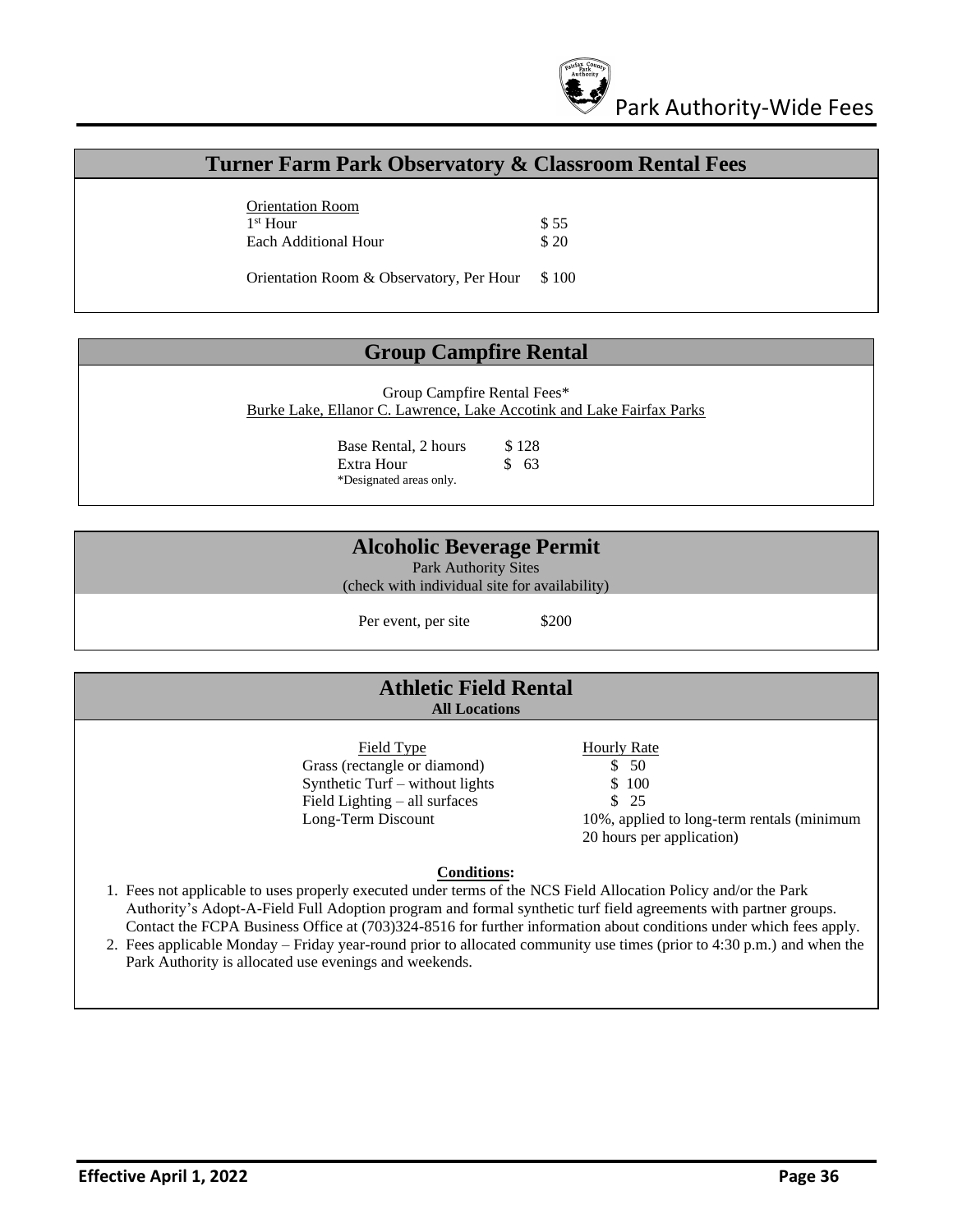

#### **Turner Farm Park Observatory & Classroom Rental Fees**

Orientation Room  $1<sup>st</sup>$  Hour \$ 55 Each Additional Hour \$20

Orientation Room & Observatory, Per Hour \$ 100

#### **Group Campfire Rental**

Group Campfire Rental Fees\* Burke Lake, Ellanor C. Lawrence, Lake Accotink and Lake Fairfax Parks

> Base Rental, 2 hours \$128 Extra Hour \$ 63 \*Designated areas only.

#### **Alcoholic Beverage Permit**

Park Authority Sites

(check with individual site for availability)

Per event, per site \$200

#### **Athletic Field Rental All Locations**

Field Type Hourly Rate Grass (rectangle or diamond) \$ 50 Synthetic Turf – without lights  $$100$ Field Lighting – all surfaces  $\frac{1}{25}$ 

- -
	-

Long-Term Discount 10%, applied to long-term rentals (minimum 20 hours per application)

#### **Conditions:**

- 1. Fees not applicable to uses properly executed under terms of the NCS Field Allocation Policy and/or the Park Authority's Adopt-A-Field Full Adoption program and formal synthetic turf field agreements with partner groups. Contact the FCPA Business Office at (703)324-8516 for further information about conditions under which fees apply.
- 2. Fees applicable Monday Friday year-round prior to allocated community use times (prior to 4:30 p.m.) and when the Park Authority is allocated use evenings and weekends.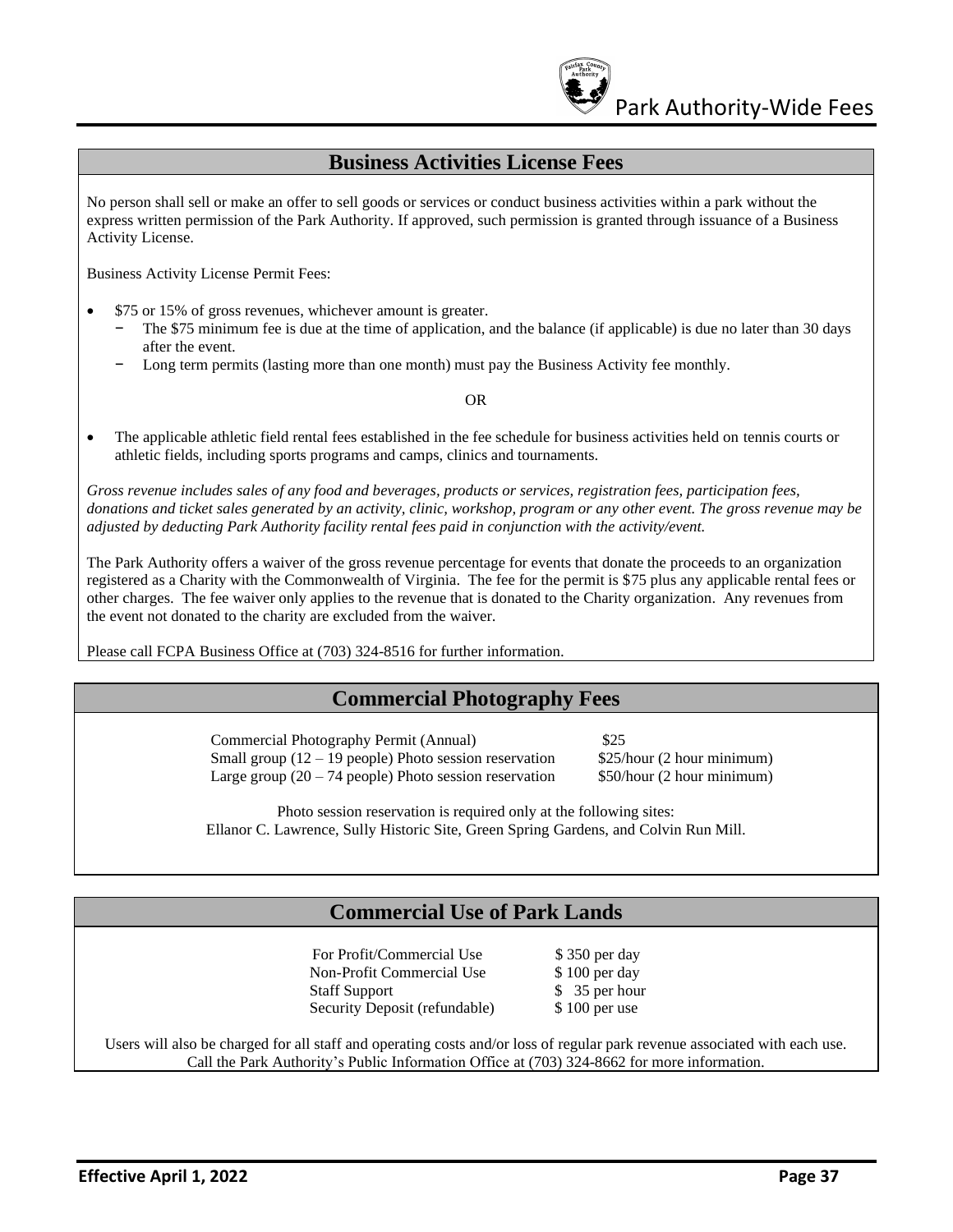

#### **Business Activities License Fees**

No person shall sell or make an offer to sell goods or services or conduct business activities within a park without the express written permission of the Park Authority. If approved, such permission is granted through issuance of a Business Activity License.

Business Activity License Permit Fees:

- \$75 or 15% of gross revenues, whichever amount is greater.
	- The \$75 minimum fee is due at the time of application, and the balance (if applicable) is due no later than 30 days after the event.
	- − Long term permits (lasting more than one month) must pay the Business Activity fee monthly.

#### OR

• The applicable athletic field rental fees established in the fee schedule for business activities held on tennis courts or athletic fields, including sports programs and camps, clinics and tournaments.

*Gross revenue includes sales of any food and beverages, products or services, registration fees, participation fees, donations and ticket sales generated by an activity, clinic, workshop, program or any other event. The gross revenue may be adjusted by deducting Park Authority facility rental fees paid in conjunction with the activity/event.* 

The Park Authority offers a waiver of the gross revenue percentage for events that donate the proceeds to an organization registered as a Charity with the Commonwealth of Virginia. The fee for the permit is \$75 plus any applicable rental fees or other charges. The fee waiver only applies to the revenue that is donated to the Charity organization. Any revenues from the event not donated to the charity are excluded from the waiver.

Please call FCPA Business Office at (703) 324-8516 for further information.

#### **Commercial Photography Fees**

 Commercial Photography Permit (Annual) \$25 Small group  $(12 - 19$  people) Photo session reservation \$25/hour (2 hour minimum) Large group  $(20 - 74$  people) Photo session reservation \$50/hour (2 hour minimum)

Photo session reservation is required only at the following sites: Ellanor C. Lawrence, Sully Historic Site, Green Spring Gardens, and Colvin Run Mill.

#### **Commercial Use of Park Lands**

For Profit/Commercial Use \$350 per day Non-Profit Commercial Use \$100 per day Staff Support \$ 35 per hour Security Deposit (refundable) \$100 per use

Users will also be charged for all staff and operating costs and/or loss of regular park revenue associated with each use. Call the Park Authority's Public Information Office at (703) 324-8662 for more information.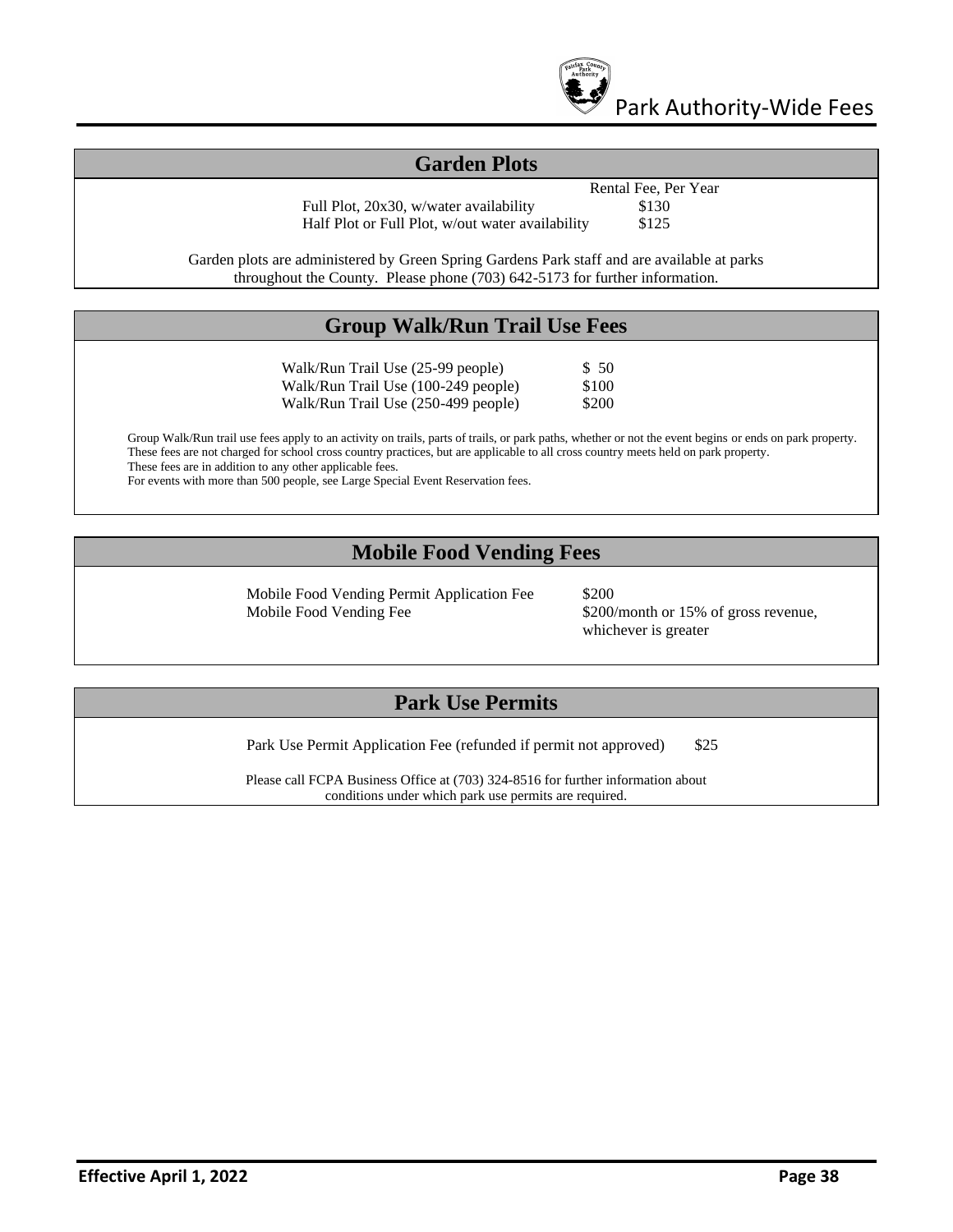

#### **Garden Plots**

Full Plot, 20x30, w/water availability \$130 Half Plot or Full Plot, w/out water availability \$125

Rental Fee, Per Year

Garden plots are administered by Green Spring Gardens Park staff and are available at parks throughout the County. Please phone (703) 642-5173 for further information.

## **Group Walk/Run Trail Use Fees**

Walk/Run Trail Use (25-99 people) \$ 50 Walk/Run Trail Use (100-249 people) \$100 Walk/Run Trail Use (250-499 people) \$200

Group Walk/Run trail use fees apply to an activity on trails, parts of trails, or park paths, whether or not the event begins or ends on park property. These fees are not charged for school cross country practices, but are applicable to all cross country meets held on park property. These fees are in addition to any other applicable fees.

For events with more than 500 people, see Large Special Event Reservation fees.

## **Mobile Food Vending Fees**

Mobile Food Vending Permit Application Fee \$200 Mobile Food Vending Fee \$200/month or 15% of gross revenue,

whichever is greater

## **Park Use Permits**

Park Use Permit Application Fee (refunded if permit not approved) \$25

Please call FCPA Business Office at (703) 324-8516 for further information about conditions under which park use permits are required.